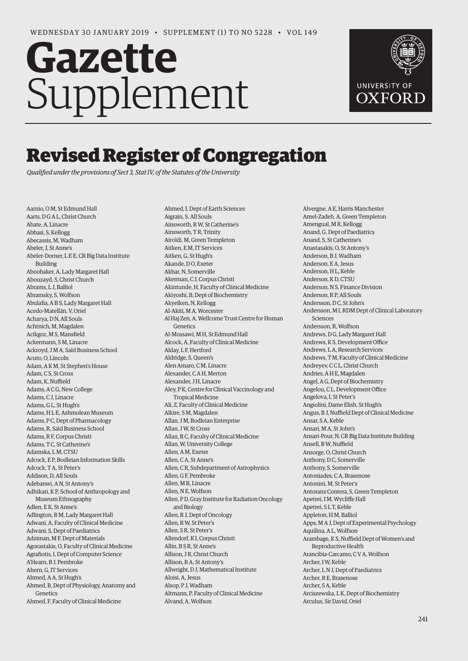## **Gazette** Supplement



## Revised Register of Congregation

*Qualified under the provisions of Sect 3, Stat IV, of the Statutes of the University* 

Aarnio, O M, St Edmund Hall Aarts, D G A L, Christ Church Abate, A, Linacre Abbasi, S, Kellogg Abecassis, M, Wadham Abeler, J, St Anne's Abeler-Dorner, L E E, CR Big Data Institute Building Aboobaker, A, Lady Margaret Hall Abouzayd, S, Christ Church Abrams, L J, Balliol Abramsky, S, Wolfson Abulafia, A B S, Lady Margaret Hall Acedo-Matellán, V, Oriel Acharya, D N, All Souls Achtnich, M, Magdalen Acikgoz, M S, Mansfield Ackermann, S M, Linacre Ackroyd, J M A, Saïd Business School Acuto, O, Lincoln Adam, A K M, St Stephen's House Adam, C.S. St Cross Adam, K, Nuffield Adams, A C G, New College Adams, C J, Linacre Adams, G L, St Hugh's Adams, H L E, Ashmolean Museum Adams, P C, Dept of Pharmacology Adams, R, Saïd Business School Adams, R F, Corpus Christi Adams, T C, St Catherine's Adamska, L M, CTSU Adcock, E P, Bodleian Information Skills Adcock, T A, St Peter's Addison, D, All Souls Adebanwi, A N, St Antony's Adhikari, K P, School of Anthropology and Museum Ethnography Adlen, E K, St Anne's Adlington, R M, Lady Margaret Hall Adwani, A, Faculty of Clinical Medicine Adwani, S, Dept of Paediatrics Adziman, M F, Dept of Materials Agorastakis, O, Faculty of Clinical Medicine Agrafiotis, I, Dept of Computer Science A'Hearn, B J, Pembroke Ahern, G, IT Services Ahmed, A A, St Hugh's Ahmed, B, Dept of Physiology, Anatomy and Genetics Ahmed, F, Faculty of Clinical Medicine

Ahmed, I, Dept of Earth Sciences Aigrain, S, All Souls Ainsworth, R W, St Catherine's Ainsworth, TR, Trinity Airoldi, M, Green Templeton Aitken, E M, IT Services Aitken, G, St Hugh's Akande, D O, Exeter Akbar, N, Somerville Akerman, C J, Corpus Christi Akintunde, H, Faculty of Clinical Medicine Akiyoshi, B, Dept of Biochemistry Akyelken, N, Kellogg Al-Akiti, M A, Worcester Al Haj Zen, A, Wellcome Trust Centre for Human Genetics Al-Mossawi, M H, St Edmund Hall Alcock, A, Faculty of Clinical Medicine Alday, L F, Hertford Aldridge, S, Queen's Alen Amaro, C M, Linacre Alexander, C.A.H, Merton Alexander, J H, Linacre Aley, P K, Centre for Clinical Vaccinology and Tropical Medicine Ali, Z, Faculty of Clinical Medicine Alkire, S M, Magdalen Allan, J M, Bodleian Enterprise Allan, J W, St Cross Allan, R C, Faculty of Clinical Medicine Allan, W, University College Allen, A M, Exeter Allen, C A, St Anne's Allen, C R, Subdepartment of Astrophysics Allen, G F, Pembroke Allen, MR Linacre Allen, N.E. Wolfson Allen, P D, Gray Institute for Radiation Oncology and Biology Allen, R J, Dept of Oncology Allen, R W, St Peter's Allen, S R, St Peter's Allendorf, K I, Corpus Christi Allin, B S R, St Anne's Allison, J R, Christ Church Allison, R A, St Antony's Allwright, D J, Mathematical Institute Aloisi, A, Jesus Alsop, P J, Wadham Altmann, P, Faculty of Clinical Medicine Alvand, A, Wolfson

Alvergne, A E, Harris Manchester Amel-Zadeh, A, Green Templeton Amengual, M R, Kellogg Anand, G, Dept of Paediatrics Anand, S, St Catherine's Anastasakis, O, St Antony's Anderson, B J, Wadham Anderson, E.A. Jesus Anderson, H L, Keble Anderson, K D, CTSU Anderson, N S, Finance Division Anderson, R P, All Souls Andersson, D.C. St John's Andersson, M I, RDM Dept of Clinical Laboratory Sciences Andersson, R, Wolfson Andrews, D G, Lady Margaret Hall Andrews, K S, Development Office Andrews, L A, Research Services Andrews, T M, Faculty of Clinical Medicine Andreyev, C C L, Christ Church Andries, A H E, Magdalen Angel, A G, Dept of Biochemistry Angelou, C L, Development Office Angelova, I, St Peter's Angiolini, Dame Elish, St Hugh's Angus, B J, Nuffield Dept of Clinical Medicine Ansar, S A, Keble Ansari, M A, St John's Ansari-Pour, N, CR Big Data Institute Building Ansell, B W, Nuffield Ansorge, O, Christ Church Anthony, D C, Somerville Anthony, S, Somerville Antoniades, C A, Brasenose Antonini, M, St Peter's Antoranz Contera, S, Green Templeton Apetrei, I M, Wycliffe Hall Apetrei, S L T, Keble Appleton, H M, Balliol Apps, M A J, Dept of Experimental Psychology Aquilina, A L, Wolfson Arambage, K S, Nuffield Dept of Women's and Reproductive Health Arancibia-Carcamo, C V A, Wolfson Archer, I W, Keble Archer, L N J, Dept of Paediatrics Archer, R E, Brasenose Archer, S A, Keble Arciszewska, L K, Dept of Biochemistry Arculus, Sir David, Oriel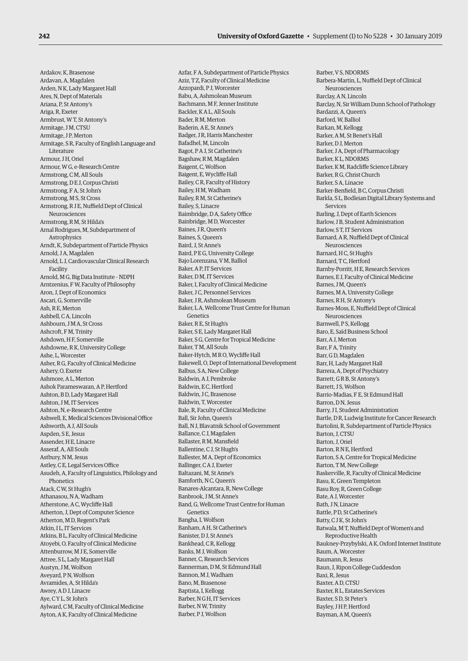Ardakov, K, Brasenose Ardavan, A, Magdalen Arden, N K, Lady Margaret Hall Ares, N, Dept of Materials Ariana, P, St Antony's Ariga, R, Exeter Armbrust, W T, St Antony's Armitage, J M, CTSU Armitage, J P, Merton Armitage, S R, Faculty of English Language and Literature Armour, J H, Oriel Armour, W G, e-Research Centre Armstrong, C M, All Souls Armstrong, D E J, Corpus Christi Armstrong, F A, St John's Armstrong, M S, St Cross Armstrong, R J E, Nuffield Dept of Clinical Neurosciences Armstrong, R M, St Hilda's Arnal Rodrigues, M, Subdepartment of Astrophysics Arndt, K, Subdepartment of Particle Physics Arnold, J A, Magdalen Arnold, L J, Cardiovascular Clinical Research Facility Arnold, M G, Big Data Institute – NDPH Arntzenius, F W, Faculty of Philosophy Aron, J, Dept of Economics Ascari, G, Somerville Ash, R.E. Merton Ashbell, C A, Lincoln Ashbourn, J M A, St Cross Ashcroft, F M, Trinity Ashdown, H F, Somerville Ashdowne, R K, University College Ashe, L, Worcester Asher, R G, Faculty of Clinical Medicine Ashery, O, Exeter Ashmore, A L, Merton Ashok Parameswaran, A P, Hertford Ashton, B D, Lady Margaret Hall Ashton, JM, IT Services Ashton, N, e-Research Centre Ashwell, E, Medical Sciences Divisional Office Ashworth, A J, All Souls Aspden, S E, Jesus Assender, H E, Linacre Asseraf, A, All Souls Astbury, N M, Jesus Astley, C E, Legal Services Office Asudeh, A, Faculty of Linguistics, Philology and **Phonetics** Atack, C W, St Hugh's Athanasou, N A, Wadham Atherstone, A C, Wycliffe Hall Atherton, J, Dept of Computer Science Atherton, M D, Regent's Park Atkin, I L, IT Services Atkins, B L, Faculty of Clinical Medicine Atoyebi, O, Faculty of Clinical Medicine Attenburrow, M J E, Somerville Attree, S L, Lady Margaret Hall Austyn, J.M. Wolfson, Aveyard, P N, Wolfson Avramides, A, St Hilda's Awrey, A D J, Linacre Aye, C Y L, St John's Aylward, C M, Faculty of Clinical Medicine Ayton, A K, Faculty of Clinical Medicine

Azfar, F A, Subdepartment of Particle Physics Aziz, T Z, Faculty of Clinical Medicine Azzopardi, P J, Worcester Babu, A, Ashmolean Museum Bachmann, M F, Jenner Institute Backler, K A L, All Souls Bader, R M, Merton Baderin, A E, St Anne's Badger, J.R. Harris Manchester Bafadhel, M, Lincoln Bagot, P A J, St Catherine's Bagshaw, R M, Magdalen Baigent, C, Wolfson Baigent, E, Wycliffe Hall Bailey, C R, Faculty of History Bailey, H M, Wadham Bailey, R M, St Catherine's Bailey, S, Linacre Baimbridge, D A, Safety Office Bainbridge, M D, Worcester Baines, J.R. Queen's Baines, S, Queen's Baird, J, St Anne's Baird, P E G, University College Bajo Lorenzana, V M, Balliol Baker, A P, IT Services Baker, D M, IT Services Baker, I, Faculty of Clinical Medicine Baker, J C, Personnel Services Baker, J.R. Ashmolean Museum Baker, L A, Wellcome Trust Centre for Human Genetics Baker, R E, St Hugh's Baker, S E, Lady Margaret Hall Baker, S G, Centre for Tropical Medicine Baker, T M, All Souls Baker-Hytch, M R O, Wycliffe Hall Bakewell, O, Dept of International Development Balbus, S A, New College Baldwin, A J, Pembroke Baldwin, EC, Hertford Baldwin, J C, Brasenose Baldwin, T, Worcester Bale, R, Faculty of Clinical Medicine Ball, Sir John, Queen's Ball, N J, Blavatnik School of Government Ballance, C J, Magdalen Ballaster, R M, Mansfield Ballentine, C J, St Hugh's Ballester, M A, Dept of Economics Ballinger, C A J, Exeter Baltazani, M, St Anne's Bamforth, N C, Queen's Banares-Alcantara, R, New College Banbrook, J.M. St Anne's Band, G, Wellcome Trust Centre for Human Genetics Bangha, I, Wolfson Banham, A H, St Catherine's Banister, D J, St Anne's Bankhead, C R, Kellogg Banks, M J, Wolfson Banner, C, Research Services Bannerman, D M, St Edmund Hall Bannon, M J, Wadham Bano, M, Brasenose Baptista, I, Kellogg Barber, N G H, IT Services Barber, N W, Trinity Barber, P J, Wolfson

Barber, V S, NDORMS Barbera-Martin, L, Nuffield Dept of Clinical Neurosciences Barclay, A N, Lincoln Barclay, N, Sir William Dunn School of Pathology Bardazzi, A, Queen's Barford, W, Balliol Barkan, M, Kellogg Barker, A M, St Benet's Hall Barker, D J, Merton Barker, J A, Dept of Pharmacology Barker, K L, NDORMS Barker, K M, Radcliffe Science Library Barker, R G, Christ Church Barker, S A, Linacre Barker-Benfield, B C, Corpus Christi Barkla, S L, Bodleian Digital Library Systems and Services Barling, J, Dept of Earth Sciences Barlow, J B, Student Administration Barlow, S.T. IT Services Barnard, A R, Nuffield Dept of Clinical Neurosciences Barnard, H C, St Hugh's Barnard, T C, Hertford Barnby-Porritt, H E, Research Services Barnes, E J, Faculty of Clinical Medicine Barnes, J M, Queen's Barnes, M A, University College Barnes, R H, St Antony's Barnes-Moss, E, Nuffield Dept of Clinical Neurosciences Barnwell, P S, Kellogg Baro, E, Saïd Business School Barr, A J, Merton Barr, F A, Trinity Barr, G D, Magdalen Barr, H, Lady Margaret Hall Barrera, A, Dept of Psychiatry Barrett, G R B, St Antony's Barrett, J S, Wolfson Barrio-Madias, F E, St Edmund Hall Barron, DN, Jesus Barry, JJ, Student Administration Bartle, D R, Ludwig Institute for Cancer Research Bartolini, R, Subdepartment of Particle Physics Barton, J, CTSU Barton, J, Oriel Barton, R N E, Hertford Barton, S A, Centre for Tropical Medicine Barton, T M, New College Baskerville, R, Faculty of Clinical Medicine Basu, K, Green Templeton Basu Roy, R, Green College Bate, A J, Worcester Bath, J N, Linacre Battle, P D, St Catherine's Batty, C J K, St John's Batwala, M T, Nuffield Dept of Women's and Reproductive Health Baukney-Przybylski, A K, Oxford Internet Institute Baum, A, Worcester Baumann, R, Jesus Baun, J, Ripon College Cuddesdon Baxi, R, Jesus Baxter, A D, CTSU Baxter, R L, Estates Services Baxter, S D, St Peter's Bayley, J H P, Hertford Bayman, A M, Queen's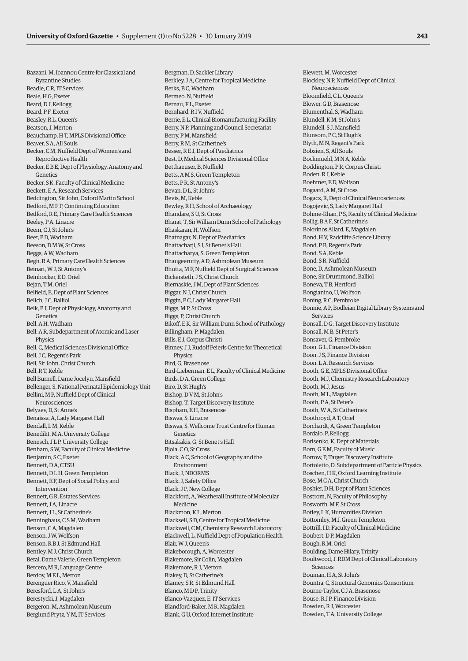Bazzani, M, Ioannou Centre for Classical and Byzantine Studies Beadle, C R, IT Services Beale, H G, Exeter Beard, D J, Kellogg Beard, P F, Exeter Beasley, R L, Queen's Beatson, J, Merton Beauchamp, H T, MPLS Divisional Office Beaver, S A, All Souls Becker, C M, Nuffield Dept of Women's and Reproductive Health Becker, E B E, Dept of Physiology, Anatomy and **Genetics** Becker, S K, Faculty of Clinical Medicine Beckett, E A, Research Services Beddington, Sir John, Oxford Martin School Bedford, M F P, Continuing Education Bedford, R E, Primary Care Health Sciences Beeley, P A, Linacre Beem, C. J. St John's Beer, P D, Wadham Beeson, D M W, St Cross Beggs, A W, Wadham Begh, R A, Primary Care Health Sciences Beinart, W J, St Antony's Beinhocker, E D, Oriel Bejan, T M, Oriel Belfield, E, Dept of Plant Sciences Belich, J C, Balliol Belk, P J, Dept of Physiology, Anatomy and **Genetics** Bell, A H, Wadham Bell, A R, Subdepartment of Atomic and Laser Physics Bell, C, Medical Sciences Divisional Office Bell, J C, Regent's Park Bell, Sir John, Christ Church Bell, R T, Keble Bell Burnell, Dame Jocelyn, Mansfield Bellenger, S, National Perinatal Epidemiology Unit Bellini, M P, Nuffield Dept of Clinical Neurosciences Belyaev, D, St Anne's Benaissa, A, Lady Margaret Hall Bendall, L M, Keble Benedikt, M A, University College Benesch, J L P, University College Benham, S W, Faculty of Clinical Medicine Benjamin, S C, Exeter Bennett, D A, CTSU Bennett, D L H, Green Templeton Bennett, E F, Dept of Social Policy and Intervention Bennett, G R, Estates Services Bennett, J A, Linacre Bennett, J L, St Catherine's Benninghaus, C S M, Wadham Benson, C A, Magdalen Benson, J W, Wolfson Benson, R B J, St Edmund Hall Bentley, M J, Christ Church Beral, Dame Valerie, Green Templeton Bercero, M R, Language Centre Berdoy, M E L, Merton Berenguer Rico, V, Mansfield Beresford, L A, St John's Berestycki, J, Magdalen Bergeron, M, Ashmolean Museum Berglund Prytz, Y M, IT Services

Bergman, D, Sackler Library Berkley, J A, Centre for Tropical Medicine Berks, B C, Wadham Bermeo, N, Nuffield Bernau, F L, Exeter Bernhard, R I V, Nuffield Berrie, E L, Clinical Biomanufacturing Facility Berry, N P, Planning and Council Secretariat Berry, P M, Mansfield Berry, R M, St Catherine's Besser, R E J, Dept of Paediatrics Best, D, Medical Sciences Divisional Office Betthaeuser, B, Nuffield Betts, A M S, Green Templeton Betts, P R, St Antony's Bevan, D L, St John's Bevis, M, Keble Bewley, R H, School of Archaeology Bhandare, S U, St Cross Bharat, T, Sir William Dunn School of Pathology Bhaskaran, H, Wolfson Bhatnagar, N, Dept of Paediatrics Bhattacharji, S I, St Benet's Hall Bhattacharya, S, Green Templeton Bhaugeerutty, A D, Ashmolean Museum Bhutta, M F, Nuffield Dept of Surgical Sciences Bickersteth, J S, Christ Church Biernaskie, J M, Dept of Plant Sciences Biggar, N J, Christ Church Biggin, P C, Lady Margaret Hall Biggs, M P, St Cross Biggs, P, Christ Church Bikoff, E K, Sir William Dunn School of Pathology Billingham, P, Magdalen Bills, E J, Corpus Christi Binney, J J, Rudolf Peierls Centre for Theoretical **Physics** Bird, G, Brasenose Bird-Lieberman, E L, Faculty of Clinical Medicine Birds, D A, Green College Biro, D, St Hugh's Bishop, D V M, St John's Bishop, T, Target Discovery Institute Bispham, E H, Brasenose Biswas, S, Linacre Biswas, S, Wellcome Trust Centre for Human Genetics Bitsakakis, G, St Benet's Hall Bjola, C O, St Cross Black, A C, School of Geography and the Environment Black, J, NDORMS Black, J, Safety Office Black, J P, New College Blackford, A, Weatherall Institute of Molecular Medicine Blackmon, K L, Merton Blacksell, S D, Centre for Tropical Medicine Blackwell, C M, Chemistry Research Laboratory Blackwell, L, Nuffield Dept of Population Health Blair, W J, Queen's Blakeborough, A, Worcester Blakemore, Sir Colin, Magdalen Blakemore, R J, Merton Blakey, D, St Catherine's Blamey, S R, St Edmund Hall Blanco, M D P, Trinity Blanco-Vazquez, E, IT Services Blandford-Baker, M R, Magdalen Blank, G U, Oxford Internet Institute

Blewett, M, Worcester Blockley, N P, Nuffield Dept of Clinical Neurosciences Bloomfield, C L, Queen's Blower, G D, Brasenose Blumenthal, S, Wadham Blundell, K M, St John's Blundell, S J, Mansfield Blunsom, PC, St Hugh's Blyth, M N, Regent's Park Bobzien, S, All Souls Bockmuehl, M N A, Keble Boddington, P R, Corpus Christi Boden, R J, Keble Boehmer, E D, Wolfson Bogaard, A M, St Cross Bogacz, R, Dept of Clinical Neurosciences Bogojevic, S, Lady Margaret Hall Bohme-Khan, P S, Faculty of Clinical Medicine Bollig, B A F, St Catherine's Bolorinos Allard, E, Magdalen Bond, H V, Radcliffe Science Library Bond, P B, Regent's Park Bond, S A, Keble Bond, S.R. Nuffield Bone, D, Ashmolean Museum Bone, Sir Drummond, Balliol Boneva, T B, Hertford Bongianino, U, Wolfson Boning, R C, Pembroke Bonnie, A P, Bodleian Digital Library Systems and Services Bonsall, D G, Target Discovery Institute Bonsall, M B, St Peter's Bonsaver, G, Pembroke Boon, G L, Finance Division Boon, J S, Finance Division Boon, L A, Research Services Booth, G E, MPLS Divisional Office Booth, M J, Chemistry Research Laboratory Booth, M.J. Jesus Booth, M L, Magdalen Booth, P A, St Peter's Booth, W A, St Catherine's Boothroyd, A T, Oriel Borchardt, A, Green Templeton Bordalo, P, Kellogg Borisenko, K, Dept of Materials Born, G E M, Faculty of Music Borrow, P, Target Discovery Institute Bortoletto, D, Subdepartment of Particle Physics Boschen, H K, Oxford Learning Institute Bose, M C A, Christ Church Boshier, D H, Dept of Plant Sciences Bostrom, N, Faculty of Philosophy Bosworth, M F, St Cross Botley, L K, Humanities Division Bottomley, M J, Green Templeton Bottrill, I D, Faculty of Clinical Medicine Boubert, D P, Magdalen Bough, R M, Oriel Boulding, Dame Hilary, Trinity Boultwood, J, RDM Dept of Clinical Laboratory Sciences Bouman, H A, St John's Bountra, C, Structural Genomics Consortium Bourne-Taylor, C J A, Brasenose Bouse, R J P, Finance Division Bowden, R J, Worcester Bowden, T A, University College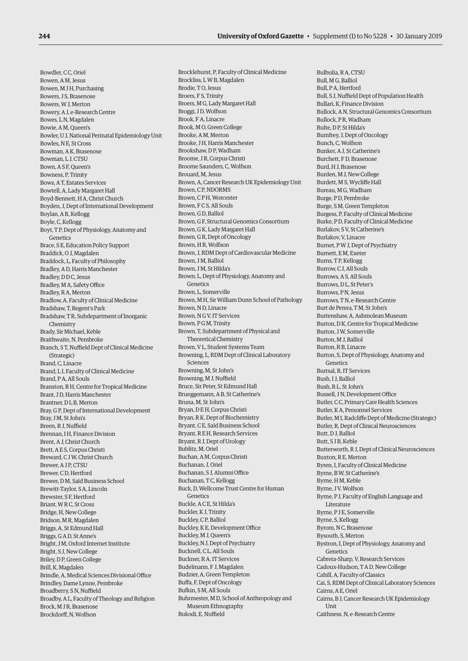Bowdler, C C, Oriel Bowen, A M, Jesus Bowen, M J H, Purchasing Bowers, J S, Brasenose Bowers, W J, Merton Bowery, A J, e-Research Centre Bowes, LN Magdalen Bowie, A M, Queen's Bowler, U J, National Perinatal Epidemiology Unit Bowles, N E, St Cross Bowman, A K, Brasenose Bowman, L J, CTSU Bown, A S F, Queen's Bowness, P, Trinity Bows, A T, Estates Services Bowtell, A, Lady Margaret Hall Boyd-Bennett, H A, Christ Church Boyden, J, Dept of International Development Boylan, A R, Kellogg Boyle, C, Kellogg Boyt, T P, Dept of Physiology, Anatomy and Genetics Brace, S E, Education Policy Support Braddick, O J, Magdalen Braddock, L, Faculty of Philosophy Bradley, A D, Harris Manchester Bradley, DDC, Jesus Bradley, M A, Safety Office Bradley, R A, Merton Bradlow, A, Faculty of Clinical Medicine Bradshaw, T, Regent's Park Bradshaw, T R, Subdepartment of Inorganic Chemistry Brady, Sir Michael, Keble Braithwaite, N, Pembroke Branch, S T, Nuffield Dept of Clinical Medicine (Strategic) Brand, C, Linacre Brand, L I, Faculty of Clinical Medicine Brand, P A, All Souls Branston, R H, Centre for Tropical Medicine Brant, J D, Harris Manchester Brantner, D L B, Merton Bray, G P, Dept of International Development Bray, J M, St John's Breen, R J, Nuffield Brennan, I H, Finance Division Brent, A J, Christ Church Brett, A E S, Corpus Christi Breward, C J W, Christ Church Brewer, A J P, CTSU Brewer, C D, Hertford Brewer, D M, Saïd Business School Brewitt-Taylor, S A, Lincoln Brewster, S F, Hertford Briant, W R C, St Cross Bridge, H, New College Bridson, M R, Magdalen Briggs, A, St Edmund Hall Briggs, G A D, St Anne's Bright, J M, Oxford Internet Institute Bright, S J, New College Briley, D P, Green College Brill, K, Magdalen Brindle, A, Medical Sciences Divisional Office Brindley, Dame Lynne, Pembroke Broadberry, S N, Nuffield Broadby, A L, Faculty of Theology and Religion Brock, M J R, Brasenose Brockdorff, N, Wolfson

Brocklehurst, P, Faculty of Clinical Medicine Brockliss, L W B, Magdalen Brodie, T O, Jesus Broers, F.S. Trinity Broers, M G, Lady Margaret Hall Broggi, J D, Wolfson Brook, F A, Linacre Brook, M O, Green College Brooke, A M, Merton Brooke, J H, Harris Manchester Brookshaw, D P, Wadham Broome, J R, Corpus Christi Broome Saunders, C, Wolfson Brouard, M, Jesus Brown, A, Cancer Research UK Epidemiology Unit Brown, CP, NDORMS Brown, C P H, Worcester Brown, F.C.S. All Souls Brown, G D, Balliol Brown, G F, Structural Genomics Consortium Brown, G K, Lady Margaret Hall Brown, G R, Dept of Oncology Brown, H R, Wolfson Brown, J, RDM Dept of Cardiovascular Medicine Brown, JM, Balliol Brown, J M, St Hilda's Brown, L, Dept of Physiology, Anatomy and Genetics Brown, L, Somerville Brown, M H, Sir William Dunn School of Pathology Brown, N D, Linacre Brown, N G V, IT Services Brown, P G M, Trinity Brown, T, Subdepartment of Physical and Theoretical Chemistry Brown, V L, Student Systems Team Browning, L, RDM Dept of Clinical Laboratory Sciences Browning, M, St John's Browning, M J, Nuffield Bruce, Sir Peter, St Edmund Hall Brueggemann, A B, St Catherine's Bruna, M, St John's Bryan, D E H, Corpus Christi Bryan, R K, Dept of Biochemistry Bryant, C E, Saïd Business School Bryant, R E H, Research Services Bryant, R J, Dept of Urology Bublitz, M, Oriel Buchan, A M, Corpus Christi Buchanan, J, Oriel Buchanan, S J, Alumni Office Buchanan, T C, Kellogg Buck, D, Wellcome Trust Centre for Human Genetics Buckle, A C E, St Hilda's Buckler, K J, Trinity Buckley, C P, Balliol Buckley, K E, Development Office Buckley, M J, Queen's Buckley, N J, Dept of Psychiatry Bucknell, C L, All Souls Buckner, R A, IT Services Budelmann, F J, Magdalen Budzier, A, Green Templeton Buffa, F, Dept of Oncology Bufkin, S M, All Souls Buhrmester, M D, School of Anthropology and Museum Ethnography Bukodi, E, Nuffield

Bulbulia, R A, CTSU Bull, M G, Balliol Bull, P A, Hertford Bull, S J, Nuffield Dept of Population Health Bullari, K, Finance Division Bullock, A N, Structural Genomics Consortium Bullock, PR, Wadham Bulte, D P, St Hilda's Bumfrey, J, Dept of Oncology Bunch, C, Wolfson Bunker, A J, St Catherine's Burchett, F D, Brasenose Burd, H J, Brasenose Burden, M J, New College Burdett, M S, Wycliffe Hall Bureau, M G, Wadham Burge, P D, Pembroke Burge, S M, Green Templeton Burgess, P, Faculty of Clinical Medicine Burke, P D, Faculty of Clinical Medicine Burlakov, S.V. St Catherine's Burlakov, V, Linacre Burnet, P W J, Dept of Psychiatry Burnett, E M, Exeter Burns, T P, Kellogg Burrow, C J, All Souls Burrows, A S, All Souls Burrows, D L, St Peter's Burrows, PN, Jesus Burrows, T N, e-Research Centre Burt de Perera, T M, St John's Burtenshaw, A, Ashmolean Museum Burton, D K, Centre for Tropical Medicine Burton, J W, Somerville Burton, M J, Balliol Burton, R B, Linacre Burton, S, Dept of Physiology, Anatomy and Genetics Burtsal, R, IT Services Bush, I J, Balliol Bush, R L, St John's Bussell, J N, Development Office Butler, C C, Primary Care Health Sciences Butler, K A, Personnel Services Butler, M I, Radcliffe Dept of Medicine (Strategic) Butler, R, Dept of Clinical Neurosciences Butt, D J, Balliol Butt, S J B, Keble Butterworth, R J, Dept of Clinical Neurosciences Buxton, R E, Merton Byren, I, Faculty of Clinical Medicine Byrne, B W, St Catherine's Byrne, H M, Keble Byrne, J V, Wolfson Byrne, P J, Faculty of English Language and Literature Byrne, P J E, Somerville Byrne, S, Kellogg Byrom, N C, Brasenose Bysouth, S, Merton Bystron, I, Dept of Physiology, Anatomy and Genetics Cabrera-Sharp, V, Research Services Cadoux-Hudson, T A D, New College Cahill, A, Faculty of Classics Cai, S, RDM Dept of Clinical Laboratory Sciences Cairns, A E, Oriel Cairns, B J, Cancer Research UK Epidemiology Unit Caithness, N, e-Research Centre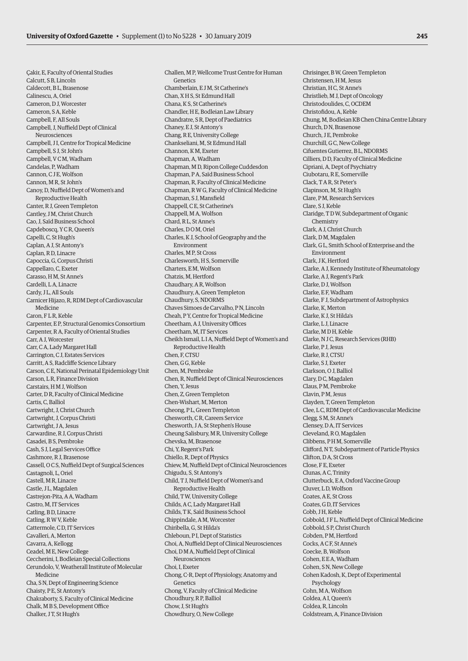Çakir, E, Faculty of Oriental Studies Calcutt, S B, Lincoln Caldecott, B L, Brasenose Calinescu, A, Oriel Cameron, D J, Worcester Cameron, S A, Keble Campbell, F, All Souls Campbell, J, Nuffield Dept of Clinical Neurosciences Campbell, J I, Centre for Tropical Medicine Campbell, S J, St John's Campbell, V C M, Wadham Candelas, P, Wadham Cannon, C J E, Wolfson Cannon, M R, St John's Canoy, D, Nuffield Dept of Women's and Reproductive Health Canter, R J, Green Templeton Cantley, J M, Christ Church Cao, J, Saïd Business School Capdeboscq, Y C R, Queen's Capelli, C, St Hugh's Caplan, A J, St Antony's Caplan, R D, Linacre Capoccia, G, Corpus Christi Cappellaro, C, Exeter Carasso, H M, St Anne's Cardelli, L A, Linacre Cardy, J L, All Souls Carnicer Hijazo, R, RDM Dept of Cardiovascular Medicine Caron, F.L.R. Keble Carpenter, E P, Structural Genomics Consortium Carpenter, R A, Faculty of Oriental Studies Carr, A J, Worcester Carr, C A, Lady Margaret Hall Carrington, C J, Estates Services Carritt, A S, Radcliffe Science Library Carson, C E, National Perinatal Epidemiology Unit Carson, L R, Finance Division Carstairs, H M J, Wolfson Carter, D R, Faculty of Clinical Medicine Cartis, C, Balliol Cartwright, J, Christ Church Cartwright, J, Corpus Christi Cartwright, J A, Jesus Carwardine, R J, Corpus Christi Casadei, B S, Pembroke Cash, S J, Legal Services Office Cashmore, R J, Brasenose Cassell, O C S, Nuffield Dept of Surgical Sciences Castagnoli, L, Oriel Castell, M R, Linacre Castle, J L, Magdalen Castrejon-Pita, A A, Wadham Castro, M, IT Services Catling, B D, Linacre Catling, R W V, Keble Cattermole, C.D. IT Services Cavalleri, A, Merton Cavarra, A, Kellogg Ceadel, M E, New College Ceccherini, I, Bodleian Special Collections Cerundolo, V, Weatherall Institute of Molecular Medicine Cha, S N, Dept of Engineering Science Chaisty, P E, St Antony's Chakraborty, S, Faculty of Clinical Medicine Chalk, M B S, Development Office

Chalker, J T, St Hugh's

Challen, M P, Wellcome Trust Centre for Human Genetics Chamberlain, E J M, St Catherine's Chan, X H S, St Edmund Hall Chana, K S, St Catherine's Chandler, H E, Bodleian Law Library Chandratre, S R, Dept of Paediatrics Chaney, E J, St Antony's Chang, R E, University College Chankseliani, M, St Edmund Hall Channon, K M, Exeter Chapman, A, Wadham Chapman, M D, Ripon College Cuddesdon Chapman, P A, Saïd Business School Chapman, R, Faculty of Clinical Medicine Chapman, R W G, Faculty of Clinical Medicine Chapman, S J, Mansfield Chappell, C.E. St Catherine's Chappell, M A, Wolfson Chard, R L, St Anne's Charles, D O M, Oriel Charles, K J, School of Geography and the Environment Charles, M P, St Cross Charlesworth, H.S. Somerville Charters, E M, Wolfson Chatzis, M, Hertford Chaudhary, A R, Wolfson Chaudhury, A, Green Templeton Chaudhury, S, NDORMS Chaves Simoes de Carvalho, P N, Lincoln Cheah, P Y, Centre for Tropical Medicine Cheetham, A J, University Offices Cheetham, M, IT Services Cheikh Ismail, L I A, Nuffield Dept of Women's and Reproductive Health Chen, F, CTSU Chen, G G, Keble Chen, M, Pembroke Chen, R, Nuffield Dept of Clinical Neurosciences Chen, Y, Jesus Chen, Z, Green Templeton Chen-Wishart, M, Merton Cheong, P L, Green Templeton Chesworth, C R, Careers Service Chesworth, J A, St Stephen's House Cheung Salisbury, M R, University College Chevska, M, Brasenose Chi, Y, Regent's Park Chiello, R, Dept of Physics Chiew, M, Nuffield Dept of Clinical Neurosciences Chigudu, S, St Antony's Child, T J, Nuffield Dept of Women's and Reproductive Health Child, T W, University College Childs, A C, Lady Margaret Hall Childs, T K, Saïd Business School Chippindale, A M, Worcester Chiribella, G, St Hilda's Chleboun, P I, Dept of Statistics Choi, A, Nuffield Dept of Clinical Neurosciences Choi, D M A, Nuffield Dept of Clinical Neurosciences Choi, I, Exeter Chong, C-R, Dept of Physiology, Anatomy and Genetics Chong, V, Faculty of Clinical Medicine Choudhury, R P, Balliol Chow, J, St Hugh's Chowdhury, O, New College

Chrisinger, B W, Green Templeton Christensen, H M, Jesus Christian, H.C. St Anne's Christlieb, M J, Dept of Oncology Christodoulides, C, OCDEM Christofidou, A, Keble Chung, M, Bodleian KB Chen China Centre Library Church, D N, Brasenose Church, J.E. Pembroke Churchill, G C, New College Cifuentes Gutierrez, B L, NDORMS Cilliers, D D, Faculty of Clinical Medicine Cipriani, A, Dept of Psychiatry Ciubotaru, R E, Somerville Clack, T A R, St Peter's Clapinson, M, St Hugh's Clare, P M, Research Services Clare, S J, Keble Claridge, T D W, Subdepartment of Organic Chemistry Clark, A J, Christ Church Clark, D M, Magdalen Clark, G L, Smith School of Enterprise and the Environment Clark, J K, Hertford Clarke, A J, Kennedy Institute of Rheumatology Clarke, A J, Regent's Park Clarke, D J, Wolfson Clarke, E F, Wadham Clarke, F J, Subdepartment of Astrophysics Clarke, K, Merton Clarke, K J, St Hilda's Clarke, L J, Linacre Clarke, M D H, Keble Clarke, N J C, Research Services (RHB) Clarke, P J, Jesus Clarke, R J, CTSU Clarke, S J, Exeter Clarkson, O J, Balliol Clary, D C, Magdalen Claus, PM, Pembroke Clavin, P M, Jesus Clayden, T, Green Templeton Clee, L C, RDM Dept of Cardiovascular Medicine Clegg, S M, St Anne's Clensey, D A, IT Services Cleveland, R O, Magdalen Clibbens, P H M, Somerville Clifford, N T, Subdepartment of Particle Physics Clifton, D A, St Cross Close, F E, Exeter Clunas, A C, Trinity Clutterbuck, E A, Oxford Vaccine Group Cluver, L D, Wolfson Coates, A E, St Cross Coates, G D, IT Services Cobb, J H, Keble Cobbold, J F L, Nuffield Dept of Clinical Medicine Cobbold, S P, Christ Church Cobden, P M, Hertford Cocks, A C F, St Anne's Coecke, B, Wolfson Cohen, E E A, Wadham Cohen, S N, New College Cohen Kadosh, K, Dept of Experimental Psychology Cohn, M A, Wolfson Coldea, AT, Queen's Coldea, R, Lincoln Coldstream, A, Finance Division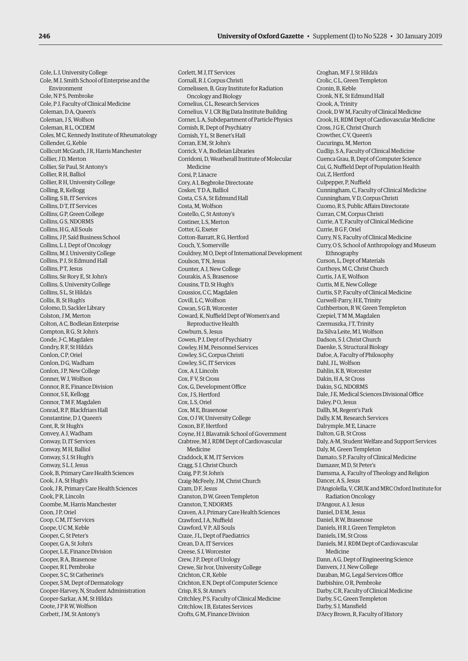Cole, L J, University College Cole, M J, Smith School of Enterprise and the Environment Cole, N P S, Pembroke Cole, P J, Faculty of Clinical Medicine Coleman, D A, Queen's Coleman, J S, Wolfson Coleman, R L, OCDEM Coles, M C, Kennedy Institute of Rheumatology Collender, G, Keble Collicutt McGrath, J R, Harris Manchester Collier, J D, Merton Collier, Sir Paul, St Antony's Collier, R H, Balliol Collier, R H, University College Colling, R, Kellogg Colling, S B, IT Services Collins, D T, IT Services Collins, G P, Green College Collins, G S, NDORMS Collins, H G, All Souls Collins, J P, Saïd Business School Collins, L J, Dept of Oncology Collins, M J, University College Collins, P J, St Edmund Hall Collins, P T, Jesus Collins, Sir Rory E, St John's Collins, S, University College Collins, S L, St Hilda's Collis, B, St Hugh's Colomo, D, Sackler Library Colston, J.M. Merton, Colton, A C, Bodleian Enterprise Compton, R G, St John's Conde, J-C, Magdalen Condry, R F, St Hilda's Conlon, C P, Oriel Conlon, D G, Wadham Conlon, J P, New College Conner, W J, Wolfson Connor, R E, Finance Division Connor, S E, Kellogg Connor, T M F, Magdalen Conrad, R P, Blackfriars Hall Constantine, D J, Queen's Cont, R, St Hugh's Convey, A J, Wadham Conway, D, IT Services Conway, M H, Balliol Conway, S J, St Hugh's Conway, S L J, Jesus Cook, B, Primary Care Health Sciences Cook, J A, St Hugh's Cook, J R, Primary Care Health Sciences Cook, PR, Lincoln Coombe, M, Harris Manchester Coon, J P, Oriel Coop, C M, IT Services Coope, U C M, Keble Cooper, C, St Peter's Cooper, G A, St John's Cooper, L E, Finance Division Cooper, R A, Brasenose Cooper, R I, Pembroke Cooper, S C, St Catherine's Cooper, S M, Dept of Dermatology Cooper-Harvey, N, Student Administration Cooper-Sarkar, A M, St Hilda's Coote, J P R W, Wolfson Corbett, J M, St Antony's

Corlett, M J, IT Services Cornall, R J, Corpus Christi Cornelissen, B, Gray Institute for Radiation Oncology and Biology Cornelius, C L, Research Services Cornelius, V J, CR Big Data Institute Building Corner, L A, Subdepartment of Particle Physics Cornish, R, Dept of Psychiatry Cornish, Y L, St Benet's Hall Corran, E M, St John's Corrick, V A, Bodleian Libraries Corridoni, D, Weatherall Institute of Molecular Medicine Corsi, P. Linacre Cory, A I, Begbroke Directorate Cosker, T.D.A. Balliol Costa, C S A, St Edmund Hall Costa, M, Wolfson Costello, C, St Antony's Costiner, L S, Merton Cotter G, Exeter Cotton-Barratt, R G, Hertford Couch, Y, Somerville Couldrey, M O, Dept of International Development Coulson, T N, Jesus Counter, A J, New College Courakis, A S, Brasenose Cousins, T D, St Hugh's Coussios, C C, Magdalen Covill, L.C. Wolfson Cowan, S G B, Worcester Coward, K, Nuffield Dept of Women's and Reproductive Health Cowburn, S, Jesus Cowen, P J, Dept of Psychiatry Cowley, H M, Personnel Services Cowley, S C, Corpus Christi Cowley, S C, IT Services Cox, A J, Lincoln Cox, F V, St Cross Cox, G, Development Office Cox, J S, Hertford Cox, L S, Oriel Cox, M E, Brasenose Cox, O J W, University College Coxon, B F, Hertford Coyne, H J, Blavatnik School of Government Crabtree, M J, RDM Dept of Cardiovascular Medicine Craddock, K M, IT Services Cragg, S J, Christ Church Craig, P P, St John's Craig-McFeely, J M, Christ Church Cram, D F, Jesus Cranston, D W, Green Templeton Cranston, T, NDORMS Craven, A J, Primary Care Health Sciences Crawford, I A, Nuffield Crawford, V P, All Souls Craze, J L, Dept of Paediatrics Crean, D A, IT Services Creese, S J, Worcester Crew, J P, Dept of Urology Crewe, Sir Ivor, University College Crichton, C R, Keble Crichton, E N, Dept of Computer Science Crisp, R S, St Anne's Critchley, P S, Faculty of Clinical Medicine Critchlow, I B, Estates Services Crofts, G M, Finance Division

Croghan, M F J, St Hilda's Crolic, C L, Green Templeton Cronin, B, Keble Cronk, N E, St Edmund Hall Crook, A, Trinity Crook, D W M, Faculty of Clinical Medicine Crook, H, RDM Dept of Cardiovascular Medicine Cross, J G E, Christ Church Crowther, C.V, Queen's Cucuringu, M, Merton Cudlip, S A, Faculty of Clinical Medicine Cuenca Grau, B, Dept of Computer Science Cui, G, Nuffield Dept of Population Health Cui, Z, Hertford Culpepper, P, Nuffield Cunningham, C, Faculty of Clinical Medicine Cunningham, V D, Corpus Christi Cuomo, R S, Public Affairs Directorate Curran, C M, Corpus Christi Currie, A T, Faculty of Clinical Medicine Currie, BGF Oriel Curry, N S, Faculty of Clinical Medicine Curry, O S, School of Anthropology and Museum Ethnography Curson, L, Dept of Materials Curthoys, M C, Christ Church Curtis, J A E, Wolfson Curtis, M E, New College Curtis, S P, Faculty of Clinical Medicine Curwell-Parry, H E, Trinity Cuthbertson, R W, Green Templeton Czepiel, T M M, Magdalen Czernuszka, J T, Trinity Da Silva Leite, M I, Wolfson Dadson, S J, Christ Church Daenke, S, Structural Biology Dafoe, A, Faculty of Philosophy Dahl, J L, Wolfson Dahlin, K B, Worcester Dakin, H A, St Cross Dakin, S.G. NDORMS Dale, J E, Medical Sciences Divisional Office Daley, P O, Jesus Dallh, M, Regent's Park Dally, K M, Research Services Dalrymple, M E, Linacre Dalton, G B, St Cross Daly, A-M, Student Welfare and Support Services Daly, M, Green Templeton Damato, S P, Faculty of Clinical Medicine Damazer, M D, St Peter's Damsma, A, Faculty of Theology and Religion Dancer, A S, Jesus D'Angiolella, V, CRUK and MRC Oxford Institute for Radiation Oncology D'Angour, A J, Jesus Daniel, D E M, Jesus Daniel, R W, Brasenose Daniels, H R J, Green Templeton Daniels, I M, St Cross Daniels, M J, RDM Dept of Cardiovascular Medicine Dann, A G, Dept of Engineering Science Danvers, J J, New College Daraban, M G, Legal Services Office Darbishire, O R, Pembroke Darby, C R, Faculty of Clinical Medicine Darby, S C, Green Templeton Darby, S J, Mansfield D'Arcy Brown, R, Faculty of History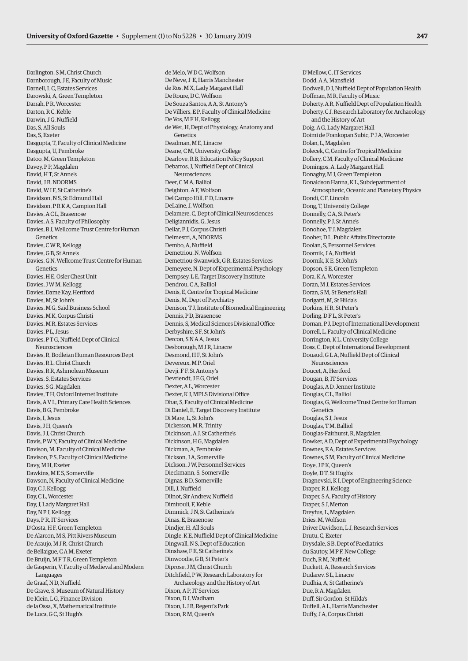Darlington, S M, Christ Church Darnborough, J E, Faculty of Music Darnell, L C, Estates Services Darowski, A, Green Templeton Darrah, P R, Worcester Darton, R C, Keble Darwin, J G, Nuffield Das, S, All Souls Das, S, Exeter Dasgupta, T, Faculty of Clinical Medicine Dasgupta, U, Pembroke Datoo, M, Green Templeton Davey, PP, Magdalen David, H T, St Anne's David, J B, NDORMS David, W I F, St Catherine's Davidson, N S, St Edmund Hall Davidson, P R K A, Campion Hall Davies, A C L, Brasenose Davies, A S, Faculty of Philosophy Davies, B J, Wellcome Trust Centre for Human Genetics Davies, C.W.R. Kellogg Davies, G B, St Anne's Davies, G N, Wellcome Trust Centre for Human Genetics Davies, H E, Osler Chest Unit Davies, J W M, Kellogg Davies, Dame Kay, Hertford Davies, M, St John's Davies, M G, Saïd Business School Davies, M K, Corpus Christi Davies, M R, Estates Services Davies, P L, Jesus Davies, P T G, Nuffield Dept of Clinical Neurosciences Davies, R, Bodleian Human Resources Dept Davies, R L, Christ Church Davies, R.R. Ashmolean Museum Davies, S, Estates Services Davies, S.G. Magdalen Davies, T H, Oxford Internet Institute Davis, A V L, Primary Care Health Sciences Davis, B G, Pembroke Davis, I, Jesus Davis, J H, Queen's Davis, J J, Christ Church Davis, P W Y, Faculty of Clinical Medicine Davison, M, Faculty of Clinical Medicine Davison, P S, Faculty of Clinical Medicine Davy, M H, Exeter Dawkins, M E S, Somerville Dawson, N, Faculty of Clinical Medicine Day, C J, Kellogg Day, C.L. Worcester Day, J, Lady Margaret Hall Day, N P J, Kellogg Days, P R, IT Services D'Costa, H F, Green Templeton De Alarcon, M S, Pitt Rivers Museum De Araujo, M J R, Christ Church de Bellaigue, C A M, Exeter De Bruijn, M F T R, Green Templeton de Gasperin, V, Faculty of Medieval and Modern Languages de Graaf, N D, Nuffield De Grave, S, Museum of Natural History De Klein, L G, Finance Division de la Ossa, X, Mathematical Institute De Luca, G C, St Hugh's

de Melo, WDC, Wolfson De Neve, J-E, Harris Manchester de Ros, M X, Lady Margaret Hall De Roure, D C, Wolfson De Souza Santos, A A, St Antony's De Villiers, E P, Faculty of Clinical Medicine De Vos, M F H, Kellogg de Wet, H, Dept of Physiology, Anatomy and Genetics Deadman, M E, Linacre Deane, C M, University College Dearlove, R B, Education Policy Support Debarros, J, Nuffield Dept of Clinical Neurosciences Deer, C M A, Balliol Deighton, A F, Wolfson Del Campo Hill, F D, Linacre DeLaine, J, Wolfson Delamere, C, Dept of Clinical Neurosciences Deligiannidis, G, Jesus Dellar, P J, Corpus Christi Delmestri, A, NDORMS Dembo, A, Nuffield Demetriou, N, Wolfson Demetriou-Swanwick, G R, Estates Services Demeyere, N, Dept of Experimental Psychology Dempsey, L E, Target Discovery Institute Dendrou, C A, Balliol Denis, E, Centre for Tropical Medicine Denis, M, Dept of Psychiatry Denison, T J, Institute of Biomedical Engineering Dennis, P.D. Brasenose Dennis, S, Medical Sciences Divisional Office Derbyshire, S F, St John's Dercon, S N A A, Jesus Desborough, M J R, Linacre Desmond, H F, St John's Devereux, M P, Oriel Devij, F.F. St Antony's Devriendt, J E G, Oriel Dexter, A L, Worcester Dexter, K J, MPLS Divisional Office Dhar, S, Faculty of Clinical Medicine Di Daniel, E, Target Discovery Institute Di Mare, L, St John's Dickerson, M R, Trinity Dickinson, A J, St Catherine's Dickinson, H G, Magdalen Dickman, A, Pembroke Dickson, J.A. Somerville Dickson, J W, Personnel Services Dieckmann, S, Somerville Dignas, B D, Somerville Dill, J, Nuffield Dilnot, Sir Andrew, Nuffield Dimirouli, F, Keble Dimmick, J N, St Catherine's Dinas, E, Brasenose Dindjer, H, All Souls Dingle, K E, Nuffield Dept of Clinical Medicine Dingwall, N S, Dept of Education Dinshaw, F E, St Catherine's Dinwoodie, G B, St Peter's Diprose, J.M. Christ Church Ditchfield, P W, Research Laboratory for Archaeology and the History of Art Dixon, A P, IT Services Dixon, D J, Wadham Dixon, L J B, Regent's Park Dixon, R M, Queen's

D'Mellow, C, IT Services Dodd, A A, Mansfield Dodwell, D J, Nuffield Dept of Population Health Doffman, M R, Faculty of Music Doherty, A R, Nuffield Dept of Population Health Doherty, C J, Research Laboratory for Archaeology and the History of Art Doig, A G, Lady Margaret Hall Doimi de Frankopan Subic, P J A, Worcester Dolan, L, Magdalen Dolecek, C, Centre for Tropical Medicine Dollery, C M, Faculty of Clinical Medicine Domingos, A, Lady Margaret Hall Donaghy, M J, Green Templeton Donaldson Hanna, K L, Subdepartment of Atmospheric, Oceanic and Planetary Physics Dondi, C F, Lincoln Dong, T, University College Donnelly, C A, St Peter's Donnelly, P J, St Anne's Donohoe, T J, Magdalen Dooher, D L, Public Affairs Directorate Doolan, S, Personnel Services Doornik, J A, Nuffield Doornik, K E, St John's Dopson, S E, Green Templeton Dora, K A, Worcester Doran, M J, Estates Services Doran, S M, St Benet's Hall Dorigatti, M, St Hilda's Dorkins, H R, St Peter's Dorling, D.F.L. St Peter's Dornan, P J, Dept of International Development Dorrell, L, Faculty of Clinical Medicine Dorrington, K L, University College Doss, C, Dept of International Development Douaud, G L A, Nuffield Dept of Clinical Neurosciences Doucet, A, Hertford Dougan, B, IT Services Douglas, A D, Jenner Institute Douglas, C L, Balliol Douglas, G, Wellcome Trust Centre for Human Genetics Douglas, S J, Jesus Douglas, T M, Balliol Douglas-Fairhurst, R, Magdalen Dowker, A D, Dept of Experimental Psychology Downes, E A, Estates Services Downes, S M, Faculty of Clinical Medicine Doye, J P K, Queen's Doyle, D T, St Hugh's Dragnevski, K I, Dept of Engineering Science Draper, R J, Kellogg Draper, S A, Faculty of History Draper, S J, Merton Dreyfus, L, Magdalen Dries, M, Wolfson Driver Davidson, L J, Research Services Drutu, C, Exeter Drysdale, S B, Dept of Paediatrics du Sautoy, M P F, New College Duch, R M, Nuffield Duckett, A, Research Services Dudarev, S L, Linacre Dudhia, A, St Catherine's Due, R A, Magdalen Duff, Sir Gordon, St Hilda's Duffell, A L, Harris Manchester Duffy, J A, Corpus Christi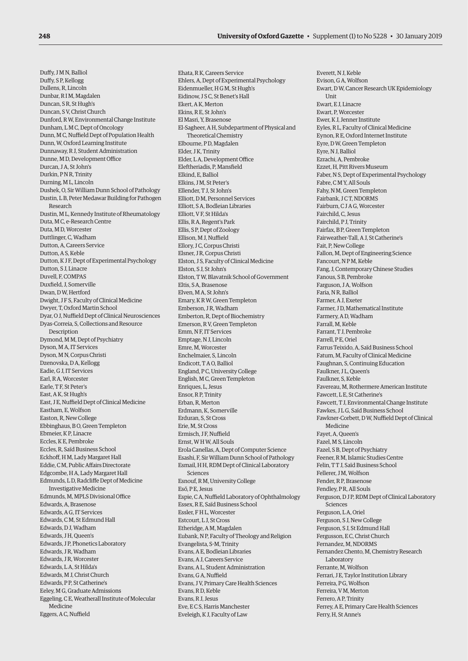Duffy, J M N, Balliol Duffy, S P, Kellogg Dullens, R, Lincoln Dunbar, R I M, Magdalen Duncan, S R, St Hugh's Duncan, S V, Christ Church Dunford, R W, Environmental Change Institute Dunham, L M C, Dept of Oncology Dunn, M C, Nuffield Dept of Population Health Dunn, W, Oxford Learning Institute Dunnaway, R J, Student Administration Dunne, M D, Development Office Durcan, J A, St John's Durkin, P N R, Trinity Durning, M L, Lincoln Dushek, O, Sir William Dunn School of Pathology Dustin, L B, Peter Medawar Building for Pathogen Research Dustin, M L, Kennedy Institute of Rheumatology Duta, M C, e-Research Centre Duta, M D, Worcester Duttlinger, C, Wadham Dutton, A, Careers Service Dutton, A S, Keble Dutton, K J F, Dept of Experimental Psychology Dutton, S J, Linacre Duvell, F, COMPAS Duxfield, J, Somerville Dwan, DW Hertford Dwight, J F S, Faculty of Clinical Medicine Dwyer, T, Oxford Martin School Dyar, O J, Nuffield Dept of Clinical Neurosciences Dyas-Correia, S, Collections and Resource Description Dymond, M M, Dept of Psychiatry Dyson, M A, IT Services Dyson, M N, Corpus Christi Dzenovska, D A, Kellogg Eadie, G J, IT Services Earl, R A, Worcester Earle, T F, St Peter's East, A K, St Hugh's East, J E, Nuffield Dept of Clinical Medicine Eastham, E, Wolfson Easton, R, New College Ebbinghaus, B O, Green Templeton Ebmeier, K P, Linacre Eccles, K E, Pembroke Eccles, R, Saïd Business School Eckhoff, H M, Lady Margaret Hall Eddie, C M, Public Affairs Directorate Edgcombe, H A, Lady Margaret Hall Edmunds, L D, Radcliffe Dept of Medicine Investigative Medicine Edmunds, M, MPLS Divisional Office Edwards, A, Brasenose Edwards, A G, IT Services Edwards, C M, St Edmund Hall Edwards, D J, Wadham Edwards, J H, Queen's Edwards, J P, Phonetics Laboratory Edwards, J R, Wadham Edwards, J R, Worcester Edwards, LA, St Hilda's Edwards, M J, Christ Church Edwards, PP, St Catherine's Eeley, M G, Graduate Admissions Eggeling, C E, Weatherall Institute of Molecular Medicine Eggers, A C, Nuffield

Ehata, R K, Careers Service Ehlers, A, Dept of Experimental Psychology Eidenmueller, H G M, St Hugh's Eidinow, J S C, St Benet's Hall Ekert, A K, Merton Ekins, R E, St John's El Masri, Y, Brasenose El-Sagheer, A H, Subdepartment of Physical and Theoretical Chemistry Elbourne, P D, Magdalen Elder, J K, Trinity Elder, L A, Development Office Eleftheriadis, P, Mansfield Elkind, E, Balliol Elkins, J M, St Peter's Ellender, T J, St John's Elliott, D M, Personnel Services Elliott, S A, Bodleian Libraries Elliott, V F, St Hilda's Ellis, R A, Regent's Park Ellis, S P, Dept of Zoology Ellison, M J, Nuffield Ellory, J C, Corpus Christi Elsner, J R, Corpus Christi Elston, J S, Faculty of Clinical Medicine Elston, S J, St John's Elston, T W, Blavatnik School of Government Eltis, S A, Brasenose Elven, M A, St John's Emary, K R W, Green Templeton Emberson, J R, Wadham Emberton, R, Dept of Biochemistry Emerson, R V, Green Templeton Emm, N F, IT Services Emptage, N J, Lincoln Emre, M, Worcester Enchelmaier, S, Lincoln Endicott, T A O, Balliol England, P C, University College English, M C, Green Templeton Enriques, L, Jesus Ensor, R P, Trinity Erban, R, Merton Erdmann, K, Somerville Erduran, S, St Cross Erie, M, St Cross Ermisch, J F, Nuffield Ernst, W H W, All Souls Erola Canellas, A, Dept of Computer Science Esashi, F, Sir William Dunn School of Pathology Esmail, H H, RDM Dept of Clinical Laboratory Sciences Esnouf, R M, University College Eső, P E, Jesus Espie, C A, Nuffield Laboratory of Ophthalmology Essex, R E, Saïd Business School Essler, F H L, Worcester Estcourt, L J, St Cross Etheridge, A M, Magdalen Eubank, N P, Faculty of Theology and Religion Evangelista, S-M, Trinity Evans, A E, Bodleian Libraries Evans, A J, Careers Service Evans, A L, Student Administration Evans, G A, Nuffield Evans, J V, Primary Care Health Sciences Evans, R D, Keble Evans, R J, Jesus Eve, E.C.S. Harris Manchester Eveleigh, K J, Faculty of Law

Everett, N J, Keble Evison, G A, Wolfson Ewart, D W, Cancer Research UK Epidemiology **Unit** Ewart, E J, Linacre Ewart, P, Worcester Ewer, K J, Jenner Institute Eyles, R L, Faculty of Clinical Medicine Eynon, R E, Oxford Internet Institute Eyre, D W, Green Templeton Eyre, N J, Balliol Ezrachi, A, Pembroke Ezzet, H, Pitt Rivers Museum Faber, N S, Dept of Experimental Psychology Fabre, C M Y, All Souls Fahy, N M, Green Templeton Fairbank, J C T, NDORMS Fairburn, C J A G, Worcester Fairchild, C, Jesus Fairchild, P J, Trinity Fairfax, B P, Green Templeton Fairweather-Tall, A J, St Catherine's Fait, P, New College Fallon, M, Dept of Engineering Science Fancourt, N P M, Keble Fang, J, Contemporary Chinese Studies Fanous, S B, Pembroke Farguson, J.A. Wolfson, Faria, N R, Balliol Farmer, A J, Exeter Farmer, J D, Mathematical Institute Farmery, A D, Wadham Farrall, M, Keble Farrant, T J, Pembroke Farrell, P E, Oriel Farrus Teixido, A, Saïd Business School Fatum, M, Faculty of Clinical Medicine Faughnan, S, Continuing Education Faulkner, J L, Queen's Faulkner, S, Keble Favereau, M, Rothermere American Institute Fawcett, L E, St Catherine's Fawcett, T J, Environmental Change Institute Fawkes, J L G, Saïd Business School Fawkner-Corbett, D W, Nuffield Dept of Clinical Medicine Fayet, A, Queen's Fazel, M S, Lincoln Fazel, S B, Dept of Psychiatry Feener, R M, Islamic Studies Centre Felin, T T J, Saïd Business School Fellerer, J M, Wolfson Fender, R P, Brasenose Fendley, P R, All Souls Ferguson, D J P, RDM Dept of Clinical Laboratory Sciences Ferguson, L A, Oriel Ferguson, S J, New College Ferguson, S J, St Edmund Hall Fergusson, E.C. Christ Church Fernandez, M, NDORMS Fernandez Chento, M, Chemistry Research Laboratory Ferrante, M, Wolfson Ferrari, J E, Taylor Institution Library Ferreira, P G, Wolfson Ferreira, V M, Merton Ferrero, A P, Trinity Ferrey, A E, Primary Care Health Sciences Ferry, H, St Anne's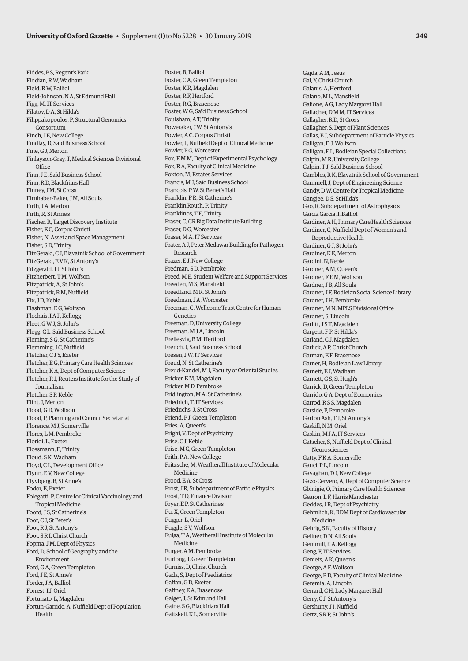Fiddes, P S, Regent's Park Fiddian, R W, Wadham Field, R W, Balliol Field-Johnson, N A, St Edmund Hall Figg, M, IT Services Filatov, D A, St Hilda's Filippakopoulos, P, Structural Genomics Consortium Finch, J E, New College Findlay, D, Saïd Business School Fine, G J, Merton Finlayson-Gray, T, Medical Sciences Divisional **Office** Finn, J E, Saïd Business School Finn, R D, Blackfriars Hall Finney, J.M. St Cross Firnhaber-Baker, J M, All Souls Firth, J A, Merton Firth, R, St Anne's Fischer, R, Target Discovery Institute Fisher, E C, Corpus Christi Fisher, N, Asset and Space Management Fisher, SD, Trinity FitzGerald, C J, Blavatnik School of Government FitzGerald, E V K, St Antony's Fitzgerald, J J, St John's Fitzherbert, T M, Wolfson Fitzpatrick, A, St John's Fitzpatrick, R M, Nuffield Fix, JD, Keble Flashman, E G, Wolfson Flechais, I A P, Kellogg Fleet, G W J, St John's Flegg, C L, Saïd Business School Fleming, S G, St Catherine's Flemming, J C, Nuffield Fletcher, C J Y, Exeter Fletcher, E G, Primary Care Health Sciences Fletcher, K A, Dept of Computer Science Fletcher, R J, Reuters Institute for the Study of Journalism Fletcher, S P, Keble Flint, J, Merton Flood, G D, Wolfson Flood, P, Planning and Council Secretariat Florence, M J, Somerville Flores, L M, Pembroke Floridi, L, Exeter Flossmann, E, Trinity Floud, S K, Wadham Floyd, C L, Development Office Flynn, E V, New College Flyvbjerg, B, St Anne's Fodor, E, Exeter Folegatti, P, Centre for Clinical Vaccinology and Tropical Medicine Foord, J S, St Catherine's Foot, C J, St Peter's Foot, R J, St Antony's Foot, S R I, Christ Church Fopma, J M, Dept of Physics Ford, D, School of Geography and the Environment Ford, G A, Green Templeton Ford, J E, St Anne's Forder, J A, Balliol Forrest, I J, Oriel Fortunato, L, Magdalen Fortun-Garrido, A, Nuffield Dept of Population Health

Foster, B, Balliol Foster, C A, Green Templeton Foster, K R, Magdalen Foster, R F, Hertford Foster, R G, Brasenose Foster, W G, Saïd Business School Foulsham, A T, Trinity Foweraker, J W, St Antony's Fowler, A C, Corpus Christi Fowler, P, Nuffield Dept of Clinical Medicine Fowler, P G, Worcester Fox, E M M, Dept of Experimental Psychology Fox, R A, Faculty of Clinical Medicine Foxton, M, Estates Services Francis, M J, Saïd Business School Francois, P W, St Benet's Hall Franklin, P R, St Catherine's Franklin Routh, P, Trinity Franklinos, T E, Trinity Fraser, C, CR Big Data Institute Building Fraser, D G, Worcester Fraser, M A, IT Services Frater, A J, Peter Medawar Building for Pathogen Research Frazer, E J, New College Fredman, S D, Pembroke Freed, M E, Student Welfare and Support Services Freeden, M S, Mansfield Freedland, M R, St John's Freedman, J A, Worcester Freeman, C, Wellcome Trust Centre for Human Genetics Freeman, D, University College Freeman, M J A, Lincoln Frellesvig, B M, Hertford French, J, Saïd Business School Fresen, J W, IT Services Freud, N, St Catherine's Freud-Kandel, M J, Faculty of Oriental Studies Fricker, E M, Magdalen Fricker, M D, Pembroke Fridlington, M A, St Catherine's Friedrich, T, IT Services Friedrichs, J, St Cross Friend, P J, Green Templeton Fries, A, Queen's Frighi, V, Dept of Psychiatry Frise, C.I. Keble Frise, M C, Green Templeton Frith, P A, New College Fritzsche, M, Weatherall Institute of Molecular Medicine Frood, E A, St Cross Frost, J R, Subdepartment of Particle Physics Frost, TD, Finance Division Fryer, E P, St Catherine's Fu, X, Green Templeton Fugger, L, Oriel Fuggle, S V, Wolfson Fulga, T A, Weatherall Institute of Molecular Medicine Furger, A M, Pembroke Furlong, J, Green Templeton Furniss, D, Christ Church Gada, S, Dept of Paediatrics Gaffan, G D, Exeter Gaffney, E A, Brasenose Gaiger, J, St Edmund Hall Gaine, S G, Blackfriars Hall Gaitskell, K L, Somerville

Gajda, A M, Jesus Gal, Y, Christ Church Galanis, A, Hertford Galano, M L, Mansfield Galione, A G, Lady Margaret Hall Gallacher, D M M, IT Services Gallagher, R D, St Cross Gallagher, S, Dept of Plant Sciences Gallas, E J, Subdepartment of Particle Physics Galligan, D J, Wolfson Galligan, F L, Bodleian Special Collections Galpin, M R, University College Galpin, T J, Saïd Business School Gambles, R K, Blavatnik School of Government Gammell, J, Dept of Engineering Science Gandy, D W, Centre for Tropical Medicine Gangjee, D S, St Hilda's Gao, R, Subdepartment of Astrophysics Garcia Garcia, I, Balliol Gardiner, A H, Primary Care Health Sciences Gardiner, C, Nuffield Dept of Women's and Reproductive Health Gardiner, G J, St John's Gardiner, K E, Merton Gardini, N, Keble Gardner, A M, Queen's Gardner, F E M, Wolfson Gardner, J B, All Souls Gardner, J F, Bodleian Social Science Library Gardner, J.H. Pembroke Gardner, M N, MPLS Divisional Office Gardner, S, Lincoln Garfitt, J S T, Magdalen Gargent, F P, St Hilda's Garland, C J, Magdalen Garlick, A P, Christ Church Garman, E F, Brasenose Garner, H, Bodleian Law Library Garnett, E J, Wadham Garnett, G S, St Hugh's Garrick, D, Green Templeton Garrido, G A, Dept of Economics Garrod, R S S, Magdalen Garside, P, Pembroke Garton Ash, T J, St Antony's Gaskill, N M, Oriel Gaskin, M J A, IT Services Gatscher, S, Nuffield Dept of Clinical Neurosciences Gatty, F K A, Somerville Gauci, P L, Lincoln Gavaghan, D J, New College Gazo-Cervero, A, Dept of Computer Science Gbinigie, O, Primary Care Health Sciences Gearon, L F, Harris Manchester Geddes, J R, Dept of Psychiatry Gehmlich, K, RDM Dept of Cardiovascular Medicine Gehrig, S K, Faculty of History Gellner, DN, All Souls Gemmill, E A, Kellogg Geng, F, IT Services Geniets, A K, Queen's George, A F, Wolfson George, B D, Faculty of Clinical Medicine Geremia, A, Lincoln Gerrard, C H, Lady Margaret Hall Gerry, C J, St Antony's Gershuny, J I, Nuffield Gertz, S R P, St John's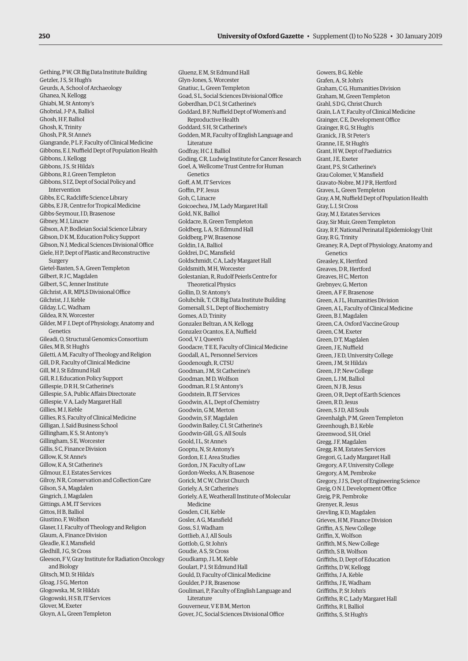Gething, P W, CR Big Data Institute Building Getzler, J S, St Hugh's Geurds, A, School of Archaeology Ghanea, N, Kellogg Ghiabi, M, St Antony's Ghobrial, J-P A, Balliol Ghosh, H F, Balliol Ghosh, K, Trinity Ghosh, P R, St Anne's Giangrande, P L F, Faculty of Clinical Medicine Gibbons, E J, Nuffield Dept of Population Health Gibbons, J, Kellogg Gibbons, J S, St Hilda's Gibbons, R J, Green Templeton Gibbons, S I Z, Dept of Social Policy and Intervention Gibbs, E C, Radcliffe Science Library Gibbs, E J R, Centre for Tropical Medicine Gibbs-Seymour, I D, Brasenose Gibney, M J, Linacre Gibson, A P, Bodleian Social Science Library Gibson, D K M, Education Policy Support Gibson, N J, Medical Sciences Divisional Office Giele, H P, Dept of Plastic and Reconstructive Surgery Gietel-Basten, S A, Green Templeton Gilbert, R J C, Magdalen Gilbert, S C, Jenner Institute Gilchrist, A R, MPLS Divisional Office Gilchrist, J J, Keble Gilday, LC, Wadham Gildea, R N, Worcester Gilder, M F J, Dept of Physiology, Anatomy and Genetics Gileadi, O, Structural Genomics Consortium Giles, M B, St Hugh's Giletti, A M, Faculty of Theology and Religion Gill, D R, Faculty of Clinical Medicine Gill, M J, St Edmund Hall Gill, R J, Education Policy Support Gillespie, D R H, St Catherine's Gillespie, S A, Public Affairs Directorate Gillespie, V A, Lady Margaret Hall Gillies, M J, Keble Gillies, R S, Faculty of Clinical Medicine Gilligan, J, Saïd Business School Gillingham, K S, St Antony's Gillingham, S E, Worcester Gillis, S C, Finance Division Gillow K, St Anne's Gillow, K A, St Catherine's Gilmour, E J, Estates Services Gilroy, N R, Conservation and Collection Care Gilson, S A, Magdalen Gingrich, J, Magdalen Gittings, A M, IT Services Gittos, H B, Balliol Giustino, F, Wolfson Glaser, I J, Faculty of Theology and Religion Glaum, A, Finance Division Gleadle, K J, Mansfield Gledhill, J G, St Cross Gleeson, F V, Gray Institute for Radiation Oncology and Biology Glitsch, M D, St Hilda's Gloag, J S G, Merton Glogowska, M, St Hilda's Glogowski, H S B, IT Services Glover, M, Exeter Gloyn, A L, Green Templeton

Gluenz, E M, St Edmund Hall Glyn-Jones, S, Worcester Gnatiuc, L, Green Templeton Goad, S L, Social Sciences Divisional Office Goberdhan, D C I, St Catherine's Goddard, B F, Nuffield Dept of Women's and Reproductive Health Goddard, S H, St Catherine's Godden, M R, Faculty of English Language and Literature Godfray, H C J, Balliol Goding, C R, Ludwig Institute for Cancer Research Goel, A, Wellcome Trust Centre for Human Genetics Goff, A M, IT Services Goffin, P F, Jesus Goh, C, Linacre Goicoechea, J M, Lady Margaret Hall Gold, N K, Balliol Goldacre, B, Green Templeton Goldberg, L A, St Edmund Hall Goldberg, P W, Brasenose Goldin, I A, Balliol Goldrei, D C, Mansfield Goldschmidt, C A, Lady Margaret Hall Goldsmith, M H, Worcester Golestanian, R, Rudolf Peierls Centre for Theoretical Physics Gollin, D, St Antony's Golubchik, T, CR Big Data Institute Building Gomersall, S L, Dept of Biochemistry Gomes, A D, Trinity Gonzalez Beltran, A N, Kellogg Gonzalez Ocantos, E A, Nuffield Good, V J, Queen's Goodacre, T E E, Faculty of Clinical Medicine Goodall, A L, Personnel Services Goodenough, R, CTSU Goodman, J M, St Catherine's Goodman, M D, Wolfson Goodman, R J, St Antony's Goodstein, B, IT Services Goodwin, A L, Dept of Chemistry Goodwin, G M, Merton Goodwin, S F, Magdalen Goodwin Bailey, C I, St Catherine's Goodwin-Gill, G S, All Souls Goold, I L, St Anne's Gooptu, N, St Antony's Gordon, E J, Area Studies Gordon, J N, Faculty of Law Gordon-Weeks, A N, Brasenose Gorick, M C W, Christ Church Goriely, A, St Catherine's Goriely, A E, Weatherall Institute of Molecular Medicine Gosden, C H, Keble Gosler, A G, Mansfield Goss, S J, Wadham Gottlieb, A J, All Souls Gottlob, G, St John's Goudie, A S, St Cross Goudkamp, J L M, Keble Goulart, P J, St Edmund Hall Gould, D, Faculty of Clinical Medicine Goulder, P J R, Brasenose Goulimari, P, Faculty of English Language and Literature Gouverneur, V E B M, Merton Gover, J C, Social Sciences Divisional Office

Gowers, B G, Keble Grafen, A, St John's Graham, C G, Humanities Division Graham, M, Green Templeton Grahl, S D G, Christ Church Grain, L A T, Faculty of Clinical Medicine Grainger, C E, Development Office Grainger, R G, St Hugh's Granick, J.B. St Peter's Granne, I E, St Hugh's Grant, H W, Dept of Paediatrics Grant, J E, Exeter Grant, P S, St Catherine's Grau Colomer, V, Mansfield Gravato-Nobre, M J P R, Hertford Graves, L, Green Templeton Gray, A M, Nuffield Dept of Population Health Gray, L J, St Cross Gray, M J, Estates Services Gray, Sir Muir, Green Templeton Gray, R F, National Perinatal Epidemiology Unit Gray, R G, Trinity Greaney, R A, Dept of Physiology, Anatomy and Genetics Greasley, K, Hertford Greaves, D.R. Hertford Greaves, H C, Merton Grebnyev, G, Merton Green, A F F, Brasenose Green, A J L, Humanities Division Green, A L, Faculty of Clinical Medicine Green, B J, Magdalen Green, C A, Oxford Vaccine Group Green, C M, Exeter Green, D T, Magdalen Green, J E, Nuffield Green, J E D, University College Green, J M, St Hilda's Green, J P, New College Green, L J M, Balliol Green, N J B, Jesus Green, O R, Dept of Earth Sciences Green, R D, Jesus Green, S ID, All Souls Greenhalgh, P M, Green Templeton Greenhough, B J, Keble Greenwood, S H, Oriel Gregg, J F, Magdalen Gregg, R M, Estates Services Gregori, G, Lady Margaret Hall Gregory, A F, University College Gregory, A M, Pembroke Gregory, J J S, Dept of Engineering Science Greig, O N J, Development Office Greig, P R, Pembroke Grenyer, R, Jesus Grevling, K D, Magdalen Grieves, H M, Finance Division Griffin, A S, New College Griffin, X, Wolfson Griffith, M S, New College Griffith, S B, Wolfson Griffiths, D, Dept of Education Griffiths, DW Kellogg Griffiths, J A, Keble Griffiths, J E, Wadham Griffiths, P, St John's Griffiths, R C, Lady Margaret Hall Griffiths, R I, Balliol Griffiths, S, St Hugh's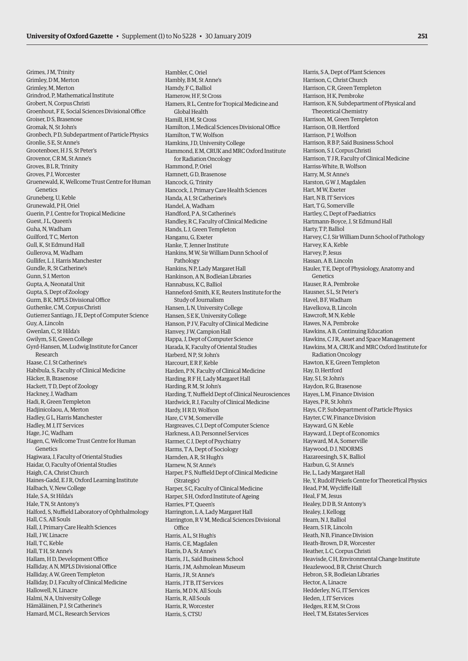Grimes, J M, Trinity Grimley, D M, Merton Grimley, M, Merton Grindrod, P, Mathematical Institute Grobert, N, Corpus Christi Groenhout, F E, Social Sciences Divisional Office Groiser, D S, Brasenose Gromak, N, St John's Gronbech, P D, Subdepartment of Particle Physics Gronlie, S E, St Anne's Grootenboer, H J S, St Peter's Grovenor, C R M, St Anne's Groves, B.L.R, Trinity Groves, P. J. Worcester Gruenewald, K, Wellcome Trust Centre for Human Genetics Gruneberg, U, Keble Grunewald, P H, Oriel Guerin, P J, Centre for Tropical Medicine Guest, J L, Queen's Guha, N, Wadham Guilford, T C, Merton Gull, K, St Edmund Hall Gullerova, M, Wadham Gullifer, L J, Harris Manchester Gundle, R, St Catherine's Gunn, S J, Merton Gupta, A, Neonatal Unit Gupta, S, Dept of Zoology Gurm, B K, MPLS Divisional Office Guthenke, C M, Corpus Christi Gutierrez Santiago, J E, Dept of Computer Science Guy, A, Lincoln Gwenlan, C, St Hilda's Gwilym, S E, Green College Gyrd-Hansen, M, Ludwig Institute for Cancer Research Haase, C J, St Catherine's Habibula, S, Faculty of Clinical Medicine Häcker, B, Brasenose Hackett, T D, Dept of Zoology Hackney, J, Wadham Hadi, R, Green Templeton Hadjinicolaou, A, Merton Hadley, G L, Harris Manchester Hadley, M J, IT Services Hage, J C, Wadham Hagen, C, Wellcome Trust Centre for Human Genetics Hagiwara, J, Faculty of Oriental Studies Haidar, O, Faculty of Oriental Studies Haigh, C A, Christ Church Haines-Gadd, E J R, Oxford Learning Institute Halbach, V, New College Hale, S A, St Hilda's Hale, T N, St Antony's Halford, S, Nuffield Laboratory of Ophthalmology Hall, C S, All Souls Hall, J, Primary Care Health Sciences Hall, J W, Linacre Hall, T C, Keble Hall, T H, St Anne's Hallam, H D, Development Office Halliday, A N, MPLS Divisional Office Halliday, A W, Green Templeton Halliday, D J, Faculty of Clinical Medicine Hallowell, N, Linacre Halmi, N A, University College Hämäläinen, P J, St Catherine's

Hamard, M C L, Research Services

Hambler, C, Oriel Hambly, B M, St Anne's Hamdy, F C, Balliol Hamerow, H F, St Cross Hamers, R L, Centre for Tropical Medicine and Global Health Hamill, H M, St Cross Hamilton, J, Medical Sciences Divisional Office Hamilton, TW, Wolfson Hamkins, J D, University College Hammond, E M, CRUK and MRC Oxford Institute for Radiation Oncology Hammond, P, Oriel Hamnett, G D, Brasenose Hancock, G, Trinity Hancock, J, Primary Care Health Sciences Handa, A I, St Catherine's Handel, A, Wadham Handford, P A, St Catherine's Handley, R C, Faculty of Clinical Medicine Hands, L J, Green Templeton Hanganu, G, Exeter Hanke, T, Jenner Institute Hankins, M W, Sir William Dunn School of Pathology Hankins, N P, Lady Margaret Hall Hankinson, A N, Bodleian Libraries Hannabuss, K C, Balliol Hanneford-Smith, K E, Reuters Institute for the Study of Journalism Hansen, L N, University College Hansen, S E K, University College Hanson, P J V, Faculty of Clinical Medicine Hanvey, J W, Campion Hall Happa, J, Dept of Computer Science Harada, K, Faculty of Oriental Studies Harberd, N P, St John's Harcourt, E R F, Keble Harden, P N, Faculty of Clinical Medicine Harding, R F H, Lady Margaret Hall Harding, R M, St John's Harding, T, Nuffield Dept of Clinical Neurosciences Hardwick, R J, Faculty of Clinical Medicine Hardy, H R D, Wolfson Hare, C V M, Somerville Hargreaves, C J, Dept of Computer Science Harkness, A D, Personnel Services Harmer, C J, Dept of Psychiatry Harms, T A, Dept of Sociology Harnden, A R, St Hugh's Harnew, N, St Anne's Harper, P S, Nuffield Dept of Clinical Medicine (Strategic) Harper, S C, Faculty of Clinical Medicine Harper, S H, Oxford Institute of Ageing Harries, P T, Queen's Harrington, L A, Lady Margaret Hall Harrington, R V M, Medical Sciences Divisional Office Harris, A L, St Hugh's Harris, C E, Magdalen Harris, D A, St Anne's Harris, J L, Saïd Business School Harris, J M, Ashmolean Museum Harris, J R, St Anne's Harris, J T B, IT Services Harris, M D N, All Souls Harris, R, All Souls Harris, R, Worcester Harris, S, CTSU

Harris, S A, Dept of Plant Sciences Harrison, C, Christ Church Harrison, C R, Green Templeton Harrison, HK, Pembroke Harrison, K N, Subdepartment of Physical and Theoretical Chemistry Harrison, M, Green Templeton Harrison, O B, Hertford Harrison, P J, Wolfson Harrison, R B P, Saïd Business School Harrison, S J, Corpus Christi Harrison, T J R, Faculty of Clinical Medicine Harriss-White, B, Wolfson Harry, M, St Anne's Harston, G W J, Magdalen Hart, M W, Exeter Hart, N B, IT Services Hart, T G, Somerville Hartley, C, Dept of Paediatrics Hartmann-Boyce, J, St Edmund Hall Harty, T P, Balliol Harvey, C J, Sir William Dunn School of Pathology Harvey, K A, Keble Harvey, P, Jesus Hassan, A B, Lincoln Hauler, T E, Dept of Physiology, Anatomy and Genetics Hauser, R A, Pembroke Hausner, S L, St Peter's Havel, B F, Wadham Havelkova, B, Lincoln Hawcroft, M N, Keble Hawes, N A, Pembroke Hawkins, A B, Continuing Education Hawkins, C J R, Asset and Space Management Hawkins, M A, CRUK and MRC Oxford Institute for Radiation Oncology Hawton, K E, Green Templeton Hay, D, Hertford Hay, S I, St John's Haydon, R G, Brasenose Hayes, L M, Finance Division Hayes, PR, St John's Hays, C P, Subdepartment of Particle Physics Hayter, C W, Finance Division Hayward, G N, Keble Hayward, J, Dept of Economics Hayward, M A, Somerville Haywood, D J, NDORMS Hazareesingh, S K, Balliol Hazbun, G, St Anne's He, L, Lady Margaret Hall He, Y, Rudolf Peierls Centre for Theoretical Physics Head, P M, Wycliffe Hall Heal FM Jesus Healey, D D B, St Antony's Healey, J, Kellogg Hearn, N J, Balliol Hearn, STR, Lincoln Heath, N B, Finance Division Heath-Brown, D R, Worcester Heather, L C, Corpus Christi Heavisde, C H, Environmental Change Institute Heazlewood, B.R. Christ Church Hebron, S R, Bodleian Libraries Hector, A, Linacre Hedderley, N G, IT Services Heden, J, IT Services Hedges, R E M, St Cross Heel, T M, Estates Services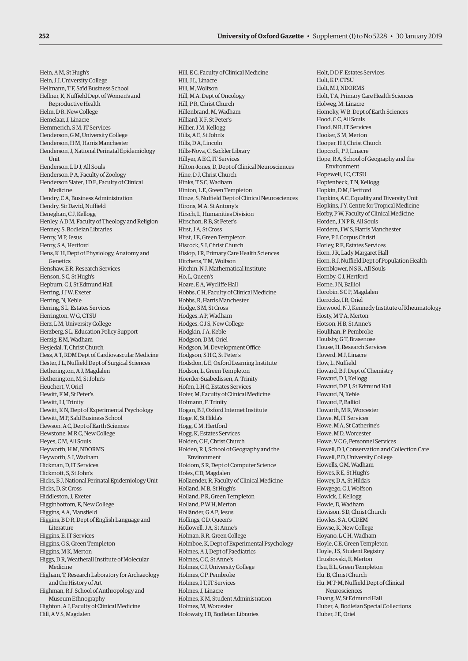Hein, A M, St Hugh's Hein, J J, University College Hellmann, T F, Saïd Business School Hellner, K, Nuffield Dept of Women's and Reproductive Health Helm, D R, New College Hemelaar, J, Linacre Hemmerich, S M, IT Services Henderson, G M, University College Henderson, H M, Harris Manchester Henderson, J, National Perinatal Epidemiology Unit Henderson, L D J, All Souls Henderson, P A, Faculty of Zoology Henderson Slater, J D E, Faculty of Clinical Medicine Hendry, C A, Business Administration Hendry, Sir David, Nuffield Heneghan, C J, Kellogg Henley, A D M, Faculty of Theology and Religion Henney, S, Bodleian Libraries Henry, M P, Jesus Henry, S A, Hertford Hens, K J I, Dept of Physiology, Anatomy and Genetics Henshaw, E R, Research Services Henson, S C, St Hugh's Hepburn, C J, St Edmund Hall Herring, J J W, Exeter Herring, N, Keble Herring, S L, Estates Services Herrington, W G, CTSU Herz, L M, University College Herzberg, S L, Education Policy Support Herzig, E M, Wadham Hesjedal, T, Christ Church Hess, A T, RDM Dept of Cardiovascular Medicine Hester, J L, Nuffield Dept of Surgical Sciences Hetherington, A J, Magdalen Hetherington, M, St John's Heuchert, V, Oriel Hewitt, F M, St Peter's Hewitt, I J, Trinity Hewitt, K N, Dept of Experimental Psychology Hewitt, M P, Saïd Business School Hewson, A C, Dept of Earth Sciences Hewstone, M R C, New College Heyes, C M, All Souls Heyworth, H M, NDORMS Heyworth, S J, Wadham Hickman, D, IT Services Hickmott, S, St John's Hicks, B J, National Perinatal Epidemiology Unit Hicks, D, St Cross Hiddleston, J, Exeter Higginbottom, E, New College Higgins, A A, Mansfield Higgins, B D R, Dept of English Language and Literature Higgins, E, IT Services Higgins, G S, Green Templeton Higgins, M K, Merton Higgs, D R, Weatherall Institute of Molecular Medicine Higham, T, Research Laboratory for Archaeology and the History of Art Highman, R J, School of Anthropology and Museum Ethnography Highton, A J, Faculty of Clinical Medicine Hill, A V S, Magdalen

Hill, E C, Faculty of Clinical Medicine Hill, J L, Linacre Hill, M, Wolfson Hill, M A, Dept of Oncology Hill, P R, Christ Church Hillenbrand, M, Wadham Hilliard, K F, St Peter's Hillier, J M, Kellogg Hills, A E, St John's Hills, D A, Lincoln Hills-Nova, C, Sackler Library Hillyer, A E C, IT Services Hilton-Jones, D, Dept of Clinical Neurosciences Hine, D J, Christ Church Hinks, T S C, Wadham Hinton, L E, Green Templeton Hinze, S, Nuffield Dept of Clinical Neurosciences Hirons, M A, St Antony's Hirsch, L, Humanities Division Hirschon, R B, St Peter's Hirst, J.A. St Cross Hirst, J E, Green Templeton Hiscock, S J, Christ Church Hislop, J R, Primary Care Health Sciences Hitchens, T M, Wolfson Hitchin, N J, Mathematical Institute Ho, L, Queen's Hoare, E A, Wycliffe Hall Hobbs, C H, Faculty of Clinical Medicine Hobbs, R, Harris Manchester Hodge, S M, St Cross Hodges, A P, Wadham Hodges, C J S, New College Hodgkin, J A, Keble Hodgson, D M, Oriel Hodgson, M, Development Office Hodgson, S H C, St Peter's Hodsdon, L E, Oxford Learning Institute Hodson, L, Green Templeton Hoerder-Suabedissen, A, Trinity Hofen, L H C, Estates Services Hofer, M, Faculty of Clinical Medicine Hofmann, F, Trinity Hogan, B J, Oxford Internet Institute Hoge, K, St Hilda's Hogg, C M, Hertford Hogg, K, Estates Services Holden, C H, Christ Church Holden, R J, School of Geography and the Environment Holdom, S R, Dept of Computer Science Holes, C D, Magdalen Hollaender, R, Faculty of Clinical Medicine Holland, M B, St Hugh's Holland, P R, Green Templeton Holland, P W H, Merton Holländer, G A P, Jesus Hollings, C D, Queen's Hollowell, J.A. St Anne's Holman, R R, Green College Holmboe, K, Dept of Experimental Psychology Holmes, A J, Dept of Paediatrics Holmes, C C, St Anne's Holmes, C J, University College Holmes, C P, Pembroke Holmes, I T, IT Services Holmes, J, Linacre Holmes, K M, Student Administration Holmes, M, Worcester Holowaty, I D, Bodleian Libraries

Holt, D D F, Estates Services Holt, K P, CTSU Holt, M J, NDORMS Holt, T A, Primary Care Health Sciences Holweg, M, Linacre Homoky, W B, Dept of Earth Sciences Hood, C.C. All Souls Hood, N R, IT Services Hooker, S.M. Merton Hooper, H J, Christ Church Hopcroft, P J, Linacre Hope, R A, School of Geography and the Environment Hopewell, J C, CTSU Hopfenbeck, T N, Kellogg Hopkin, D M, Hertford Hopkins, A C, Equality and Diversity Unit Hopkins, J.Y. Centre for Tropical Medicine Horby, P W, Faculty of Clinical Medicine Horden, J N P B, All Souls Hordern, J W S, Harris Manchester Hore, P J, Corpus Christi Horley, R E, Estates Services Horn, J R, Lady Margaret Hall Horn, R J, Nuffield Dept of Population Health Hornblower, N S R, All Souls Hornby, C J, Hertford Horne, J N, Balliol Horobin, S C P, Magdalen Horrocks, I R, Oriel Horwood, N J, Kennedy Institute of Rheumatology Hosty, M T A, Merton Hotson, H B, St Anne's Houlihan, P, Pembroke Houlsby, G T, Brasenose House, H, Research Services Hoverd, M J, Linacre How, L, Nuffield Howard, B J, Dept of Chemistry Howard, D J, Kellogg Howard, D P J, St Edmund Hall Howard, N, Keble Howard, P, Balliol Howarth, M R, Worcester Howe, M, IT Services Howe, M A, St Catherine's Howe, M D, Worcester Howe, V C G, Personnel Services Howell, D J, Conservation and Collection Care Howell, P D, University College Howells, C M, Wadham Howes, R E, St Hugh's Howey, D A, St Hilda's Howgego, C J, Wolfson Howick, J, Kellogg Howie, D, Wadham Howison, S D, Christ Church Howles, S A, OCDEM Howse, K, New College Hoyano, L C H, Wadham Hoyle, C E, Green Templeton Hoyle, J.S. Student Registry Hrushovski, E, Merton Hsu, E L, Green Templeton Hu, B, Christ Church Hu, M T-M, Nuffield Dept of Clinical Neurosciences Huang, W, St Edmund Hall Huber, A, Bodleian Special Collections Huber, J E, Oriel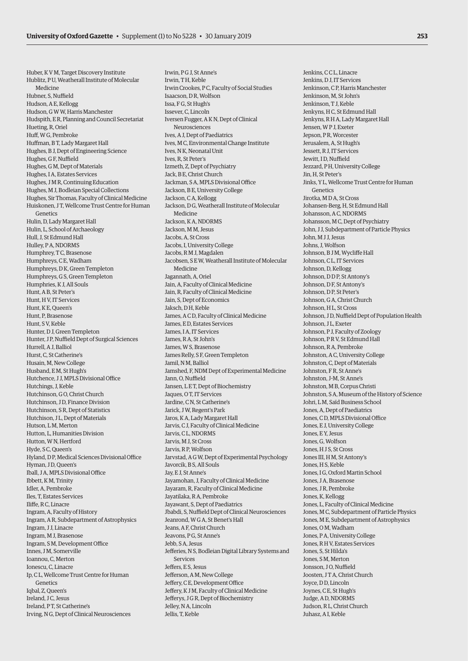Irwin, P G J, St Anne's

Huber, K V M, Target Discovery Institute Hublitz, P U, Weatherall Institute of Molecular Medicine Hubner, S, Nuffield Hudson, A E, Kellogg Hudson, G W W, Harris Manchester Hudspith, E R, Planning and Council Secretariat Hueting, R, Oriel Huff, W G, Pembroke Huffman, B T, Lady Margaret Hall Hughes, B J, Dept of Engineering Science Hughes, G F, Nuffield Hughes, G M, Dept of Materials Hughes, I A, Estates Services Hughes, J M R, Continuing Education Hughes, M J, Bodleian Special Collections Hughes, Sir Thomas, Faculty of Clinical Medicine Huiskonen, J T, Wellcome Trust Centre for Human Genetics Hulin, D, Lady Margaret Hall Hulin, L, School of Archaeology Hull, J, St Edmund Hall Hulley, P A, NDORMS Humphrey, T C, Brasenose Humphreys, C E, Wadham Humphreys, D K, Green Templeton Humphreys, G S, Green Templeton Humphries, K J, All Souls Hunt, A B, St Peter's Hunt, H V, IT Services Hunt, K E, Queen's Hunt, P, Brasenose Hunt, S V, Keble Hunter, D J, Green Templeton Hunter, J P, Nuffield Dept of Surgical Sciences Hurrell, A J, Balliol Hurst, C, St Catherine's Husain, M, New College Husband, E M, St Hugh's Hutchence, J J, MPLS Divisional Office Hutchings, J, Keble Hutchinson, G O, Christ Church Hutchinson, J D, Finance Division Hutchinson, S R, Dept of Statistics Hutchison, J L, Dept of Materials Hutson, L M, Merton Hutton, L, Humanities Division Hutton, W N, Hertford Hyde, S C, Queen's Hyland, D P, Medical Sciences Divisional Office Hyman, J D, Queen's Iball, J A, MPLS Divisional Office Ibbett, K M, Trinity Idler, A, Pembroke Iles, T, Estates Services Iliffe, R C, Linacre Ingram, A, Faculty of History Ingram, A R, Subdepartment of Astrophysics Ingram, J J, Linacre Ingram, M J, Brasenose Ingram, S M, Development Office Innes, J M, Somerville Ioannou, C, Merton Ionescu, C, Linacre Ip, C L, Wellcome Trust Centre for Human **Genetics** Iqbal, Z, Queen's Ireland, J.C. Jesus Ireland, P T, St Catherine's Irving, N G, Dept of Clinical Neurosciences

Irwin, T H, Keble Irwin Crookes, P C, Faculty of Social Studies Isaacson, D R, Wolfson Issa, F G, St Hugh's Issever, C, Lincoln Iversen Fugger, A K N, Dept of Clinical Neurosciences Ives, A J, Dept of Paediatrics Ives, M C, Environmental Change Institute Ives, N K, Neonatal Unit Ives, R, St Peter's Izmeth, Z, Dept of Psychiatry Jack, B E, Christ Church Jackman, S A, MPLS Divisional Office Jackson, B E, University College Jackson, C A, Kellogg Jackson, D G, Weatherall Institute of Molecular Medicine Jackson, K A, NDORMS Jackson, M M, Jesus Jacobs, A, St Cross Jacobs, I, University College Jacobs, R M J, Magdalen Jacobsen, S E W, Weatherall Institute of Molecular Medicine Jagannath, A, Oriel Jain, A, Faculty of Clinical Medicine Jain, R, Faculty of Clinical Medicine Jain, S, Dept of Economics Jaksch, D H, Keble James, A C D, Faculty of Clinical Medicine James, E D, Estates Services James, I A, IT Services James, R A, St John's James, W S, Brasenose James Relly, S F, Green Templeton Jamil, N M, Balliol Jamshed, F, NDM Dept of Experimental Medicine Jann, O, Nuffield Jansen, L E T, Dept of Biochemistry Jaques, O T, IT Services Jardine, C N, St Catherine's Jarick, J W, Regent's Park Jaros, K A, Lady Margaret Hall Jarvis, C J, Faculty of Clinical Medicine Jarvis, C L, NDORMS Jarvis, M J, St Cross Jarvis, R P, Wolfson Jarvstad, A G W, Dept of Experimental Psychology Javorcik, B S, All Souls Jay, E J, St Anne's Jayamohan, J, Faculty of Clinical Medicine Jayaram, R, Faculty of Clinical Medicine Jayatilaka, R A, Pembroke Jayawant, S, Dept of Paediatrics Jbabdi, S, Nuffield Dept of Clinical Neurosciences Jeanrond, W G A, St Benet's Hall Jeans, A F, Christ Church Jeavons, PG, St Anne's Jebb, S A, Jesus Jefferies, N S, Bodleian Digital Library Systems and Services Jeffers, E S, Jesus Jefferson, A M, New College Jeffery, C E, Development Office Jeffery, K J M, Faculty of Clinical Medicine Jefferys, J G R, Dept of Biochemistry Jelley, N A, Lincoln Jellis, T, Keble

Jenkins, C C L, Linacre Jenkins, D J, IT Services Jenkinson, C P, Harris Manchester Jenkinson, M, St John's Jenkinson, T J, Keble Jenkyns, H C, St Edmund Hall Jenkyns, R H A, Lady Margaret Hall Jensen, W P J, Exeter Jepson, P R, Worcester Jerusalem, A, St Hugh's Jessett, R J, IT Services Jewitt, I D, Nuffield Jezzard, P H, University College Jin, H, St Peter's Jinks, Y L, Wellcome Trust Centre for Human **Genetics** Jirotka, M D A, St Cross Johansen-Berg, H, St Edmund Hall Johansson, A C, NDORMS Johansson, M C, Dept of Psychiatry John, J J, Subdepartment of Particle Physics John, M J J, Jesus Johns, J, Wolfson Johnson, B J M, Wycliffe Hall Johnson, C L, IT Services Johnson, D, Kellogg Johnson, D D P, St Antony's Johnson, D F, St Antony's Johnson, D P, St Peter's Johnson, G A, Christ Church Johnson, H L, St Cross Johnson, J D, Nuffield Dept of Population Health Johnson, J L, Exeter Johnson, P J, Faculty of Zoology Johnson, P R V, St Edmund Hall Johnson, R A, Pembroke Johnston, A C, University College Johnston, C, Dept of Materials Johnston, F R, St Anne's Johnston, J-M, St Anne's Johnston, M B, Corpus Christi Johnston, S A, Museum of the History of Science Johri, L M, Saïd Business School Jones, A, Dept of Paediatrics Jones, C D, MPLS Divisional Office Jones, E J, University College Jones, E Y, Jesus Jones, G, Wolfson Jones, H J S, St Cross Jones III, H M, St Antony's Jones, H S, Keble Jones, I G, Oxford Martin School Jones, J A, Brasenose Jones, J R, Pembroke Jones, K, Kellogg Jones, L, Faculty of Clinical Medicine Jones, M C, Subdepartment of Particle Physics Jones, M E, Subdepartment of Astrophysics Jones, O M, Wadham Jones, P A, University College Jones, R H V, Estates Services Jones, S, St Hilda's Jones, S M, Merton Jonsson, J.O. Nuffield Joosten, J T A, Christ Church Joyce, D D, Lincoln Joynes, C E, St Hugh's Judge, A D, NDORMS Judson, R L, Christ Church Juhasz, A I, Keble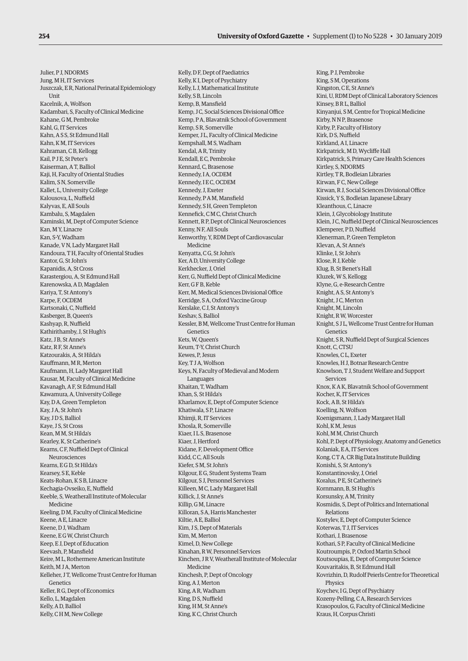Julier, P J, NDORMS Jung, M H, IT Services Juszczak, E R, National Perinatal Epidemiology **I**Init Kacelnik, A, Wolfson Kadambari, S, Faculty of Clinical Medicine Kahane, G M, Pembroke Kahl, G, IT Services Kahn, A S S, St Edmund Hall Kahn, K M, IT Services Kahraman, C B, Kellogg Kail, P J E, St Peter's Kaiserman, A T, Balliol Kaji, H, Faculty of Oriental Studies Kalim, S N, Somerville Kallet, L, University College Kalousova, L, Nuffield Kalyvas, E, All Souls Kambalu, S, Magdalen Kaminski, M, Dept of Computer Science Kan, M Y Linacre Kan, S-Y, Wadham Kanade, V N, Lady Margaret Hall Kandoura, T H, Faculty of Oriental Studies Kantor, G, St John's Kapanidis, A, St Cross Karastergiou, A, St Edmund Hall Karenowska, A D, Magdalen Kariya, T, St Antony's Karpe, F, OCDEM Kartsonaki, C, Nuffield Kasberger, B, Queen's Kashyap, R, Nuffield Kathirithamby, J, St Hugh's Katz, J B, St Anne's Katz, R F, St Anne's Katzourakis, A, St Hilda's Kauffmann, M R, Merton Kaufmann, H, Lady Margaret Hall Kausar, M, Faculty of Clinical Medicine Kavanagh, A F, St Edmund Hall Kawamura, A, University College Kay, D A, Green Templeton Kay, J A, St John's Kay, J D S, Balliol Kaye, J S, St Cross Kean, M M, St Hilda's Kearley, K, St Catherine's Kearns, C F, Nuffield Dept of Clinical Neurosciences Kearns, E G D, St Hilda's Kearsey, S E, Keble Keats-Rohan, K S B, Linacre Kechagia-Ovseiko, E, Nuffield Keeble, S, Weatherall Institute of Molecular Medicine Keeling, D M, Faculty of Clinical Medicine Keene, A E, Linacre Keene, D J, Wadham Keene, E G W, Christ Church Keep, E J, Dept of Education Keevash, P, Mansfield Keire, M L, Rothermere American Institute Keith, M J A, Merton Kelleher, J T, Wellcome Trust Centre for Human Genetics Keller, R G, Dept of Economics Kello, L, Magdalen Kelly, A D, Balliol Kelly, C H M, New College

Kelly, D F, Dept of Paediatrics Kelly, K I, Dept of Psychiatry Kelly, L J, Mathematical Institute Kelly, S B, Lincoln Kemp, B, Mansfield Kemp, J C, Social Sciences Divisional Office Kemp, P A, Blavatnik School of Government Kemp, S R, Somerville Kemper, J L, Faculty of Clinical Medicine Kempshall, M S, Wadham Kendal, A R, Trinity Kendall, E C, Pembroke Kennard, C, Brasenose Kennedy, I A, OCDEM Kennedy, I E C, OCDEM Kennedy, J, Exeter Kennedy, P A M, Mansfield Kennedy, S H, Green Templeton Kennefick, C M C, Christ Church Kennett, R P, Dept of Clinical Neurosciences Kenny, N F, All Souls Kenworthy, Y, RDM Dept of Cardiovascular Medicine Kenyatta, C G, St John's Ker, A D, University College Kerkhecker, J, Oriel Kerr, G, Nuffield Dept of Clinical Medicine Kerr, G F B, Keble Kerr, M, Medical Sciences Divisional Office Kerridge, S A, Oxford Vaccine Group Kerslake, C J, St Antony's Keshav, S, Balliol Kessler, B M, Wellcome Trust Centre for Human Genetics Kets, W, Queen's Keum, T-Y, Christ Church Kewes, P, Jesus Key, T J A, Wolfson Keys, N, Faculty of Medieval and Modern Languages Khaitan, T, Wadham Khan, S, St Hilda's Kharlamov, E, Dept of Computer Science Khatiwala, S P, Linacre Khimji, R, IT Services Khosla, R, Somerville Kiaer, I L S, Brasenose Kiaer, J, Hertford Kidane, F, Development Office Kidd, CC, All Souls Kiefer, S M, St John's Kilgour, E G, Student Systems Team Kilgour, S J, Personnel Services Killeen, M C, Lady Margaret Hall Killick, J, St Anne's Killip, G M, Linacre Killoran, S A, Harris Manchester Kiltie, A E, Balliol Kim, J S, Dept of Materials Kim, M, Merton Kimel, D, New College Kinahan, R W, Personnel Services Kinchen, J R V, Weatherall Institute of Molecular Medicine Kinchesh, P, Dept of Oncology King, A J, Merton King, A R, Wadham King, D S, Nuffield King, H M, St Anne's King, K C, Christ Church

King, P J, Pembroke King, S M, Operations Kingston, C E, St Anne's Kini, U, RDM Dept of Clinical Laboratory Sciences Kinsey, B R L, Balliol Kinyanjui, S M, Centre for Tropical Medicine Kirby, N N P, Brasenose Kirby, P, Faculty of History Kirk, D.S. Nuffield Kirkland, A I, Linacre Kirkpatrick, M D, Wycliffe Hall Kirkpatrick, S, Primary Care Health Sciences Kirtley, S, NDORMS Kirtley, T R, Bodleian Libraries Kirwan, F C, New College Kirwan, R J, Social Sciences Divisional Office Kissick, Y S, Bodleian Japanese Library Kleanthous, C, Linacre Klein, J, Glycobiology Institute Klein, J C, Nuffield Dept of Clinical Neurosciences Klemperer, PD, Nuffield Klenerman, P, Green Templeton Klevan, A, St Anne's Klinke, I, St John's Klose, R J, Keble Klug, B, St Benet's Hall Kluzek, W S, Kellogg Klyne, G, e-Research Centre Knight, A S, St Antony's Knight, J C, Merton Knight, M, Lincoln Knight, R W, Worcester Knight, S J L, Wellcome Trust Centre for Human Genetics Knight, S R, Nuffield Dept of Surgical Sciences Knott, C, CTSU Knowles, C L, Exeter Knowles, H J, Botnar Research Centre Knowlson, T J, Student Welfare and Support Services Knox, K A K, Blavatnik School of Government Kocher, K, IT Services Kock, A B, St Hilda's Koelling, N, Wolfson Koenigsmann, J, Lady Margaret Hall Kohl, K M, Jesus Kohl, M M, Christ Church Kohl, P, Dept of Physiology, Anatomy and Genetics Kolaniak, E A, IT Services Kong, C T A, CR Big Data Institute Building Konishi, S, St Antony's Konstantinovsky, J, Oriel Koralus, P E, St Catherine's Kornmann, B, St Hugh's Korsunsky, A M, Trinity Kosmidis, S, Dept of Politics and International Relations Kostylev, E, Dept of Computer Science Koterwas, T. J. IT Services Kothari, J, Brasenose Kothari, S P, Faculty of Clinical Medicine Koutroumpis, P, Oxford Martin School Koutsoupias, E, Dept of Computer Science Kouvaritakis, B, St Edmund Hall Kovrizhin, D, Rudolf Peierls Centre for Theoretical Physics Koychev, I G, Dept of Psychiatry Kozeny-Pelling, C A, Research Services Krasopoulos, G, Faculty of Clinical Medicine Kraus, H, Corpus Christi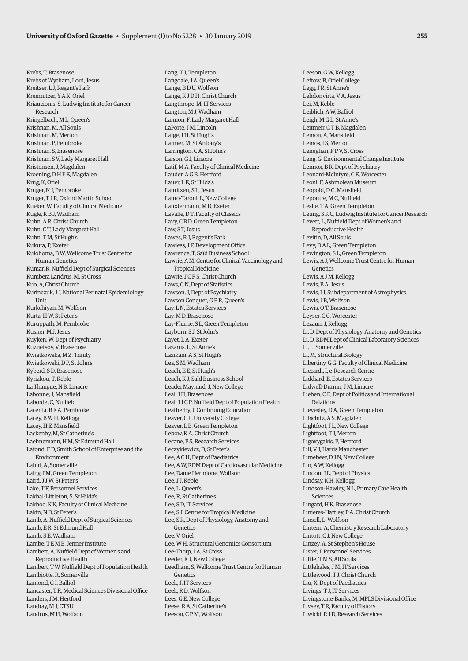Krebs, T, Brasenose Krebs of Wytham, Lord, Jesus Kreitzer, L J, Regent's Park Kremnitzer, Y A K, Oriel Kriaucionis, S, Ludwig Institute for Cancer Research Kringelbach, M L, Queen's Krishnan, M, All Souls Krishnan, M, Merton Krishnan, P, Pembroke Krishnan, S, Brasenose Krishnan, S V, Lady Margaret Hall Kristensen, J, Magdalen Kroening, D H F E, Magdalen Krug, K, Oriel Kruger, N J, Pembroke Kruger, T J R, Oxford Martin School Kueker, W, Faculty of Clinical Medicine Kugle, K B J, Wadham Kuhn, A R, Christ Church Kuhn, C T, Lady Margaret Hall Kuhn, T M, St Hugh's Kukura, P, Exeter Kulohoma, B W, Wellcome Trust Centre for Human Genetics Kumar, R, Nuffield Dept of Surgical Sciences Kumbera Landrus, M, St Cross Kuo, A, Christ Church Kurinczuk, J J, National Perinatal Epidemiology Unit Kurkchiyan, M, Wolfson Kurtz, H W, St Peter's Kuruppath, M, Pembroke Kusner, M J, Jesus Kuyken, W, Dept of Psychiatry Kuznetsov, V, Brasenose Kwiatkowska, M Z, Trinity Kwiatkowski, D P, St John's Kyberd, S D, Brasenose Kyriakou, T, Keble La Thangue, N B, Linacre Labonne, J, Mansfield Laborde, C, Nuffield Lacerda, B F A, Pembroke Lacey, B W H, Kellogg Lacey, H E, Mansfield Lackenby, M, St Catherine's Laehnemann, H M, St Edmund Hall Lafond, F D, Smith School of Enterprise and the Environment Lahiri, A, Somerville Laing, I M, Green Templeton Laird, J J W, St Peter's Lake, T F, Personnel Services Lakhal-Littleton, S, St Hilda's Lakhoo, K K, Faculty of Clinical Medicine Lakin, N D, St Peter's Lamb, A, Nuffield Dept of Surgical Sciences Lamb, E R, St Edmund Hall Lamb, S E, Wadham Lambe, T E M B, Jenner Institute Lambert, A, Nuffield Dept of Women's and Reproductive Health Lambert, T W, Nuffield Dept of Population Health Lambiotte, R, Somerville Lamond, GJ, Balliol Lancaster, T R, Medical Sciences Divisional Office Landers, J.M. Hertford Landray, M J, CTSU

Landrus, M H, Wolfson

Lang, T J, Templeton Langdale, J A, Queen's Lange, B D U, Wolfson Lange, K J D H, Christ Church Langthrope, M, IT Services Langton, M J, Wadham Lannon, F, Lady Margaret Hall LaPorte, J M, Lincoln Large, J H, St Hugh's Larmer, M, St Antony's Larrington, C A, St John's Larson, G J, Linacre Latif, M A, Faculty of Clinical Medicine Lauder, A G B, Hertford Lauer, L E, St Hilda's Lauritzen, S L, Jesus Lauro-Taroni, L, New College Lauxtermann, M D, Exeter LaValle, D T, Faculty of Classics Lavy, C B D, Green Templeton Law, S.T. Jesus Lawes, R J, Regent's Park Lawless, J F, Development Office Lawrence, T, Saïd Business School Lawrie, A M, Centre for Clinical Vaccinology and Tropical Medicine Lawrie, J C F S, Christ Church Laws, C N, Dept of Statistics Lawson, J, Dept of Psychiatry Lawson Conquer, G B R, Queen's Lay, L N, Estates Services Lay, M D, Brasenose Lay-Flurrie, S L, Green Templeton Layburn, S J, St John's Layet, L A, Exeter Lazarus, L, St Anne's Lazikani, A S, St Hugh's Lea, S M, Wadham Leach, E E, St Hugh's Leach, K J, Saïd Business School Leader Maynard, J, New College Leal, J H, Brasenose Leal, J J C P, Nuffield Dept of Population Health Leatherby, J, Continuing Education Leaver, C L, University College Leaver, L B, Green Templeton Lebow, K A, Christ Church Lecane, P S, Research Services Leczykiewicz, D, St Peter's Lee, A C H, Dept of Paediatrics Lee, A W, RDM Dept of Cardiovascular Medicine Lee, Dame Hermione, Wolfson Lee, J J, Keble Lee, L, Queen's Lee, R, St Catherine's Lee, S D, IT Services Lee, S J, Centre for Tropical Medicine Lee, S R, Dept of Physiology, Anatomy and Genetics Lee, V, Oriel Lee, W H, Structural Genomics Consortium Lee-Thorp, J A, St Cross Leeder, K J, New College Leedham, S, Wellcome Trust Centre for Human Genetics Leek, J, IT Services Leek, R D, Wolfson Lees, G E, New College Leese, R A, St Catherine's Leeson, C P M, Wolfson

Leeson, G W, Kellogg Leftow, B, Oriel College Legg, J R, St Anne's Lehdonvirta, V A, Jesus Lei, M, Keble Leiblich, A W, Balliol Leigh, M G L, St Anne's Leitmeir, C T B, Magdalen Lemon, A, Mansfield Lemos, I S, Merton Leneghan, F P V, St Cross Leng, G, Environmental Change Institute Lennox, B R, Dept of Psychiatry Leonard-McIntyre, C E, Worcester Leoni, F, Ashmolean Museum Leopold, D C, Mansfield Lepoutre, M C, Nuffield Leslie, T A, Green Templeton Leung, S K C, Ludwig Institute for Cancer Research Levett, L, Nuffield Dept of Women's and Reproductive Health Levitin, D, All Souls Levy, D A L, Green Templeton Lewington, S L, Green Templeton Lewis, A J, Wellcome Trust Centre for Human Genetics Lewis, A J M, Kellogg Lewis, B A, Jesus Lewis, I J, Subdepartment of Astrophysics Lewis, J.B. Wolfson Lewis, O T, Brasenose Leyser, C C, Worcester Lezaun, J, Kellogg Li, D, Dept of Physiology, Anatomy and Genetics Li, D, RDM Dept of Clinical Laboratory Sciences Li, L, Somerville Li, M, Structural Biology Libertiny, G G, Faculty of Clinical Medicine Liccardi, I, e-Research Centre Liddiard, E, Estates Services Lidwell-Durnin, J.M. Linacre Lieben, C E, Dept of Politics and International Relations Lievesley, D A, Green Templeton Lifschitz, A S, Magdalen Lightfoot, J L, New College Lightfoot, T J, Merton Ligoxygakis, P, Hertford Lill, V J, Harris Manchester Limebeer, D J N, New College Lin, A W, Kellogg Lindon, J L, Dept of Physics Lindsay, K H, Kellogg Lindson-Hawley, N L, Primary Care Health Sciences Lingard, H K, Brasenose Linieres-Hartley, P A, Christ Church Linsell, L, Wolfson Lintern, A, Chemistry Research Laboratory Lintott, C J, New College Linzey, A, St Stephen's House Lister, J, Personnel Services Little, T M S, All Souls Littlehales, J.M. IT Services Littlewood, T J, Christ Church Liu, X, Dept of Paediatrics Livings, T J, IT Services Livingstone-Banks, M, MPLS Divisional Office Livsey, T R, Faculty of History Liwicki, R J D, Research Services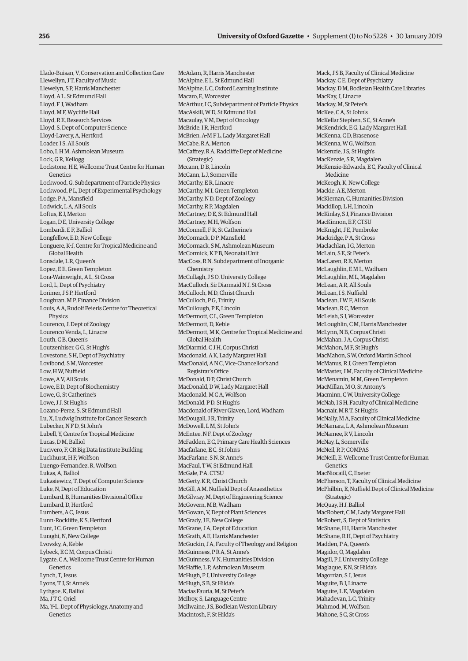Llado-Buisan, V, Conservation and Collection Care Llewellyn, J T, Faculty of Music Llewelyn, S P, Harris Manchester Lloyd, A L, St Edmund Hall Lloyd, F J, Wadham Lloyd, M F, Wycliffe Hall Lloyd, R E, Research Services Lloyd, S, Dept of Computer Science Lloyd-Lavery, A, Hertford Loader, I S, All Souls Lobo, L H M, Ashmolean Museum Lock, G R, Kellogg Lockstone, H E, Wellcome Trust Centre for Human Genetics Lockwood, G, Subdepartment of Particle Physics Lockwood, P L, Dept of Experimental Psychology Lodge, P A, Mansfield Lodwick, L A, All Souls Loftus, E J, Merton Logan, D E, University College Lombardi, E F, Balliol Longfellow, E D, New College Longuere, K-J, Centre for Tropical Medicine and Global Health Lonsdale, L R, Queen's Lopez, E E, Green Templeton Lora-Wainwright, A L, St Cross Lord, L, Dept of Psychiatry Lorimer, J S P, Hertford Loughran, M P, Finance Division Louis, A A, Rudolf Peierls Centre for Theoretical Physics Lourenco, J, Dept of Zoology Lourenco Venda, L, Linacre Louth, C B, Queen's Loutzenhiser, G G, St Hugh's Lovestone, S H, Dept of Psychiatry Lovibond, S M, Worcester Low, H W, Nuffield Lowe, A V, All Souls Lowe, E D, Dept of Biochemistry Lowe, G, St Catherine's Lowe, J J, St Hugh's Lozano-Perez, S, St Edmund Hall Lu, X, Ludwig Institute for Cancer Research Lubecker, N F D, St John's Lubell, Y, Centre for Tropical Medicine Lucas, D M, Balliol Lucivero, F, CR Big Data Institute Building Luckhurst, H F, Wolfson Luengo-Fernandez, R, Wolfson Lukas, A, Balliol Lukasiewicz, T, Dept of Computer Science Luke, N, Dept of Education Lumbard, B, Humanities Divisional Office Lumbard, D, Hertford Lumbers, A C, Jesus Lunn-Rockliffe, K S, Hertford Lunt, I C, Green Templeton Luraghi, N, New College Lvovsky, A, Keble Lybeck, E C M, Corpus Christi Lygate, C A, Wellcome Trust Centre for Human Genetics Lynch, T, Jesus Lyons, T J, St Anne's Lythgoe, K, Balliol Ma, JTC, Oriel Ma, Y-L, Dept of Physiology, Anatomy and Genetics

McAdam, R, Harris Manchester McAlpine, E L, St Edmund Hall McAlpine, L C, Oxford Learning Institute Macaro, E, Worcester McArthur, I C, Subdepartment of Particle Physics MacAskill, W D, St Edmund Hall Macaulay, V M, Dept of Oncology McBride, I R, Hertford McBrien, A-M F L, Lady Margaret Hall McCabe, R A, Merton McCaffrey, R A, Radcliffe Dept of Medicine (Strategic) Mccann, D B, Lincoln McCann, L J, Somerville McCarthy, E R, Linacre McCarthy, M I, Green Templeton McCarthy, N D, Dept of Zoology McCarthy, R P, Magdalen McCartney, D E, St Edmund Hall McCartney, M H, Wolfson McConnell, F R, St Catherine's McCormack, D P, Mansfield McCormack, S M, Ashmolean Museum McCormick, K P B, Neonatal Unit MacCoss, R N, Subdepartment of Inorganic Chemistry McCullagh, J S O, University College MacCulloch, Sir Diarmaid N J, St Cross McCulloch, M D, Christ Church McCulloch, P G, Trinity McCullough, P E, Lincoln McDermott, C L, Green Templeton McDermott, D, Keble McDermott, M K, Centre for Tropical Medicine and Global Health McDiarmid, C J H, Corpus Christi Macdonald, A K, Lady Margaret Hall MacDonald, A N C, Vice-Chancellor's and Registrar's Office McDonald, D P, Christ Church MacDonald, D W, Lady Margaret Hall Macdonald, M C A, Wolfson McDonald, P D, St Hugh's Macdonald of River Glaven, Lord, Wadham McDougall, J R, Trinity McDowell, L M, St John's McEntee, N F, Dept of Zoology McFadden, E C, Primary Care Health Sciences Macfarlane, E C, St John's MacFarlane, S N, St Anne's MacFaul, T W, St Edmund Hall McGale, P A, CTSU McGerty, K R, Christ Church McGill, A M, Nuffield Dept of Anaesthetics McGilvray, M, Dept of Engineering Science McGovern, M B, Wadham McGowan, V, Dept of Plant Sciences McGrady, J E, New College McGrane, J A, Dept of Education McGrath, A E, Harris Manchester McGuckin, J A, Faculty of Theology and Religion McGuinness, P R A, St Anne's McGuinness, V N, Humanities Division McHaffie, L P, Ashmolean Museum McHugh, P J, University College McHugh, S B, St Hilda's Macias Fauria, M, St Peter's McIlroy, S, Language Centre McIlwaine, J S, Bodleian Weston Library Macintosh, F, St Hilda's

Mack, J S B, Faculty of Clinical Medicine Mackay, C E, Dept of Psychiatry Mackay, D M, Bodleian Health Care Libraries MacKay, J, Linacre Mackay, M, St Peter's McKee, C A, St John's McKellar Stephen, S C, St Anne's McKendrick, E G, Lady Margaret Hall McKenna, C D, Brasenose McKenna, W G, Wolfson Mckenzie, J S, St Hugh's MacKenzie, S R, Magdalen McKenzie-Edwards, E C, Faculty of Clinical Medicine McKeogh, K, New College Mackie, A E, Merton McKiernan, C, Humanities Division Mackillop, L H, Lincoln McKinlay, S J, Finance Division MacKinnon, E F, CTSU McKnight, J E, Pembroke Mackridge, P A, St Cross Maclachlan, I G, Merton McLain, S E, St Peter's MacLaren, R E, Merton McLaughlin, E M L, Wadham McLaughlin, M L, Magdalen McLean, A R, All Souls McLean, I S, Nuffield Maclean, I W F, All Souls Maclean, R C, Merton McLeish, S J, Worcester McLoughlin, C M, Harris Manchester McLynn, N B, Corpus Christi McMahan, J A, Corpus Christi McMahon, M F, St Hugh's MacMahon, S W, Oxford Martin School McManus, R J, Green Templeton McMaster, J M, Faculty of Clinical Medicine McMenamin, M M, Green Templeton MacMillan, M O, St Antony's Macminn, C W, University College McNab, I S H, Faculty of Clinical Medicine Macnair, M R T, St Hugh's McNally, M A, Faculty of Clinical Medicine McNamara, L A, Ashmolean Museum McNamee, R V, Lincoln McNay, L, Somerville McNeil, R P, COMPAS McNeill, E, Wellcome Trust Centre for Human Genetics MacNiocaill, C, Exeter McPherson, T, Faculty of Clinical Medicine McPhilbin, E, Nuffield Dept of Clinical Medicine (Strategic) McQuay, H J, Balliol MacRobert, C M, Lady Margaret Hall McRobert, S, Dept of Statistics McShane, H I, Harris Manchester McShane, R H, Dept of Psychiatry Madden, P A, Queen's Magidor, O, Magdalen Magill, P J, University College Maglaque, E N, St Hilda's Magorrian, S J, Jesus Maguire, B J, Linacre Maguire, L E, Magdalen Mahadevan, LC, Trinity Mahmod, M, Wolfson Mahone, S C, St Cross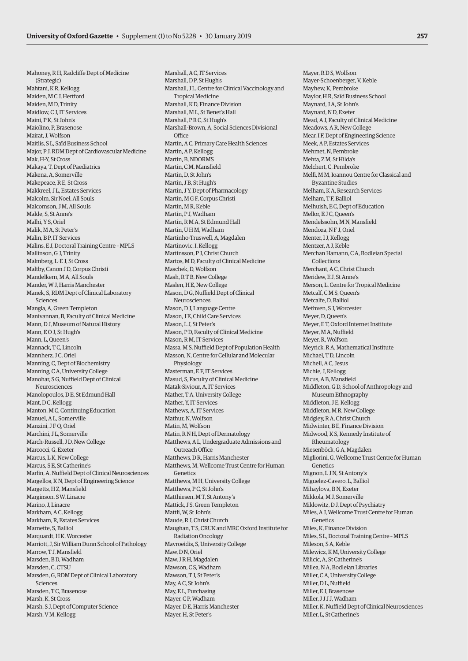Mahoney, R H, Radcliffe Dept of Medicine (Strategic) Mahtani, K R, Kellogg Maiden, M C J, Hertford Maiden, M D, Trinity Maidlow, C J, IT Services Maini, PK, St John's Maiolino, P, Brasenose Mairat, J, Wolfson Maitlis, S L, Saïd Business School Major, P J, RDM Dept of Cardiovascular Medicine Mak, H-Y, St Cross Makaya, T, Dept of Paediatrics Makena, A, Somerville Makepeace, R E, St Cross Makkreel, J.L. Estates Services Malcolm, Sir Noel, All Souls Malcomson, J M, All Souls Malde, S, St Anne's Malhi, Y S, Oriel Malik, M A, St Peter's Malin, B P, IT Services Malins, E J, Doctoral Training Centre – MPLS Mallinson, G J, Trinity Malmberg, L-E J, St Cross Maltby, Canon J D, Corpus Christi Mandelkern, M A, All Souls Mander, W J, Harris Manchester Manek, S, RDM Dept of Clinical Laboratory Sciences Mangla, A, Green Templeton Manivannan, B, Faculty of Clinical Medicine Mann, D J, Museum of Natural History Mann, E O J, St Hugh's Mann, L, Queen's Mannack, T C, Lincoln Mannherz, J.C. Oriel Manning, C, Dept of Biochemistry Manning, C A, University College Manohar, S G, Nuffield Dept of Clinical Neurosciences Manolopoulos, D E, St Edmund Hall Mant, D C, Kellogg Manton, M C, Continuing Education Manuel, A L, Somerville Manzini, JFO Oriel Marchini, J L, Somerville March-Russell, J D, New College Marcocci, G, Exeter Marcus, L K, New College Marcus, S E, St Catherine's Marfin, A, Nuffield Dept of Clinical Neurosciences Margellos, K N, Dept of Engineering Science Margetts, H Z, Mansfield Marginson, S W, Linacre Marino, J, Linacre Markham, A C, Kellogg Markham, R, Estates Services Marnette, S, Balliol Marquardt, HK, Worcester Marriott, J, Sir William Dunn School of Pathology Marrow, T J, Mansfield Marsden, BD, Wadham Marsden, C, CTSU Marsden, G, RDM Dept of Clinical Laboratory Sciences Marsden, T.C. Brasenose Marsh, K, St Cross Marsh, S J, Dept of Computer Science Marsh, V M, Kellogg

Marshall, A C, IT Services Marshall, D P, St Hugh's Marshall, J L, Centre for Clinical Vaccinology and Tropical Medicine Marshall, K D, Finance Division Marshall, M L, St Benet's Hall Marshall, PRC, St Hugh's Marshall-Brown, A, Social Sciences Divisional **Office** Martin, A C, Primary Care Health Sciences Martin, A P, Kellogg Martin, B, NDORMS Martin, C M, Mansfield Martin, D, St John's Martin, J B, St Hugh's Martin, J Y, Dept of Pharmacology Martin, M G F, Corpus Christi Martin, M R, Keble Martin, P J, Wadham Martin, R M A, St Edmund Hall Martin, UHM, Wadham Martinho-Truswell, A, Magdalen Martinovic, I, Kellogg Martinsson, P J, Christ Church Martos, M D, Faculty of Clinical Medicine Maschek, D, Wolfson Mash, R T B, New College Maslen, H E, New College Mason, D G, Nuffield Dept of Clinical Neurosciences Mason, D J, Language Centre Mason, J E, Child Care Services Mason, L J, St Peter's Mason, P D, Faculty of Clinical Medicine Mason, R M, IT Services Massa, M S, Nuffield Dept of Population Health Masson, N, Centre for Cellular and Molecular Physiology Masterman, E F, IT Services Masud, S, Faculty of Clinical Medicine Matak-Siviour, A, IT Services Mather, T A, University College Mather, Y, IT Services Mathews, A, IT Services Mathur, N, Wolfson Matin, M, Wolfson Matin, R N H, Dept of Dermatology Matthews, A L, Undergraduate Admissions and Outreach Office Matthews, D R, Harris Manchester Matthews, M, Wellcome Trust Centre for Human Genetics Matthews, M H, University College Matthews, P C, St John's Matthiesen, M T, St Antony's Mattick, J S, Green Templeton Mattli, W, St John's Maude, R J, Christ Church Maughan, T S, CRUK and MRC Oxford Institute for Radiation Oncology Mavroeidis, S, University College Maw, D N, Oriel Maw, J.R.H. Magdalen Mawson, C S, Wadham Mawson, T J, St Peter's May, A C, St John's May, E L, Purchasing Mayer, C P, Wadham Mayer, D E, Harris Manchester Mayer, H, St Peter's

Mayer, R D S, Wolfson Mayer-Schoenberger, V, Keble Mayhew, K, Pembroke Maylor, H R, Saïd Business School Maynard, J A, St John's Maynard, N D, Exeter Mead, A J, Faculty of Clinical Medicine Meadows, A R, New College Mear, I F, Dept of Engineering Science Meek, A P, Estates Services Mehmet, N, Pembroke Mehta, Z M, St Hilda's Melchert, C, Pembroke Melfi, M M, Ioannou Centre for Classical and Byzantine Studies Melham, K A, Research Services Melham, T F, Balliol Melhuish, E C, Dept of Education Mellor, E J C, Queen's Mendelssohn, M N, Mansfield Mendoza, N.F. I, Oriel Menter, I J, Kellogg Mentzer, A J, Keble Merchan Hamann, C A, Bodleian Special Collections Merchant, A C, Christ Church Meridew, E J, St Anne's Merson, L, Centre for Tropical Medicine Metcalf, C M S, Queen's Metcalfe, D, Balliol Methven, S J, Worcester Meyer, D, Queen's Meyer, E T, Oxford Internet Institute Meyer, M A, Nuffield Meyer, R, Wolfson Meyrick, R A, Mathematical Institute Michael, TD Lincoln Michell, A C, Jesus Michie, J, Kellogg Micus, A B, Mansfield Middleton, G D, School of Anthropology and Museum Ethnography Middleton, J E, Kellogg Middleton, M R, New College Midgley, R A, Christ Church Midwinter, B E, Finance Division Midwood, K S, Kennedy Institute of Rheumatology Miesenböck, G A, Magdalen Migliorini, G, Wellcome Trust Centre for Human Genetics Mignon, L J N, St Antony's Miguelez-Cavero, L, Balliol Mihaylova, B N, Exeter Mikkola, M J, Somerville Miklowitz, D J, Dept of Psychiatry Miles, A J, Wellcome Trust Centre for Human Genetics Miles, K, Finance Division Miles, S L, Doctoral Training Centre – MPLS Mileson, S A, Keble Milewicz, K M, University College Milicic, A, St Catherine's Millea, N A, Bodleian Libraries Miller, C A, University College Miller, D L, Nuffield Miller, E. J. Brasenose Miller, J J J J, Wadham Miller, K, Nuffield Dept of Clinical Neurosciences Miller, L, St Catherine's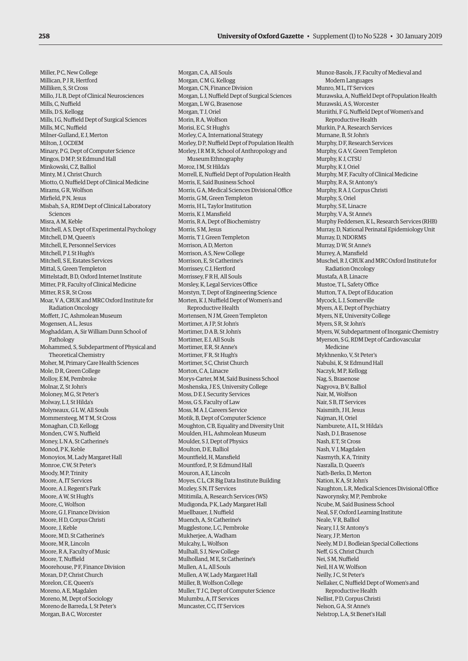Miller, P C, New College Millican, P J R, Hertford Milliken, S, St Cross Millo, J L B, Dept of Clinical Neurosciences Mills, C, Nuffield Mills, D S, Kellogg Mills, I G, Nuffield Dept of Surgical Sciences Mills, M C, Nuffield Milner-Gulland, E J, Merton Milton, J, OCDEM Minary, P G, Dept of Computer Science Mingos, D M P, St Edmund Hall Minkowski, C Z, Balliol Minty, M J, Christ Church Miotto, O, Nuffield Dept of Clinical Medicine Mirams, G R, Wolfson Mirfield, P N, Jesus Misbah, S A, RDM Dept of Clinical Laboratory Sciences Misra, A M, Keble Mitchell, A S, Dept of Experimental Psychology Mitchell, D M, Queen's Mitchell, E, Personnel Services Mitchell, P J, St Hugh's Mitchell, S E, Estates Services Mittal, S, Green Templeton Mittelstadt, B D, Oxford Internet Institute Mitter, P R, Faculty of Clinical Medicine Mitter, R S R, St Cross Moar, V A, CRUK and MRC Oxford Institute for Radiation Oncology Moffett, JC, Ashmolean Museum Mogensen, A L, Jesus Moghaddam, A, Sir William Dunn School of Pathology Mohammed, S, Subdepartment of Physical and Theoretical Chemistry Moher, M, Primary Care Health Sciences Mole, D R, Green College Molloy, E M, Pembroke Molnar 7 St John's Moloney, M G, St Peter's Molway, L J, St Hilda's Molyneaux, G L W, All Souls Mommersteeg, M T M, St Cross Monaghan, C D, Kellogg Monden, C W S, Nuffield Money, L N A, St Catherine's Monod, P K, Keble Monoyios, M, Lady Margaret Hall Monroe, C W, St Peter's Moody, M P, Trinity Moore, A, IT Services Moore, A J, Regent's Park Moore, A W, St Hugh's Moore, C, Wolfson Moore, G J, Finance Division Moore, H D, Corpus Christi Moore, J, Keble Moore, M D, St Catherine's Moore, M R, Lincoln Moore, R A, Faculty of Music Moore, T, Nuffield Moorehouse, P.F. Finance Division Moran, D P, Christ Church Morelon, C E, Queen's Moreno, A E, Magdalen Moreno, M, Dept of Sociology Moreno de Barreda, I, St Peter's Morgan, B A C, Worcester

Morgan, C A, All Souls Morgan, C M G, Kellogg Morgan, C N, Finance Division Morgan, L J, Nuffield Dept of Surgical Sciences Morgan, L W G, Brasenose Morgan, T J, Oriel Morin, R A, Wolfson Morisi, E C, St Hugh's Morley, C A, International Strategy Morley, D P, Nuffield Dept of Population Health Morley, I R M R, School of Anthropology and Museum Ethnography Moroz, I M, St Hilda's Morrell, E, Nuffield Dept of Population Health Morris, E, Saïd Business School Morris, G A, Medical Sciences Divisional Office Morris, G M, Green Templeton Morris, H L, Taylor Institution Morris, K J, Mansfield Morris, R A, Dept of Biochemistry Morris, S.M. Jesus Morris, T J, Green Templeton Morrison, A D, Merton Morrison, A S, New College Morrison, E, St Catherine's Morrissey, C J, Hertford Morrissey, F R H, All Souls Morsley, K, Legal Services Office Morstyn, T, Dept of Engineering Science Morten, K J, Nuffield Dept of Women's and Reproductive Health Mortensen, N J M, Green Templeton Mortimer, A J P, St John's Mortimer, D A B, St John's Mortimer, E J, All Souls Mortimer, E R, St Anne's Mortimer, F R, St Hugh's Mortimer, S C, Christ Church Morton, C A, Linacre Morys-Carter, M M, Saïd Business School Moshenska, J E S, University College Moss, D E J, Security Services Moss, G S, Faculty of Law Moss, M A J, Careers Service Motik, B, Dept of Computer Science Moughton, C B, Equality and Diversity Unit Moulden, H L, Ashmolean Museum Moulder, S J, Dept of Physics Moulton, DE, Balliol Mountfield, H, Mansfield Mountford, P, St Edmund Hall Mouron, A E, Lincoln Moyes, C L, CR Big Data Institute Building Mozley, S N, IT Services Mtitimila, A, Research Services (WS) Mudigonda, P K, Lady Margaret Hall Muellbauer, J, Nuffield Muench, A, St Catherine's Mugglestone, L C, Pembroke Mukherjee, A, Wadham Mulcahy, L, Wolfson Mulhall, S J, New College Mulholland, M E, St Catherine's Mullen, A L, All Souls Mullen, A W, Lady Margaret Hall Müller, B, Wolfson College Muller, T J C, Dept of Computer Science Mulumbu, A, IT Services Muncaster, C C, IT Services

Munoz-Basols, J F, Faculty of Medieval and Modern Languages Munro, ML, IT Services Murawska, A, Nuffield Dept of Population Health Murawski, A S, Worcester Muriithi, F G, Nuffield Dept of Women's and Reproductive Health Murkin, P A, Research Services Murnane, B, St John's Murphy, D F, Research Services Murphy, G A V, Green Templeton Murphy, K J, CTSU Murphy, K J, Oriel Murphy, M F, Faculty of Clinical Medicine Murphy, R A, St Antony's Murphy, R A J, Corpus Christi Murphy, S, Oriel Murphy, S E, Linacre Murphy, V A, St Anne's Murphy Feddersen, K L, Research Services (RHB) Murray, D, National Perinatal Epidemiology Unit Murray, D, NDORMS Murray, D W, St Anne's Murrey, A, Mansfield Muschel, R J, CRUK and MRC Oxford Institute for Radiation Oncology Mustafa, A B, Linacre Mustoe, T L, Safety Office Mutton, T A, Dept of Education Mycock, L J, Somerville Myers, A E, Dept of Psychiatry Myers, N E, University College Myers, S R, St John's Myers, W, Subdepartment of Inorganic Chemistry Myerson, S G, RDM Dept of Cardiovascular Medicine Mykhnenko, V, St Peter's Nabulsi, K, St Edmund Hall Naczyk, M P, Kellogg Nag, S, Brasenose Nagyova, B V, Balliol Nair, M, Wolfson Nair, S.B. IT Services Naismith, J H, Jesus Najman, H, Oriel Namburete, A I L, St Hilda's Nash, D J, Brasenose Nash, E T, St Cross Nash, V J, Magdalen Nasmyth, K A, Trinity Nasralla, D, Queen's Nath-Berks, D, Merton Nation, K A, St John's Naughton, L R, Medical Sciences Divisional Office Naworynsky, M P, Pembroke Ncube, M, Saïd Business School Neal, S F, Oxford Learning Institute Neale, V R, Balliol Neary, I J, St Antony's Neary, J P, Merton Neely, M D J, Bodleian Special Collections Neff, G S, Christ Church Nei, S M, Nuffield Neil, H A W, Wolfson Neilly, J C, St Peter's Nellaker, C, Nuffield Dept of Women's and Reproductive Health Nellist, P D, Corpus Christi Nelson, G A, St Anne's Nelstrop, L A, St Benet's Hall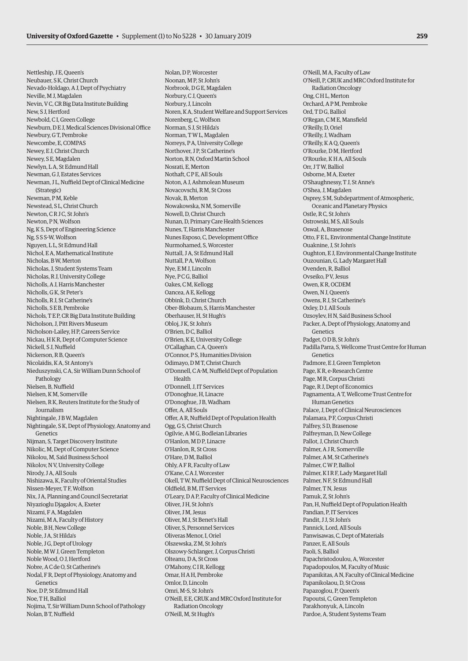Nettleship, J E, Queen's Neubauer, S K, Christ Church Nevado-Holdago, A J, Dept of Psychiatry Neville, M J, Magdalen Nevin, V C, CR Big Data Institute Building New, S J, Hertford Newbold, C I, Green College Newburn, D E J, Medical Sciences Divisional Office Newbury GT Pembroke Newcombe, E, COMPAS Newey, E J, Christ Church Newey, S E, Magdalen Newlyn, L A, St Edmund Hall Newman, G J, Estates Services Newman, J L, Nuffield Dept of Clinical Medicine (Strategic) Newman, P M, Keble Newstead, SL, Christ Church Newton, C R J C, St John's Newton, P N, Wolfson Ng, K S, Dept of Engineering Science Ng, S S S-W, Wolfson Nguyen, L L, St Edmund Hall Nichol, E A, Mathematical Institute Nicholas, B W, Merton Nicholas, J, Student Systems Team Nicholas, R J, University College Nicholls, A J, Harris Manchester Nicholls, G K, St Peter's Nicholls, R J, St Catherine's Nicholls, S E B, Pembroke Nichols, T E P, CR Big Data Institute Building Nicholson, J, Pitt Rivers Museum Nicholson-Lailey, H P, Careers Service Nickau, H K R, Dept of Computer Science Nickell, S J, Nuffield Nickerson, R B, Queen's Nicolaïdis, K A, St Antony's Nieduszynski, C A, Sir William Dunn School of Pathology Nielsen, B, Nuffield Nielsen, K M, Somerville Nielsen, R K, Reuters Institute for the Study of Journalism Nightingale, J B W, Magdalen Nightingale, S K, Dept of Physiology, Anatomy and Genetics Nijman, S, Target Discovery Institute Nikolic, M, Dept of Computer Science Nikolou, M, Saïd Business School Nikolov, N V, University College Nirody, J A, All Souls Nishizawa, K, Faculty of Oriental Studies Nissen-Meyer, T F, Wolfson Nix, J A, Planning and Council Secretariat Niyazioglu Djagalov, A, Exeter Nizami, F A, Magdalen Nizami, M A, Faculty of History Noble, B H, New College Noble, J A, St Hilda's Noble, J G, Dept of Urology Noble, M W J, Green Templeton Noble Wood, O J, Hertford Nobre, A C de O, St Catherine's Nodal, F R, Dept of Physiology, Anatomy and Genetics Noe, D P, St Edmund Hall Noe TH Balliol Nojima, T, Sir William Dunn School of Pathology Nolan, B T, Nuffield

Nolan, D P, Worcester Noonan, M P, St John's Norbrook, D G E, Magdalen Norbury, C J, Queen's Norbury, J, Lincoln Noren, K A, Student Welfare and Support Services Norenberg, C, Wolfson Norman, S J, St Hilda's Norman, T W L, Magdalen Norreys, P A, University College Northover, J P, St Catherine's Norton, R N, Oxford Martin School Nosrati, E, Merton Nothaft, C P E, All Souls Noton, A J, Ashmolean Museum Novacovschi, R M, St Cross Novak, B, Merton Nowakowska, N M, Somerville Nowell, D, Christ Church Nunan, D, Primary Care Health Sciences Nunes, T, Harris Manchester Nunes Esposo, C, Development Office Nurmohamed, S, Worcester Nuttall, J A, St Edmund Hall Nuttall, P A, Wolfson Nye, E M J, Lincoln Nye, P C G, Balliol Oakes, C M, Kellogg Oancea, A E, Kellogg Obbink, D, Christ Church Ober-Blobaum, S, Harris Manchester Oberhauser, H, St Hugh's Obloj, J K, St John's O'Brien, D C, Balliol O'Brien, K E, University College O'Callaghan, C A, Queen's O'Connor, P S, Humanities Division Odimayo, D M T, Christ Church O'Donnell, C A-M, Nuffield Dept of Population **Health** O'Donnell, J, IT Services O'Donoghue, H, Linacre O'Donoghue, J B, Wadham Offer, A, All Souls Offer, A R, Nuffield Dept of Population Health Ogg, G S, Christ Church Ogilvie, A M G, Bodleian Libraries O'Hanlon, M D P, Linacre O'Hanlon, R, St Cross O'Hare, D M, Balliol Ohly, A F R, Faculty of Law O'Kane, C A J, Worcester Okell, T W, Nuffield Dept of Clinical Neurosciences Oldfield, B M, IT Services O'Leary, D A P, Faculty of Clinical Medicine Oliver, J H, St John's Oliver, J M, Jesus Oliver, M J, St Benet's Hall Oliver, S, Personnel Services Oliveras Menor, I, Oriel Olszewska, Z M, St John's Olszowy-Schlanger, J, Corpus Christi Olteanu, D A, St Cross O'Mahony, C I R, Kellogg Omar, H A H, Pembroke Omlor, D, Lincoln Omri, M-S, St John's O'Neill, E E, CRUK and MRC Oxford Institute for Radiation Oncology O'Neill, M, St Hugh's

O'Neill, M A, Faculty of Law O'Neill, P, CRUK and MRC Oxford Institute for Radiation Oncology Ong, C H L, Merton Orchard, A P M, Pembroke Ord, T D G, Balliol O'Regan, C M E, Mansfield O'Reilly, D, Oriel O'Reilly, J, Wadham O'Reilly, K A Q, Queen's O'Rourke, D M, Hertford O'Rourke, K H A, All Souls Orr, J T W, Balliol Osborne, M A, Exeter O'Shaughnessy, T J, St Anne's O'Shea, J, Magdalen Osprey, S M, Subdepartment of Atmospheric, Oceanic and Planetary Physics Ostle, R C, St John's Ostrowski, M S, All Souls Oswal, A, Brasenose Otto, F E L, Environmental Change Institute Ouaknine, J, St John's Oughton, E J, Environmental Change Institute Ouzounian, G, Lady Margaret Hall Ovenden, R, Balliol Ovseiko, P V, Jesus Owen, K R, OCDEM Owen, N J, Queen's Owens, R J, St Catherine's Oxley, D J, All Souls Ozsoylev, H N, Saïd Business School Packer, A, Dept of Physiology, Anatomy and Genetics Padget, O D B, St John's Padilla Parra, S, Wellcome Trust Centre for Human Genetics Padmore, E J, Green Templeton Page, K R, e-Research Centre Page, M R, Corpus Christi Page, R J, Dept of Economics Pagnamenta, A T, Wellcome Trust Centre for Human Genetics Palace, J, Dept of Clinical Neurosciences Palamara, P F, Corpus Christi Palfrey, S D, Brasenose Palfreyman, D, New College Pallot, J, Christ Church Palmer, A J R, Somerville Palmer, A M, St Catherine's Palmer, C W P, Balliol Palmer, K I R F, Lady Margaret Hall Palmer, N F, St Edmund Hall Palmer, T N, Jesus Pamuk, Z, St John's Pan, H, Nuffield Dept of Population Health Pandian, P, IT Services Pandit, J J, St John's Pannick, Lord, All Souls Panwisawas, C, Dept of Materials Panzer, E, All Souls Paoli, S, Balliol Papachristodoulou, A, Worcester Papadopoulos, M, Faculty of Music Papanikitas, A N, Faculty of Clinical Medicine Papanikolaou, D, St Cross Papazoglou, P, Queen's Papoutsi, C, Green Templeton Parakhonyuk, A, Lincoln Pardoe, A, Student Systems Team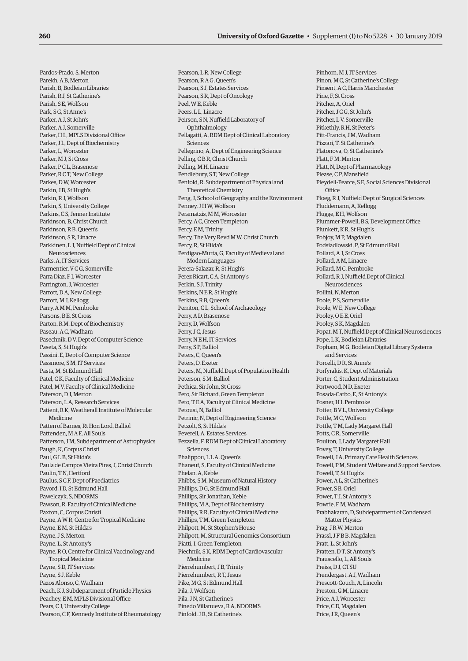Pardos-Prado, S, Merton Parekh, A B, Merton Parish, B, Bodleian Libraries Parish, R J, St Catherine's Parish, S E, Wolfson Park, SG, St Anne's Parker, A J, St John's Parker, A J, Somerville Parker, H L, MPLS Divisional Office Parker, J L, Dept of Biochemistry Parker, L, Worcester Parker, M J, St Cross Parker, P C L, Brasenose Parker, R C T, New College Parkes, D W, Worcester Parkin, J B, St Hugh's Parkin, R J, Wolfson Parkin, S, University College Parkins, C S, Jenner Institute Parkinson, B, Christ Church Parkinson, R B, Queen's Parkinson, S R, Linacre Parkkinen, L J, Nuffield Dept of Clinical Neurosciences Parks, A, IT Services Parmentier, V C G, Somerville Parra Diaz, F I, Worcester Parrington, J, Worcester Parrott, D A, New College Parrott, M J, Kellogg Parry, A M M, Pembroke Parsons, B E, St Cross Parton, R M, Dept of Biochemistry Paseau, A C, Wadham Pasechnik, D V, Dept of Computer Science Paseta, S, St Hugh's Passini, E, Dept of Computer Science Passmore, S M, IT Services Pasta, M, St Edmund Hall Patel, C K, Faculty of Clinical Medicine Patel, M V, Faculty of Clinical Medicine Paterson, D J, Merton Paterson, L A, Research Services Patient, R K, Weatherall Institute of Molecular Medicine Patten of Barnes, Rt Hon Lord, Balliol Pattenden, M A F, All Souls Patterson, J M, Subdepartment of Astrophysics Paugh, K, Corpus Christi Paul, G L B, St Hilda's Paula de Campos Vieira Pires, J, Christ Church Paulin, T N, Hertford Paulus, S C F, Dept of Paediatrics Pavord, I D, St Edmund Hall Pawelczyk, S, NDORMS Pawson, R, Faculty of Clinical Medicine Paxton, C, Corpus Christi Payne, A W R, Centre for Tropical Medicine Payne, E M, St Hilda's Payne, J S, Merton Payne, L, St Antony's Payne, R O, Centre for Clinical Vaccinology and Tropical Medicine Payne, S D, IT Services Payne, S J, Keble Pazos Alonso, C, Wadham Peach, K J, Subdepartment of Particle Physics Peachey, E.M. MPLS Divisional Office Pears, C J, University College Pearson, C F, Kennedy Institute of Rheumatology

Pearson, L R, New College Pearson, R A G, Queen's Pearson, S J, Estates Services Pearson, S R, Dept of Oncology Peel, W E, Keble Peers, LL, Linacre Peirson, S N, Nuffield Laboratory of Ophthalmology Pellagatti, A, RDM Dept of Clinical Laboratory Sciences Pellegrino, A, Dept of Engineering Science Pelling, C B R, Christ Church Pelling, M H, Linacre Pendlebury, S T, New College Penfold, R, Subdepartment of Physical and Theoretical Chemistry Peng, J, School of Geography and the Environment Penney, J H W, Wolfson Peramatzis, M M, Worcester Percy, A C, Green Templeton Percy, E M, Trinity Percy, The Very Revd M W, Christ Church Percy, R, St Hilda's Perdigao-Murta, G, Faculty of Medieval and Modern Languages Perera-Salazar, R, St Hugh's Perez Ricart, C A, St Antony's Perkin, S J, Trinity Perkins, N E R, St Hugh's Perkins, R B, Queen's Perriton, C L, School of Archaeology Perry, A D, Brasenose Perry, D, Wolfson Perry, J C, Jesus Perry, N E H, IT Services Perry, S P, Balliol Peters, C, Queen's Peters, D, Exeter Peters, M, Nuffield Dept of Population Health Peterson, S M, Balliol Pethica, Sir John, St Cross Peto, Sir Richard, Green Templeton Peto, T E A, Faculty of Clinical Medicine Petousi, N, Balliol Petrinic, N, Dept of Engineering Science Petzolt, S, St Hilda's Peverell, A, Estates Services Pezzella, F, RDM Dept of Clinical Laboratory Sciences Phalippou, L L A, Queen's Phaneuf, S, Faculty of Clinical Medicine Phelan, A, Keble Phibbs, S M, Museum of Natural History Phillips, D G, St Edmund Hall Phillips, Sir Jonathan, Keble Phillips, M A, Dept of Biochemistry Phillips, R R, Faculty of Clinical Medicine Phillips, T M, Green Templeton Philpott, M, St Stephen's House Philpott, M, Structural Genomics Consortium Piatti, I, Green Templeton Piechnik, S K, RDM Dept of Cardiovascular Medicine Pierrehumbert, J B, Trinity Pierrehumbert, R T, Jesus Pike, M G, St Edmund Hall Pila, J, Wolfson Pila, JN, St Catherine's Pinedo Villanueva, R A, NDORMS Pinfold, J R, St Catherine's

Pinhorn, M J, IT Services Pinon, M C, St Catherine's College Pinsent, A C, Harris Manchester Pirie, F, St Cross Pitcher, A, Oriel Pitcher, J C G, St John's Pitcher, L.V, Somerville Pitkethly, R H, St Peter's Pitt-Francis, J.M. Wadham Pizzari, T, St Catherine's Platonova, O, St Catherine's Platt, F M, Merton Platt, N, Dept of Pharmacology Please, C P, Mansfield Pleydell-Pearce, S E, Social Sciences Divisional **Office** Ploeg, R J, Nuffield Dept of Surgical Sciences Pluddemann, A, Kellogg Plugge, E H, Wolfson Plummer-Powell, B S, Development Office Plunkett, KR, St Hugh's Pobjoy, M P, Magdalen Podsiadlowski, P, St Edmund Hall Pollard, A J, St Cross Pollard, A M, Linacre Pollard, M C, Pembroke Pollard, R J, Nuffield Dept of Clinical Neurosciences Pollini, N, Merton Poole, P S, Somerville Poole, W E, New College Pooley O E E, Oriel Pooley, S K, Magdalen Popat, M T, Nuffield Dept of Clinical Neurosciences Pope, L K, Bodleian Libraries Popham, M G, Bodleian Digital Library Systems and Services Porcelli, D R, St Anne's Porfyrakis, K, Dept of Materials Porter, C, Student Administration Portwood, ND, Exeter Posada-Carbo, E, St Antony's Posner, H I, Pembroke Potter, B V L, University College Pottle, M C, Wolfson Pottle, T M, Lady Margaret Hall Potts, C R, Somerville Poulton, J, Lady Margaret Hall Povey, T, University College Powell, J A, Primary Care Health Sciences Powell, P M, Student Welfare and Support Services Powell, T, St Hugh's Power, A L, St Catherine's Power, S B, Oriel Power, T. J. St Antony's Powrie, F M, Wadham Prabhakaran, D, Subdepartment of Condensed Matter Physics Prag, J R W, Merton Prassl, J F B B, Magdalen Pratt, L, St John's Pratten, D.T. St Antony's Prauscello, L, All Souls Preiss, DJ, CTSU Prendergast, A J, Wadham Prescott-Couch, A, Lincoln Preston, G M, Linacre Price, A J, Worcester Price, C D, Magdalen Price, J R, Queen's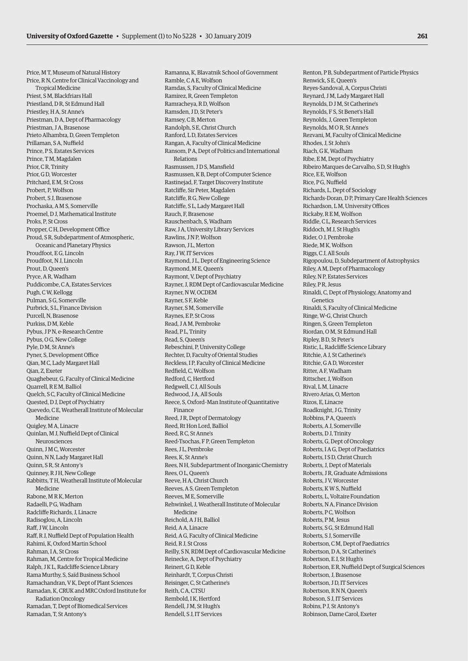Price, M T, Museum of Natural History Price, R N, Centre for Clinical Vaccinology and Tropical Medicine Priest, S M, Blackfriars Hall Priestland, D R, St Edmund Hall Priestley, H A, St Anne's Priestman, D A, Dept of Pharmacology Priestman, J A, Brasenose Prieto Alhambra, D, Green Templeton Prillaman, S A, Nuffield Prince, P S, Estates Services Prince, T M, Magdalen Prior, C R, Trinity Prior, G D, Worcester Pritchard, E M, St Cross Probert, P, Wolfson Probert, S J, Brasenose Prochaska, A M S, Somerville Proemel, D J, Mathematical Institute Proks, P, St Cross Propper, C H, Development Office Proud, S R, Subdepartment of Atmospheric, Oceanic and Planetary Physics Proudfoot, EG, Lincoln Proudfoot, N J, Lincoln Prout, D, Queen's Pryce, A R, Wadham Puddicombe, C A, Estates Services Pugh, C W, Kellogg Pulman, S G, Somerville Purbrick, S L, Finance Division Purcell, N, Brasenose Purkiss, D M, Keble Pybus, J P N, e-Research Centre Pybus, O G, New College Pyle, D M, St Anne's Pyner, S, Development Office Qian, M C, Lady Margaret Hall Qian, Z, Exeter Quaghebeur, G, Faculty of Clinical Medicine Quarrell, R E M, Balliol Quelch, S C, Faculty of Clinical Medicine Quested, D J, Dept of Psychiatry Quevedo, C E, Weatherall Institute of Molecular Medicine Quigley, M A, Linacre Quinlan, M J, Nuffield Dept of Clinical Neurosciences Quinn, J M C, Worcester Quinn, N N, Lady Margaret Hall Quinn, S R, St Antony's Quinney, R J H, New College Rabbitts, T H, Weatherall Institute of Molecular Medicine Rabone, M R K, Merton Radaelli, P G, Wadham Radcliffe Richards, J, Linacre Radisoglou, A, Lincoln Raff, J.W Lincoln Raff, R J, Nuffield Dept of Population Health Rahimi, K, Oxford Martin School Rahman, I A, St Cross Rahman, M, Centre for Tropical Medicine Ralph, J K L, Radcliffe Science Library Rama Murthy, S, Saïd Business School Ramachandran, V K, Dept of Plant Sciences Ramadan, K, CRUK and MRC Oxford Institute for Radiation Oncology Ramadan, T, Dept of Biomedical Services Ramadan, T, St Antony's

Ramanna, K, Blavatnik School of Government Ramble, C A E, Wolfson Ramdas, S, Faculty of Clinical Medicine Ramirez, R, Green Templeton Ramracheya, R D, Wolfson Ramsden, J D, St Peter's Ramsey, C B, Merton Randolph, S E, Christ Church Ranford, L D, Estates Services Rangan, A, Faculty of Clinical Medicine Ransom, P A, Dept of Politics and International Relations Rasmussen, J D S, Mansfield Rasmussen, K B, Dept of Computer Science Rastinejad, F, Target Discovery Institute Ratcliffe, Sir Peter, Magdalen Ratcliffe, R G, New College Ratcliffe, S L, Lady Margaret Hall Rauch, F, Brasenose Rauschenbach, S, Wadham Raw, J A, University Library Services Rawlins, J N P, Wolfson Rawson, J L, Merton Ray, J W, IT Services Raymond, J L, Dept of Engineering Science Raymond, M E, Queen's Raymont, V, Dept of Psychiatry Rayner, J, RDM Dept of Cardiovascular Medicine Rayner, N W, OCDEM Rayner, S F, Keble Rayner, S M, Somerville Raynes, EP, St Cross Read, J A M, Pembroke Read, P L, Trinity Read, S, Queen's Rebeschini, P, University College Rechter, D, Faculty of Oriental Studies Reckless, I P, Faculty of Clinical Medicine Redfield, C, Wolfson Redford, C, Hertford Redgwell, C J, All Souls Redwood, J A, All Souls Reece, S, Oxford–Man Institute of Quantitative Finance Reed, J R, Dept of Dermatology Reed, Rt Hon Lord, Balliol Reed, R C, St Anne's Reed-Tsochas, F P, Green Templeton Rees, J L, Pembroke Rees, K, St Anne's Rees, N H, Subdepartment of Inorganic Chemistry Rees, O L, Queen's Reeve, H A, Christ Church Reeves, A S, Green Templeton Reeves, M E, Somerville Rehwinkel, J, Weatherall Institute of Molecular Medicine Reichold, A J H, Balliol Reid, A A, Linacre Reid, A G, Faculty of Clinical Medicine Reid, R J, St Cross Reilly, S N, RDM Dept of Cardiovascular Medicine Reinecke, A, Dept of Psychiatry Reinert, GD, Keble Reinhardt, T, Corpus Christi Reisinger, C, St Catherine's Reith, C A, CTSU Rembold IK Hertford Rendell, J M, St Hugh's Rendell, S J, IT Services

Renton, P B, Subdepartment of Particle Physics Renwick, S E, Queen's Reyes-Sandoval, A, Corpus Christi Reynard, J M, Lady Margaret Hall Reynolds, D J M, St Catherine's Reynolds, F S, St Benet's Hall Reynolds, J, Green Templeton Reynolds, M O R, St Anne's Rezvani, M, Faculty of Clinical Medicine Rhodes, J, St John's Riach, G K, Wadham Ribe, E M, Dept of Psychiatry Ribeiro Marques de Carvalho, S D, St Hugh's Rice, E E, Wolfson Rice, PG, Nuffield Richards, L, Dept of Sociology Richards-Doran, D P, Primary Care Health Sciences Richardson, L M, University Offices Rickaby, R E M, Wolfson Riddle, C L, Research Services Riddoch, M J, St Hugh's Rider, O J, Pembroke Riede, M K, Wolfson Riggs, C J, All Souls Rigopoulou, D, Subdepartment of Astrophysics Riley, A M, Dept of Pharmacology Riley, N P, Estates Services Riley, P R, Jesus Rinaldi, C, Dept of Physiology, Anatomy and Genetics Rinaldi, S, Faculty of Clinical Medicine Ringe, W-G, Christ Church Ringen, S, Green Templeton Riordan, O M, St Edmund Hall Ripley, B D, St Peter's Ristic, L, Radcliffe Science Library Ritchie, A J, St Catherine's Ritchie, G A D, Worcester Ritter, A F, Wadham Rittscher, J, Wolfson Rival, L M, Linacre Rivero Arias, O, Merton Rizos, E, Linacre Roadknight, J G, Trinity Robbins, P A, Queen's Roberts, A J, Somerville Roberts, D J, Trinity Roberts, G, Dept of Oncology Roberts, I A G, Dept of Paediatrics Roberts, I S D, Christ Church Roberts, J, Dept of Materials Roberts, J R, Graduate Admissions Roberts, J V, Worcester Roberts, K W S, Nuffield Roberts, L, Voltaire Foundation Roberts, N A, Finance Division Roberts, P C, Wolfson Roberts, P M, Jesus Roberts, S.G. St Edmund Hall Roberts, S J, Somerville Robertson, C M, Dept of Paediatrics Robertson, D A, St Catherine's Robertson, E J, St Hugh's Robertson, E R, Nuffield Dept of Surgical Sciences Robertson, J, Brasenose Robertson, J D, IT Services Robertson, R N N, Queen's Robeson, S J, IT Services Robins, P J, St Antony's Robinson, Dame Carol, Exeter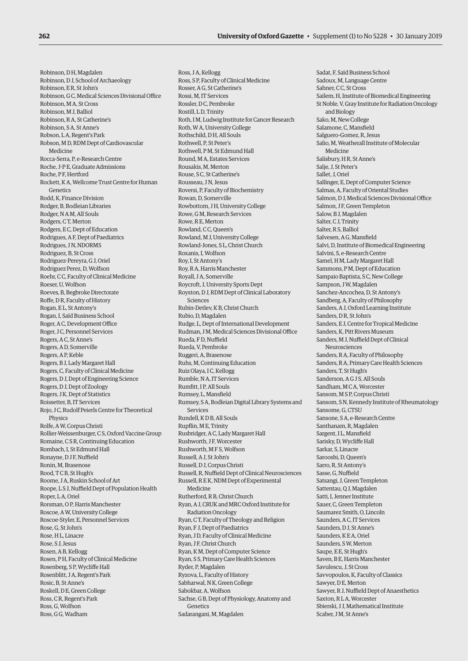Robinson, D H, Magdalen Robinson, D J, School of Archaeology Robinson, E R, St John's Robinson, G C, Medical Sciences Divisional Office Robinson, M A, St Cross Robinson, M J, Balliol Robinson, R A, St Catherine's Robinson, S A, St Anne's Robson, L A, Regent's Park Robson, M D, RDM Dept of Cardiovascular Medicine Rocca-Serra, P, e-Research Centre Roche, J-P E, Graduate Admissions Roche, P F, Hertford Rockett, K A, Wellcome Trust Centre for Human Genetics Rodd, K, Finance Division Rodger, B, Bodleian Libraries Rodger, N A M, All Souls Rodgers, C T, Merton Rodgers, E C, Dept of Education Rodrigues, A F, Dept of Paediatrics Rodrigues, J N, NDORMS Rodriguez, B, St Cross Rodriguez-Pereyra, G J, Oriel Rodriguez Perez, D, Wolfson Roehr, C C, Faculty of Clinical Medicine Roeser, U, Wolfson Roeves, B, Begbroke Directorate Roffe, D R, Faculty of History Rogan, E L, St Antony's Rogan, I, Saïd Business School Roger, A C, Development Office Roger, J C, Personnel Services Rogers, A C, St Anne's Rogers, A D, Somerville Rogers, A P, Keble Rogers, B J, Lady Margaret Hall Rogers, C, Faculty of Clinical Medicine Rogers, D J, Dept of Engineering Science Rogers, D J, Dept of Zoology Rogers, J K, Dept of Statistics Roissetter, B, IT Services Rojo, J C, Rudolf Peierls Centre for Theoretical Physics Rolfe, A W, Corpus Christi Rollier-Weissenburger, C S, Oxford Vaccine Group Romaine, C S R, Continuing Education Rombach, I, St Edmund Hall Ronayne, D J F, Nuffield Ronin, M, Brasenose Rood, T C B, St Hugh's Roome, J A, Ruskin School of Art Roope, L S J, Nuffield Dept of Population Health Roper L.A, Oriel Rorsman, O P, Harris Manchester Roscoe, A W, University College Roscoe-Styler, E, Personnel Services Rose, G, St John's Rose, H L, Linacre Rose, S J, Jesus Rosen, A B, Kellogg Rosen, P H, Faculty of Clinical Medicine Rosenberg, S P, Wycliffe Hall Rosenblitt, J A, Regent's Park Rosic, B, St Anne's Roskell, D E, Green College Ross, C R, Regent's Park Ross, G, Wolfson Ross, G G, Wadham

Ross, J A, Kellogg Ross, S P, Faculty of Clinical Medicine Rosser, A G, St Catherine's Rossi, M, IT Services Rossler, D C, Pembroke Rostill, L D, Trinity Roth, I M, Ludwig Institute for Cancer Research Roth, W A, University College Rothschild, D H, All Souls Rothwell, P, St Peter's Rothwell, P M, St Edmund Hall Round, M A, Estates Services Rousakis, M, Merton Rouse, S C, St Catherine's Rousseau, J N, Jesus Roversi, P, Faculty of Biochemistry Rowan, D, Somerville Rowbottom, J H, University College Rowe, G M, Research Services Rowe, R E, Merton Rowland, C.C. Queen's Rowland, M J, University College Rowland-Jones, S L, Christ Church Roxanis, I, Wolfson Roy, I, St Antony's Roy, R A, Harris Manchester Royall, J A, Somerville Roycroft, J, University Sports Dept Royston, D J, RDM Dept of Clinical Laboratory Sciences Rubin-Detlev, K B, Christ Church Rubio, D, Magdalen Rudge, L, Dept of International Development Rudman, J M, Medical Sciences Divisional Office Rueda, F D, Nuffield Rueda, V, Pembroke Ruggeri, A, Brasenose Ruhs, M, Continuing Education Ruiz Olaya, I C, Kellogg Rumble, N A, IT Services Rumfitt, I P, All Souls Rumsey, L, Mansfield Rumsey, S A, Bodleian Digital Library Systems and Services Rundell, K D B, All Souls Rupflin, M E, Trinity Rusbridger, A C, Lady Margaret Hall Rushworth, J F, Worcester Rushworth, M F S, Wolfson Russell, A J, St John's Russell, D J, Corpus Christi Russell, R, Nuffield Dept of Clinical Neurosciences Russell, R E K, NDM Dept of Experimental Medicine Rutherford, R B, Christ Church Ryan, A J, CRUK and MRC Oxford Institute for Radiation Oncology Ryan, C T, Faculty of Theology and Religion Ryan, F J, Dept of Paediatrics Ryan, J D, Faculty of Clinical Medicine Ryan, J F, Christ Church Ryan, K M, Dept of Computer Science Ryan, S S, Primary Care Health Sciences Ryder, P, Magdalen Ryzova, L, Faculty of History Sabharwal, N K, Green College Sabokbar, A, Wolfson Sachse, G B, Dept of Physiology, Anatomy and Genetics Sadarangani, M, Magdalen

Sadat, F, Saïd Business School Sadoux, M, Language Centre Sahner, C C, St Cross Sailem, H, Institute of Biomedical Engineering St Noble, V, Gray Institute for Radiation Oncology and Biology Sako, M, New College Salamone, C, Mansfield Salguero-Gomez, R, Jesus Salio, M, Weatherall Institute of Molecular Medicine Salisbury, H R, St Anne's Salje, J, St Peter's Sallet, J, Oriel Sallinger, E, Dept of Computer Science Salmas, A, Faculty of Oriental Studies Salmon, D J, Medical Sciences Divisional Office Salmon, J F, Green Templeton Salow, B J, Magdalen Salter, C J, Trinity Salter, R.S. Balliol Salvesen, A G, Mansfield Salvi, D, Institute of Biomedical Engineering Salvini, S, e-Research Centre Samel, H M, Lady Margaret Hall Sammons, P M, Dept of Education Sampaio Baptista, S C, New College Sampson, J W, Magdalen Sanchez-Ancochea, D, St Antony's Sandberg, A, Faculty of Philosophy Sanders, A J, Oxford Learning Institute Sanders, D.R. St John's Sanders, E J, Centre for Tropical Medicine Sanders, K, Pitt Rivers Museum Sanders, M J, Nuffield Dept of Clinical Neurosciences Sanders, R A, Faculty of Philosophy Sanders, R A, Primary Care Health Sciences Sanders, T, St Hugh's Sanderson, A G J S, All Souls Sandham, M.C.A. Worcester Sansom, M S P, Corpus Christi Sansom, S N, Kennedy Institute of Rheumatology Sansome, G, CTSU Sansone, S A, e-Research Centre Santhanam, R, Magdalen Sargent, I L, Mansfield Sarisky, D, Wycliffe Hall Sarkar, S, Linacre Sarooshi, D, Queen's Sarro, R, St Antony's Sasse, G, Nuffield Satsangi, J, Green Templeton Sattentau, Q J, Magdalen Satti, I, Jenner Institute Sauer, C, Green Templeton Saumarez Smith, O, Lincoln Saunders, A C, IT Services Saunders, D J, St Anne's Saunders, K E A, Oriel Saunders, S W, Merton Saupe, E.E. St Hugh's Saven, B E, Harris Manchester Savulescu, J, St Cross Savvopoulos, K, Faculty of Classics Sawyer, D E, Merton Sawyer, R J, Nuffield Dept of Anaesthetics Saxton, R L A, Worcester Sbierski, J J, Mathematical Institute Scaber, J M, St Anne's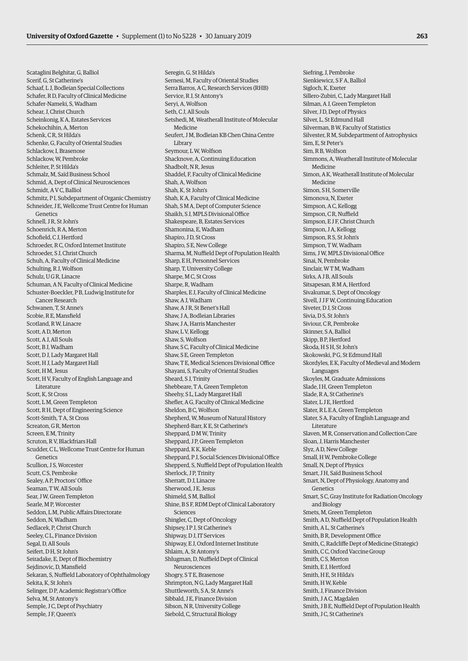Scataglini Belghitar, G, Balliol Scerif, G, St Catherine's Schaaf, L J, Bodleian Special Collections Schafer, R D, Faculty of Clinical Medicine Schafer-Nameki, S, Wadham Schear, J, Christ Church Scheinkonig, K A, Estates Services Schekochihin, A, Merton Schenk, C.R. St Hilda's Schenke, G, Faculty of Oriental Studies Schlackow, I, Brasenose Schlackow, W, Pembroke Schleiter, P, St Hilda's Schmalz, M, Saïd Business School Schmid, A, Dept of Clinical Neurosciences Schmidt, A V C, Balliol Schmitz, P I, Subdepartment of Organic Chemistry Schneider, J E, Wellcome Trust Centre for Human Genetics Schnell, J.R. St John's Schoenrich, R A, Merton Schofield, C J, Hertford Schroeder, R C, Oxford Internet Institute Schroeder, S J, Christ Church Schuh, A, Faculty of Clinical Medicine Schulting, R J, Wolfson Schulz, U G R, Linacre Schuman, A N, Faculty of Clinical Medicine Schuster-Boeckler, P B, Ludwig Institute for Cancer Research Schwanen, T, St Anne's Scobie, R E, Mansfield Scotland, R W, Linacre Scott, A D, Merton Scott, A J, All Souls Scott, B J, Wadham Scott, D J, Lady Margaret Hall Scott, H J, Lady Margaret Hall Scott, H M, Jesus Scott, H V, Faculty of English Language and Literature Scott, K, St Cross Scott, L M, Green Templeton Scott, R H, Dept of Engineering Science Scott-Smith, T A, St Cross Screaton, G R, Merton Screen, E M, Trinity Scruton, R V, Blackfriars Hall Scudder, C L, Wellcome Trust Centre for Human Genetics Scullion, J S, Worcester Scutt, C S, Pembroke Sealey, A P, Proctors' Office Seaman, T W, All Souls Sear, J W, Green Templeton Searle, M P, Worcester Seddon, L M, Public Affairs Directorate Seddon, N, Wadham Sedlacek, P, Christ Church Seeley, C L, Finance Division Segal, D, All Souls Seifert, D H, St John's Seiradake, E, Dept of Biochemistry Seidinovic, D. Mansfield Sekaran, S, Nuffield Laboratory of Ophthalmology Sekita, K, St John's Selinger, D P, Academic Registrar's Office Selva, M, St Antony's Semple, J C, Dept of Psychiatry Semple, J F, Queen's

Seregin, G, St Hilda's Sernesi, M, Faculty of Oriental Studies Serra Barros, A C, Research Services (RHB) Service, R J, St Antony's Seryi, A, Wolfson Seth, C J, All Souls Setshedi, M, Weatherall Institute of Molecular Medicine Seufert, J.M. Bodleian KB Chen China Centre Library Seymour, L W, Wolfson Shacknove, A, Continuing Education Shadbolt, N R, Jesus Shaddel, F, Faculty of Clinical Medicine Shah, A, Wolfson Shah, K, St John's Shah, K A, Faculty of Clinical Medicine Shah, S M A, Dept of Computer Science Shaikh, S J, MPLS Divisional Office Shakespeare, B, Estates Services Shamonina, E, Wadham Shapiro, J D, St Cross Shapiro, S E, New College Sharma, M, Nuffield Dept of Population Health Sharp, E H, Personnel Services Sharp, T, University College Sharpe, M C, St Cross Sharpe, R, Wadham Sharples, E J, Faculty of Clinical Medicine Shaw, A J, Wadham Shaw, A J R, St Benet's Hall Shaw, J.A. Bodleian Libraries Shaw, J A, Harris Manchester Shaw, L V, Kellogg Shaw, S, Wolfson Shaw, S C, Faculty of Clinical Medicine Shaw, S E, Green Templeton Shaw, T E, Medical Sciences Divisional Office Shayani, S, Faculty of Oriental Studies Sheard, S J, Trinity Shebbeare, T A, Green Templeton Sheehy, S L, Lady Margaret Hall Shefler, A G, Faculty of Clinical Medicine Sheldon, B C, Wolfson Shepherd, W, Museum of Natural History Shepherd-Barr, K E, St Catherine's Sheppard, D M W, Trinity Sheppard, J P, Green Templeton Sheppard, K K, Keble Sheppard, P J, Social Sciences Divisional Office Shepperd, S, Nuffield Dept of Population Health Sherlock, J P, Trinity Sherratt, D J, Linacre Sherwood, J E, Jesus Shimeld, SM, Balliol Shine, B S F, RDM Dept of Clinical Laboratory Sciences Shingler, C, Dept of Oncology Shipsey, I P J, St Catherine's Shipway, D J, IT Services Shipway, E J, Oxford Internet Institute Shlaim, A, St Antony's Shlugman, D, Nuffield Dept of Clinical **Neurosciences** Shogry, S.T.E. Brasenose Shrimpton, N G, Lady Margaret Hall Shuttleworth, S A, St Anne's Sibbald, J.E. Finance Division Sibson, N R, University College Siebold, C, Structural Biology

Siefring, J, Pembroke Sienkiewicz, S F A, Balliol Sigloch, K, Exeter Sillero-Zubiri, C, Lady Margaret Hall Silman, A J, Green Templeton Silver, J D, Dept of Physics Silver, L, St Edmund Hall Silverman, B W, Faculty of Statistics Silvester, R M, Subdepartment of Astrophysics Sim, E, St Peter's Sim, R B, Wolfson Simmons, A, Weatherall Institute of Molecular Medicine Simon, A K, Weatherall Institute of Molecular Medicine Simon, S H, Somerville Simonova, N, Exeter Simpson, A C, Kellogg Simpson, C R, Nuffield Simpson, E J F, Christ Church Simpson, J A, Kellogg Simpson, R S, St John's Simpson, T W, Wadham Sims, J W, MPLS Divisional Office Sinai, N, Pembroke Sinclair, W T M, Wadham Sirks, A J B, All Souls Sitsapesan, R M A, Hertford Sivakumar, S, Dept of Oncology Sivell, J J F W, Continuing Education Siveter, D J, St Cross Sivia, D.S. St John's Siviour, C R, Pembroke Skinner, S A, Balliol Skipp, B P, Hertford Skoda, H S H, St John's Skokowski, P G, St Edmund Hall Skordyles, E K, Faculty of Medieval and Modern Languages Skoyles, M, Graduate Admissions Slade, I H, Green Templeton Slade, R A, St Catherine's Slater, L J E, Hertford Slater, R L E A, Green Templeton Slater, S A, Faculty of English Language and Literature Slaven, M R, Conservation and Collection Care Sloan, J, Harris Manchester Slyz, A D, New College Small, H W, Pembroke College Small, N, Dept of Physics Smart, J H, Saïd Business School Smart, N, Dept of Physiology, Anatomy and Genetics Smart, S C, Gray Institute for Radiation Oncology and Biology Smets, M, Green Templeton Smith, A D, Nuffield Dept of Population Health Smith, A L, St Catherine's Smith, B R, Development Office Smith, C, Radcliffe Dept of Medicine (Strategic) Smith, C C, Oxford Vaccine Group Smith, C S, Merton Smith, E.I. Hertford Smith, H E, St Hilda's Smith, H W, Keble Smith, J, Finance Division Smith, J A C, Magdalen Smith, J B E, Nuffield Dept of Population Health Smith, J C, St Catherine's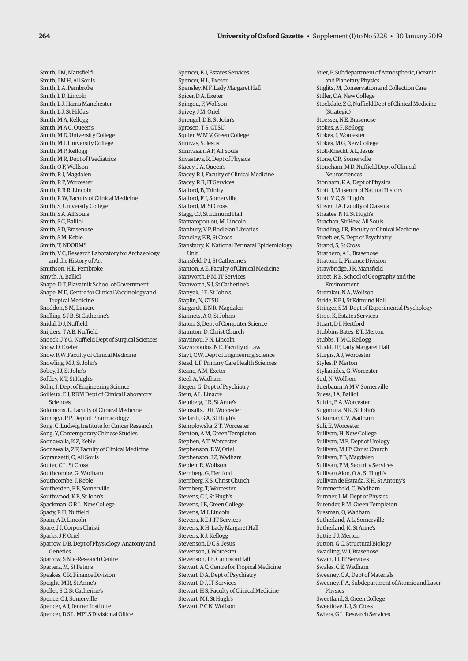Smith, J M, Mansfield Smith, JMH, All Souls Smith, L A, Pembroke Smith, LD Lincoln Smith, L J, Harris Manchester Smith, L J, St Hilda's Smith, M A, Kellogg Smith, M A C, Queen's Smith, M D, University College Smith, M J, University College Smith, M P, Kellogg Smith, M R, Dept of Paediatrics Smith, O F, Wolfson Smith, R J, Magdalen Smith, R P, Worcester Smith, R R R, Lincoln Smith, R W, Faculty of Clinical Medicine Smith, S, University College Smith, S A, All Souls Smith, S C, Balliol Smith, S D, Brasenose Smith, S M, Keble Smith, T, NDORMS Smith, V C, Research Laboratory for Archaeology and the History of Art Smithson, H E, Pembroke Smyth, A, Balliol Snape, D T, Blavatnik School of Government Snape, M D, Centre for Clinical Vaccinology and Tropical Medicine Sneddon, S M, Linacre Snelling, S J B, St Catherine's Snidal, D J, Nuffield Snijders, T A B, Nuffield Snoeck, J Y G, Nuffield Dept of Surgical Sciences Snow, D, Exeter Snow, R W, Faculty of Clinical Medicine Snowling, M J, St John's Sobey, I J, St John's Softley, K T, St Hugh's Sohn, J, Dept of Engineering Science Soilleux, E J, RDM Dept of Clinical Laboratory Sciences Solomons, L, Faculty of Clinical Medicine Somogyi, P P, Dept of Pharmacology Song, C, Ludwig Institute for Cancer Research Song, Y, Contemporary Chinese Studies Soonawalla, K Z, Keble Soonawalla, Z F, Faculty of Clinical Medicine Sopranzetti, C, All Souls Souter, C L, St Cross Southcombe, G, Wadham Southcombe, J, Keble Southerden, F E, Somerville Southwood, K.E. St John's Spackman, G R L, New College Spady, R H, Nuffield Spain, A D, Lincoln Spare, J J, Corpus Christi Sparks, J F, Oriel Sparrow, D B, Dept of Physiology, Anatomy and Genetics Sparrow, S N, e-Research Centre Spartera, M, St Peter's Speakes, C R, Finance Division Speight, M R, St Anne's Speller, S C, St Catherine's Spence, C J, Somerville Spencer, A J, Jenner Institute Spencer, D S L, MPLS Divisional Office

Spencer, E J, Estates Services Spencer, H L, Exeter Spensley, M F, Lady Margaret Hall Spicer, D A, Exeter Spingou, F, Wolfson Spivey, J M, Oriel Sprengel, D E, St John's Sprosen, T S, CTSU Squier, W M V, Green College Srinivas, S, Jesus Srinivasan, A P, All Souls Srivastava, R, Dept of Physics Stacey, J A, Queen's Stacey, R J, Faculty of Clinical Medicine Stacey, R R, IT Services Stafford, B, Trinity Stafford, F J, Somerville Stafford, M, St Cross Stagg, C J, St Edmund Hall Stamatopoulou, M, Lincoln Stanbury, V P, Bodleian Libraries Standley, E R, St Cross Stansbury, K, National Perinatal Epidemiology Unit Stansfeld, P J, St Catherine's Stanton, A E, Faculty of Clinical Medicine Stanworth, P M, IT Services Stanworth, S J, St Catherine's Stanyek, J E, St John's Staplin, N, CTSU Stargardt, E N R, Magdalen Starinets, A O, St John's Staton, S, Dept of Computer Science Staunton, D, Christ Church Stavrinou, P N, Lincoln Stavropoulos, N E, Faculty of Law Stayt, C W, Dept of Engineering Science Stead, L F, Primary Care Health Sciences Steane, A M, Exeter Steel, A, Wadham Stegen, G, Dept of Psychiatry Stein, A L, Linacre Steinberg, J R, St Anne's Steinsaltz, D R, Worcester Stellardi, G A, St Hugh's Stemplowska, Z T, Worcester Stenton, A M, Green Templeton Stephen, A T, Worcester Stephenson, E W, Oriel Stephenson, J Z, Wadham Stepien, R, Wolfson Sternberg, G, Hertford Sternberg, K S, Christ Church Sternberg, T, Worcester Stevens, C. J. St Hugh's Stevens, J E, Green College Stevens, M J, Lincoln Stevens, R E J, IT Services Stevens, R H, Lady Margaret Hall Stevens, R J, Kellogg Stevenson, D C S, Jesus Stevenson, J, Worcester Stevenson, J B, Campion Hall Stewart, A C, Centre for Tropical Medicine Stewart, D A, Dept of Psychiatry Stewart, D J, IT Services Stewart, H S, Faculty of Clinical Medicine Stewart, MT St Hugh's Stewart, PCN, Wolfson

Stier, P, Subdepartment of Atmospheric, Oceanic and Planetary Physics Stiglitz, M, Conservation and Collection Care Stiller, C A, New College Stockdale, Z C, Nuffield Dept of Clinical Medicine (Strategic) Stoesser, N.E. Brasenose Stokes, A F, Kellogg Stokes, J, Worcester Stokes, M G, New College Stoll-Knecht, A L, Jesus Stone, C R, Somerville Stoneham, M D, Nuffield Dept of Clinical Neurosciences Stonham, K A, Dept of Physics Stott, J, Museum of Natural History Stott, V C, St Hugh's Stover, J A, Faculty of Classics Straates, N H, St Hugh's Strachan, Sir Hew, All Souls Stradling, J R, Faculty of Clinical Medicine Straebler, S, Dept of Psychiatry Strand, S, St Cross Strathern, A L, Brasenose Stratton, L, Finance Division Strawbridge, J R, Mansfield Street, R B, School of Geography and the Environment Stremlau, N A, Wolfson Stride, E P J, St Edmund Hall Stringer, S M, Dept of Experimental Psychology Stroo, K, Estates Services Stuart, D I, Hertford Stubbins Bates, E T, Merton Stubbs, T M C, Kellogg Studd, J P, Lady Margaret Hall Sturgis, A J, Worcester Styles, P, Merton Stylianides, G, Worcester Sud, N, Wolfson Suerbaum, A M V, Somerville Suess, J A, Balliol Sufrin, B A, Worcester Sugimura, N K, St John's Sukumar, C V, Wadham Suli, E, Worcester Sullivan, H, New College Sullivan, M E, Dept of Urology Sullivan, M J P, Christ Church Sullivan, P B, Magdalen Sullivan, P M, Security Services Sullivan Alon, O A, St Hugh's Sullivan de Estrada, K H, St Antony's Summerfield, C, Wadham Sumner, L M, Dept of Physics Surender, R M, Green Templeton Sussman, O, Wadham Sutherland, A L, Somerville Sutherland, K, St Anne's Suttie, J J, Merton Sutton, G C, Structural Biology Swadling, W J, Brasenose Swain, J J, IT Services Swales, C.E. Wadham Sweeney, C A, Dept of Materials Sweeney, F A, Subdepartment of Atomic and Laser Physics Sweetland, S, Green College Sweetlove, L J, St Cross Swiers, G L, Research Services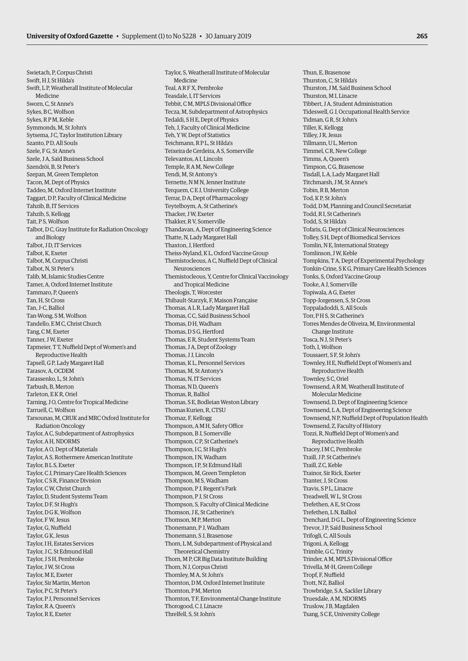Taylor, S, Weatherall Institute of Molecular

Tebbit, C M, MPLS Divisional Office Tecza, M, Subdepartment of Astrophysics

Tedaldi, S H E, Dept of Physics Teh, J, Faculty of Clinical Medicine Teh, Y W, Dept of Statistics Teichmann, R P L, St Hilda's Teixeira de Cerdeira, A S, Somerville

Ternette, N M N, Jenner Institute Terquem, C E J, University College Terrar, D A, Dept of Pharmacology Teytelboym, A, St Catherine's Thacker, J W, Exeter Thakker, R V, Somerville

Thatte, N, Lady Margaret Hall Thaxton, J, Hertford

and Tropical Medicine Theologis, T, Worcester

Thibault-Starzyk, F, Maison Française Thomas, A L R, Lady Margaret Hall Thomas, C.C. Saïd Business School

Thomas, E R, Student Systems Team Thomas, J A, Dept of Zoology Thomas, J J, Lincoln

Thomas, K L, Personnel Services Thomas, M, St Antony's

Neurosciences

Thomas, D H, Wadham Thomas, D S G, Hertford

Thandavan, A, Dept of Engineering Science

Theiss-Nyland, K L, Oxford Vaccine Group Themistocleous, A C, Nuffield Dept of Clinical

Themistocleous, Y, Centre for Clinical Vaccinology

Televantos, A I, Lincoln Temple, R A M, New College Tendi, M, St Antony's

Medicine Teal, A R F X, Pembroke Teasdale, I, IT Services

Swietach, P, Corpus Christi Swift, H J, St Hilda's Swift, L P, Weatherall Institute of Molecular Medicine Sworn, C, St Anne's Sykes, B C, Wolfson Sykes, R P M, Keble Symmonds, M, St John's Sytsema, J C, Taylor Institution Library Szanto, P D, All Souls Szele, F G, St Anne's Szele, J A, Saïd Business School Szendröi, B, St Peter's Szepan, M, Green Templeton Tacon, M, Dept of Physics Taddeo, M, Oxford Internet Institute Taggart, D P, Faculty of Clinical Medicine Tahzib, B, IT Services Tahzib, S, Kellogg Tait, P S, Wolfson Talbot, D C, Gray Institute for Radiation Oncology and Biology Talbot, J D, IT Services Talbot, K, Exeter Talbot, M, Corpus Christi Talbot, N, St Peter's Talib, M, Islamic Studies Centre Tamer, A, Oxford Internet Institute Tammaro, P, Queen's Tan, H, St Cross Tan, J-C, Balliol Tan-Wong, S M, Wolfson Tandello, E M C, Christ Church Tang, C M, Exeter Tanner, J W, Exeter Tapmeier, T T, Nuffield Dept of Women's and Reproductive Health Tapsell, G P, Lady Margaret Hall Tarasov, A, OCDEM Tarassenko, L, St John's Tarbush, B, Merton Tarleton, E K R, Oriel Tarning, J O, Centre for Tropical Medicine Tarruell, C, Wolfson Tarsounas, M, CRUK and MRC Oxford Institute for Radiation Oncology Taylor, A C, Subdepartment of Astrophysics Taylor, A H, NDORMS Taylor, A O, Dept of Materials Taylor, A S, Rothermere American Institute Taylor, B L S, Exeter Taylor, C J, Primary Care Health Sciences Taylor, C S R, Finance Division Taylor, C W, Christ Church Taylor, D, Student Systems Team Taylor, D F, St Hugh's Taylor, D G K, Wolfson Taylor, F W, Jesus Taylor, G, Nuffield Taylor, G K, Jesus Taylor, I H, Estates Services Taylor, J.C. St Edmund Hall Taylor, J S H, Pembroke Taylor, J W, St Cross Taylor, M E, Exeter Taylor, Sir Martin, Merton Taylor, P C, St Peter's Taylor, P J, Personnel Services Taylor, R A, Queen's

Taylor, R E, Exeter

Thomas, N, IT Services Thomas, ND Oueen's Thomas, R, Balliol Thomas, S E, Bodleian Weston Library Thomas Kurien, R, CTSU Thomaz, F, Kellogg Thompson, A M H, Safety Office Thompson, B J, Somerville Thompson, C P, St Catherine's Thompson, I C, St Hugh's Thompson, I N, Wadham Thompson, I P, St Edmund Hall Thompson, M, Green Templeton Thompson, M S, Wadham Thompson, P J, Regent's Park Thompson, P J, St Cross Thompson, S, Faculty of Clinical Medicine Thomson, J E, St Catherine's Thomson, M P, Merton Thonemann, P J, Wadham Thonemann, S J, Brasenose Thorn, L M, Subdepartment of Physical and Theoretical Chemistry Thorn, M P, CR Big Data Institute Building Thorn, N J, Corpus Christi Thornley, M A, St John's Thornton, D M, Oxford Internet Institute Thornton, P M, Merton Thornton, T F, Environmental Change Institute Thorogood, C J, Linacre Threlfell, S, St John's

Thun, E, Brasenose Thurston, C, St Hilda's Thurston, J M, Saïd Business School Thurston, MI Linacre Tibbert, J A, Student Administration Tideswell, G J, Occupational Health Service Tidman, GR, St John's Tiller, K, Kellogg Tilley IR Jesus Tillmann, U L, Merton Timmel, C R, New College Timms, A, Queen's Timpson, C G, Brasenose Tisdall, L A, Lady Margaret Hall Titchmarsh, J M, St Anne's Tobin, R B, Merton Tod, K P, St John's Todd, D M, Planning and Council Secretariat Todd, R I, St Catherine's Todd, S, St Hilda's Tofaris, G, Dept of Clinical Neurosciences Tolley, S H, Dept of Biomedical Services Tomlin, N E, International Strategy Tomlinson, J W, Keble Tompkins, T A, Dept of Experimental Psychology Tonkin-Crine, S K G, Primary Care Health Sciences Tonks, S, Oxford Vaccine Group Tooke, A J, Somerville Topiwala, A G, Exeter Topp-Jorgensen, S, St Cross Toppaladoddi, S, All Souls Torr, PHS, St Catherine's Torres Mendes de Oliveira, M, Environmental Change Institute Tosca, N J, St Peter's Toth, I, Wolfson Toussaert, S F, St John's Townley, H E, Nuffield Dept of Women's and Reproductive Health Townley, S C, Oriel Townsend, A R M, Weatherall Institute of Molecular Medicine Townsend, D, Dept of Engineering Science Townsend, L A, Dept of Engineering Science Townsend, N P, Nuffield Dept of Population Health Townsend, Z, Faculty of History Tozzi, R, Nuffield Dept of Women's and Reproductive Health Tracey, I M C, Pembroke Traill, JP St Catherine's Traill, Z C, Keble Trainor, Sir Rick, Exeter Tranter, J, St Cross Travis, S P L, Linacre Treadwell, W L, St Cross Trefethen, A E, St Cross Trefethen, L N, Balliol Trenchard, D G L, Dept of Engineering Science Trevor, J P, Saïd Business School Trifogli, C, All Souls Trigoni, A, Kellogg Trimble, G C, Trinity Trinder, A M, MPLS Divisional Office Trivella, M-H, Green College Tropf, F, Nuffield Trott, N Z, Balliol Trowbridge, S A, Sackler Library Truesdale, A M, NDORMS Truslow, J B, Magdalen Tsang, S C E, University College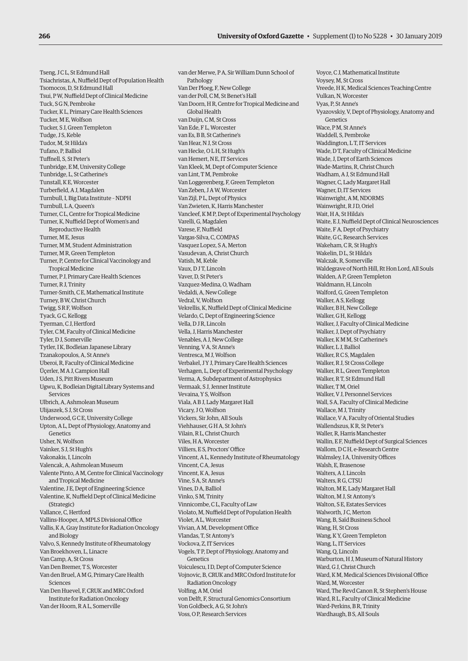Tseng, J C L, St Edmund Hall Tsiachristas, A, Nuffield Dept of Population Health Tsomocos, D, St Edmund Hall Tsui, P W, Nuffield Dept of Clinical Medicine Tuck, S G N, Pembroke Tucker, K L, Primary Care Health Sciences Tucker, M E, Wolfson Tucker, S J, Green Templeton Tudge, J.S. Keble Tudor, M, St Hilda's Tufano, P, Balliol Tuffnell, S, St Peter's Tunbridge, E M, University College Tunbridge, L, St Catherine's Tunstall, K E, Worcester Turberfield, A J, Magdalen Turnbull, I, Big Data Institute – NDPH Turnbull, L A, Queen's Turner, C L, Centre for Tropical Medicine Turner, K, Nuffield Dept of Women's and Reproductive Health Turner, M E, Jesus Turner, M M, Student Administration Turner, M R, Green Templeton Turner, P, Centre for Clinical Vaccinology and Tropical Medicine Turner, P J, Primary Care Health Sciences Turner, R J, Trinity Turner-Smith, C E, Mathematical Institute Turney, B W, Christ Church Twigg, S R F, Wolfson Tyack, G.C. Kellogg Tyerman, C J, Hertford Tyler, C M, Faculty of Clinical Medicine Tyler, D J, Somerville Tytler, I K, Bodleian Japanese Library Tzanakopoulos, A, St Anne's Uberoi, R, Faculty of Clinical Medicine Üçerler, M A J, Campion Hall Uden, J S, Pitt Rivers Museum Ugwu, K, Bodleian Digital Library Systems and Services Ulbrich, A, Ashmolean Museum Ulijaszek, S J, St Cross Underwood, G C E, University College Upton, A L, Dept of Physiology, Anatomy and Genetics Usher, N, Wolfson Vainker, S J, St Hugh's Vakonakis, I, Lincoln Valencak, A, Ashmolean Museum Valente Pinto, A M, Centre for Clinical Vaccinology and Tropical Medicine Valentine, J E, Dept of Engineering Science Valentine, K, Nuffield Dept of Clinical Medicine (Strategic) Vallance, C, Hertford Vallins-Hooper, A, MPLS Divisional Office Vallis, K A, Gray Institute for Radiation Oncology and Biology Valvo, S, Kennedy Institute of Rheumatology Van Broekhoven, L, Linacre Van Camp, A, St Cross Van Den Bremer, T S, Worcester Van den Bruel, A M G, Primary Care Health Sciences Van Den Huevel, F, CRUK and MRC Oxford Institute for Radiation Oncology Van der Hoorn, R A L, Somerville

van der Merwe, P A, Sir William Dunn School of Pathology Van Der Ploeg, F, New College van der Poll, C M, St Benet's Hall Van Doorn, H R, Centre for Tropical Medicine and Global Health van Duijn, C M, St Cross Van Ede, F L, Worcester van Es, B B, St Catherine's Van Hear, N J, St Cross van Hecke, O L H, St Hugh's van Hemert, N E, IT Services Van Kleek, M, Dept of Computer Science van Lint, T M, Pembroke Van Loggerenberg, F, Green Templeton Van Zeben, J A W, Worcester Van Zijl, P L, Dept of Physics Van Zwieten, K, Harris Manchester Vancleef, K M P, Dept of Experimental Psychology Varelli, G, Magdalen Varese, F, Nuffield Vargas-Silva, C, COMPAS Vasquez Lopez, S A, Merton Vasudevan, A, Christ Church Vatish, M, Keble Vaux, D J T, Lincoln Vaver, D, St Peter's Vazquez-Medina, O, Wadham Vedaldi, A, New College Vedral, V, Wolfson Vekrellis, K, Nuffield Dept of Clinical Medicine Velardo, C, Dept of Engineering Science Vella, D J R, Lincoln Vella, J, Harris Manchester Venables, A J, New College Venning, V A, St Anne's Ventresca, M J, Wolfson Verbakel, J Y J, Primary Care Health Sciences Verhagen, L, Dept of Experimental Psychology Verma, A, Subdepartment of Astrophysics Vermaak, S J, Jenner Institute Vevaina, Y S, Wolfson Viala, A B J, Lady Margaret Hall Vicary, J O, Wolfson Vickers, Sir John, All Souls Viehhauser, G H A, St John's Vilain, R L, Christ Church Viles, H A, Worcester Villiers, E S, Proctors' Office Vincent, A L, Kennedy Institute of Rheumatology Vincent, C A, Jesus Vincent, K A, Jesus Vine, S A, St Anne's Vines, D A, Balliol Vinko, SM, Trinity Vinnicombe, C L, Faculty of Law Violato, M, Nuffield Dept of Population Health Violet, A L, Worcester Vivian, A M, Development Office Vlandas, T, St Antony's Vockova, Z, IT Services Vogels, T P, Dept of Physiology, Anatomy and Genetics Voiculescu, I D, Dept of Computer Science Vojnovic, B, CRUK and MRC Oxford Institute for Radiation Oncology Volfing, A M, Oriel von Delft, F, Structural Genomics Consortium Von Goldbeck, A G, St John's Voss, O P, Research Services

Voyce, C J, Mathematical Institute Voysey, M, St Cross Vreede, H K, Medical Sciences Teaching Centre Vulkan, N, Worcester Vyas, P, St Anne's Vyazovskiy, V, Dept of Physiology, Anatomy and Genetics Wace, P M, St Anne's Waddell, S, Pembroke Waddington, L T, IT Services Wade, D T, Faculty of Clinical Medicine Wade, J, Dept of Earth Sciences Wade-Martins, R, Christ Church Wadham, A J, St Edmund Hall Wagner, C, Lady Margaret Hall Wagner, D, IT Services Wainwright, A M, NDORMS Wainwright, R J D, Oriel Wait, H A, St Hilda's Waite, E J, Nuffield Dept of Clinical Neurosciences Waite, F A, Dept of Psychiatry Waite, G C, Research Services Wakeham, C R, St Hugh's Wakelin, D L, St Hilda's Walczak, R, Somerville Waldegrave of North Hill, Rt Hon Lord, All Souls Walden, A P, Green Templeton Waldmann, H, Lincoln Walford, G, Green Templeton Walker, A S, Kellogg Walker, B H, New College Walker, G.H. Kellogg Walker, J, Faculty of Clinical Medicine Walker, J, Dept of Psychiatry Walker, K M M, St Catherine's Walker, L J, Balliol Walker, R C S, Magdalen Walker, R J, St Cross College Walker, R L, Green Templeton Walker, R T, St Edmund Hall Walker, TM, Oriel Walker, V J, Personnel Services Wall, S A, Faculty of Clinical Medicine Wallace, M J, Trinity Wallace, V A, Faculty of Oriental Studies Wallendszus, K R, St Peter's Waller, R, Harris Manchester Wallin, E F, Nuffield Dept of Surgical Sciences Wallom, D C H, e-Research Centre Walmsley, I A, University Offices Walsh, E, Brasenose Walters, A J, Lincoln Walters, R G, CTSU Walton, M E, Lady Margaret Hall Walton, M.I. St Antony's Walton, S E, Estates Services Walworth, JC, Merton Wang, B, Saïd Business School Wang, H, St Cross Wang, K Y, Green Templeton Wang, L, IT Services Wang, Q, Lincoln Warburton, H J, Museum of Natural History Ward, G J, Christ Church Ward, K M, Medical Sciences Divisional Office Ward, M, Worcester Ward, The Revd Canon R, St Stephen's House Ward, R L, Faculty of Clinical Medicine Ward-Perkins, B R, Trinity Wardhaugh, B S, All Souls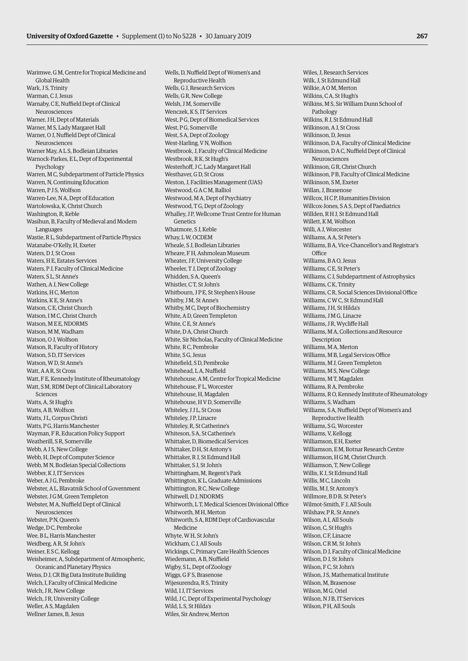Warimwe, G M, Centre for Tropical Medicine and Global Health Wark, J.S. Trinity Warman, C J, Jesus Warnaby, C E, Nuffield Dept of Clinical Neurosciences Warner, J.H. Dept of Materials Warner, M S, Lady Margaret Hall Warner, O J, Nuffield Dept of Clinical Neurosciences Warner May, A L S, Bodleian Libraries Warnock-Parkes, E L, Dept of Experimental Psychology Warren, M C, Subdepartment of Particle Physics Warren, N, Continuing Education Warren, P J S, Wolfson Warren-Lee, N A, Dept of Education Wartolowska, K, Christ Church Washington, R, Keble Wasihun, B, Faculty of Medieval and Modern Languages Wastie, R L, Subdepartment of Particle Physics Watanabe-O'Kelly, H, Exeter Waters, D J, St Cross Waters, H E, Estates Services Waters, P J, Faculty of Clinical Medicine Waters, S L, St Anne's Wathen, A J, New College Watkins, H C, Merton Watkins, K.E. St Anne's Watson, CE, Christ Church Watson, I M C, Christ Church Watson, M E E, NDORMS Watson, M M, Wadham Watson, O J, Wolfson Watson, R, Faculty of History Watson, S D, IT Services Watson, W D, St Anne's Watt, A A R, St Cross Watt, F E, Kennedy Institute of Rheumatology Watt, S M, RDM Dept of Clinical Laboratory Sciences Watts, A, St Hugh's Watts, A B, Wolfson Watts, J L, Corpus Christi Watts, P.G. Harris Manchester Wayman, F R, Education Policy Support Weatherill, S R, Somerville Webb, A J S, New College Webb, H, Dept of Computer Science Webb, M N, Bodleian Special Collections Webber, K J, IT Services Weber, A J G, Pembroke Webster, A L, Blavatnik School of Government Webster, J.G.M. Green Templeton Webster, M A, Nuffield Dept of Clinical Neurosciences Webster, P N, Queen's Wedge, D C, Pembroke Wee, B L, Harris Manchester Weidberg, A R, St John's Weiner, E S C, Kellogg Weisheimer, A, Subdepartment of Atmospheric, Oceanic and Planetary Physics Weiss, D J, CR Big Data Institute Building Welch, I, Faculty of Clinical Medicine Welch, J R, New College Welch, J R, University College Weller, A S, Magdalen Wellner James, B, Jesus

Reproductive Health Wells, G J, Research Services Wells, G R, New College Welsh, J M, Somerville Wenczek, K S, IT Services West, P G, Dept of Biomedical Services West, PG, Somerville West, S A, Dept of Zoology West-Harling, V N, Wolfson Westbrook, J, Faculty of Clinical Medicine Westbrook, R K, St Hugh's Westerhoff, J C, Lady Margaret Hall Westhaver, G D, St Cross Weston, J, Facilities Management (UAS) Westwood, G A C M, Balliol Westwood, M A, Dept of Psychiatry Westwood, T G, Dept of Zoology Whalley, J P, Wellcome Trust Centre for Human **Genetics** Whatmore, S J, Keble Whay, L W, OCDEM Wheale, S J, Bodleian Libraries Wheare, F H, Ashmolean Museum Wheater, J F, University College Wheeler, T J, Dept of Zoology Whidden, S A, Queen's Whistler, C T, St John's Whitbourn, J P E, St Stephen's House Whitby, J M, St Anne's Whitby, M C, Dept of Biochemistry White, A D, Green Templeton White, C E, St Anne's White, D A, Christ Church White, Sir Nicholas, Faculty of Clinical Medicine White, R C, Pembroke White, S G, Jesus Whitefield, S D, Pembroke Whitehead LA Nuffield Whitehouse, A M, Centre for Tropical Medicine Whitehouse, F L, Worcester Whitehouse, H, Magdalen Whitehouse, H V D, Somerville Whiteley, J J L, St Cross Whiteley, J P, Linacre Whiteley, R, St Catherine's Whiteson, S A, St Catherine's Whittaker, D, Biomedical Services Whittaker, D H, St Antony's Whittaker, R J, St Edmund Hall Whittaker, S J, St John's Whittingham, M, Regent's Park Whittington, K L, Graduate Admissions Whittington, R C, New College Whitwell, D.I. NDORMS Whitworth, L T, Medical Sciences Divisional Office Whitworth, M H, Merton Whitworth, S A, RDM Dept of Cardiovascular Medicine Whyte, W H, St John's Wickham, C J, All Souls Wickings, C, Primary Care Health Sciences Wiedemann, A B, Nuffield Wigby, S L, Dept of Zoology Wiggs, G F S, Brasenose Wijesurendra, R S, Trinity Wild, I J, IT Services Wild, J C, Dept of Experimental Psychology Wild, L S, St Hilda's Wiles, Sir Andrew, Merton

Wells, D, Nuffield Dept of Women's and

Wiles, J, Research Services Wilk, J, St Edmund Hall Wilkie, A O M, Merton Wilkins, C A, St Hugh's Wilkins, M S, Sir William Dunn School of Pathology Wilkins, R J, St Edmund Hall Wilkinson, A J, St Cross Wilkinson, D, Jesus Wilkinson, D A, Faculty of Clinical Medicine Wilkinson, D A C, Nuffield Dept of Clinical Neurosciences Wilkinson, G R, Christ Church Wilkinson, P B, Faculty of Clinical Medicine Wilkinson, S M, Exeter Willan, J, Brasenose Willcox, H C P, Humanities Division Willcox-Jones, S A S, Dept of Paediatrics Willden, R H J, St Edmund Hall Willett, K M, Wolfson Willi, A J, Worcester Williams, A A, St Peter's Williams, B A, Vice-Chancellor's and Registrar's **Office** Williams, B A O, Jesus Williams, C E, St Peter's Williams, C J, Subdepartment of Astrophysics Williams, C K, Trinity Williams, C R, Social Sciences Divisional Office Williams, C W C, St Edmund Hall Williams, J H, St Hilda's Williams, J.M.G. Linacre Williams, J R, Wycliffe Hall Williams, M A, Collections and Resource Description Williams, M A, Merton Williams, M B, Legal Services Office Williams, M J, Green Templeton Williams, M S, New College Williams, M T, Magdalen Williams, R A, Pembroke Williams, R O, Kennedy Institute of Rheumatology Williams, S, Wadham Williams, S A, Nuffield Dept of Women's and Reproductive Health Williams, S G, Worcester Williams, V, Kellogg Williamson, E H, Exeter Williamson, E M, Botnar Research Centre Williamson, H.G.M. Christ Church Williamson, T, New College Willis, K J, St Edmund Hall Willis, M C, Lincoln Willis, M J, St Antony's Willmore, B.D.B. St Peter's Wilmot-Smith, F J, All Souls Wilshaw, P R, St Anne's Wilson, A I, All Souls Wilson, C, St Hugh's Wilson, C F, Linacre Wilson, C R M, St John's Wilson, D J, Faculty of Clinical Medicine Wilson, D J, St John's Wilson, F.C. St John's Wilson, J S, Mathematical Institute Wilson, M, Brasenose Wilson, M.G. Oriel Wilson, N J B, IT Services Wilson, P H, All Souls